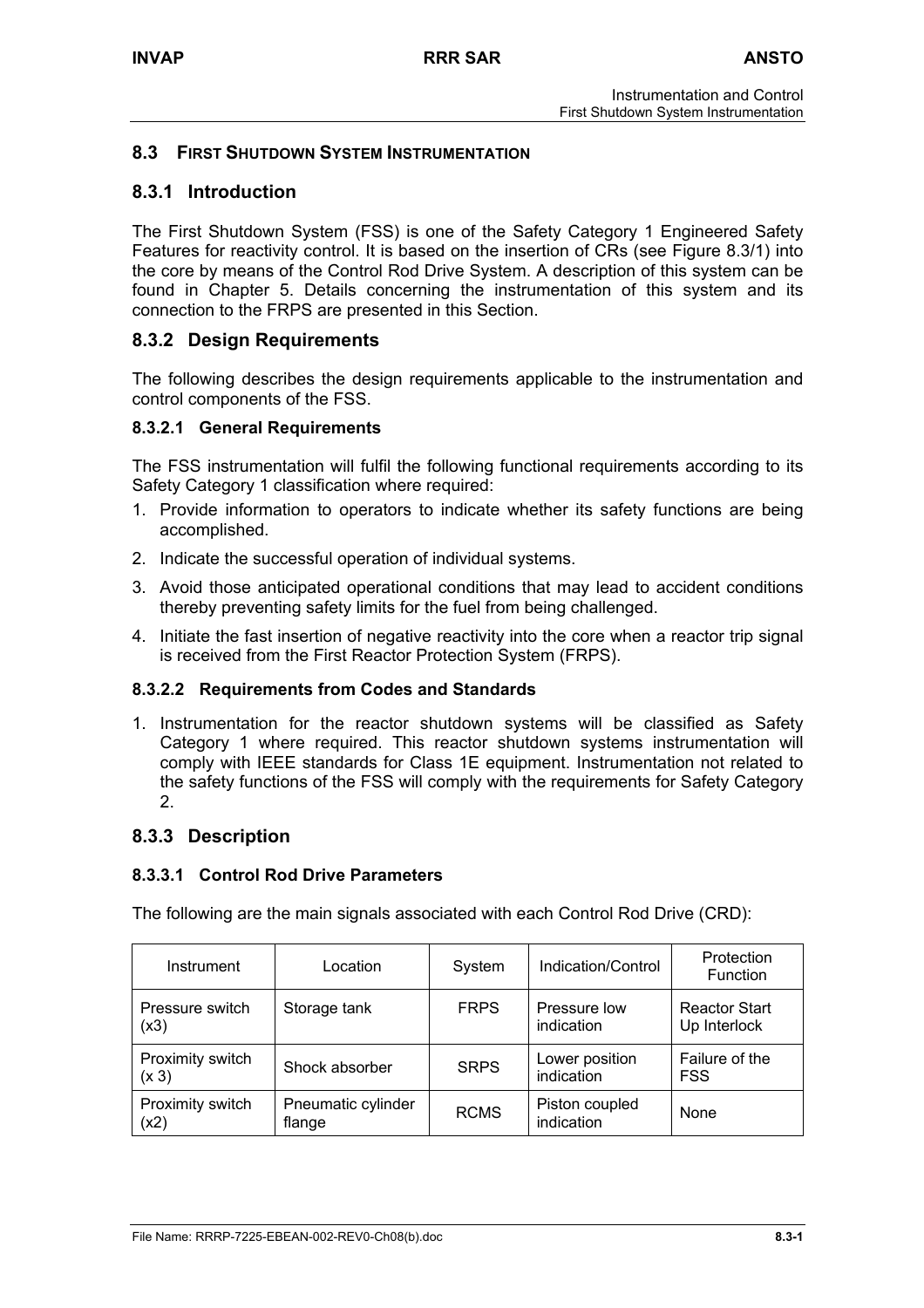# **8.3 FIRST SHUTDOWN SYSTEM INSTRUMENTATION**

# **8.3.1 Introduction**

The First Shutdown System (FSS) is one of the Safety Category 1 Engineered Safety Features for reactivity control. It is based on the insertion of CRs (see Figure 8.3/1) into the core by means of the Control Rod Drive System. A description of this system can be found in Chapter 5. Details concerning the instrumentation of this system and its connection to the FRPS are presented in this Section.

# **8.3.2 Design Requirements**

The following describes the design requirements applicable to the instrumentation and control components of the FSS.

## **8.3.2.1 General Requirements**

The FSS instrumentation will fulfil the following functional requirements according to its Safety Category 1 classification where required:

- 1. Provide information to operators to indicate whether its safety functions are being accomplished.
- 2. Indicate the successful operation of individual systems.
- 3. Avoid those anticipated operational conditions that may lead to accident conditions thereby preventing safety limits for the fuel from being challenged.
- 4. Initiate the fast insertion of negative reactivity into the core when a reactor trip signal is received from the First Reactor Protection System (FRPS).

## **8.3.2.2 Requirements from Codes and Standards**

1. Instrumentation for the reactor shutdown systems will be classified as Safety Category 1 where required. This reactor shutdown systems instrumentation will comply with IEEE standards for Class 1E equipment. Instrumentation not related to the safety functions of the FSS will comply with the requirements for Safety Category 2.

# **8.3.3 Description**

## **8.3.3.1 Control Rod Drive Parameters**

The following are the main signals associated with each Control Rod Drive (CRD):

| Instrument                | Location                     | System      | Indication/Control           | Protection<br>Function               |
|---------------------------|------------------------------|-------------|------------------------------|--------------------------------------|
| Pressure switch<br>(x3)   | Storage tank                 | <b>FRPS</b> | Pressure low<br>indication   | <b>Reactor Start</b><br>Up Interlock |
| Proximity switch<br>(x 3) | Shock absorber               | <b>SRPS</b> | Lower position<br>indication | Failure of the<br><b>FSS</b>         |
| Proximity switch<br>(x2)  | Pneumatic cylinder<br>flange | <b>RCMS</b> | Piston coupled<br>indication | None                                 |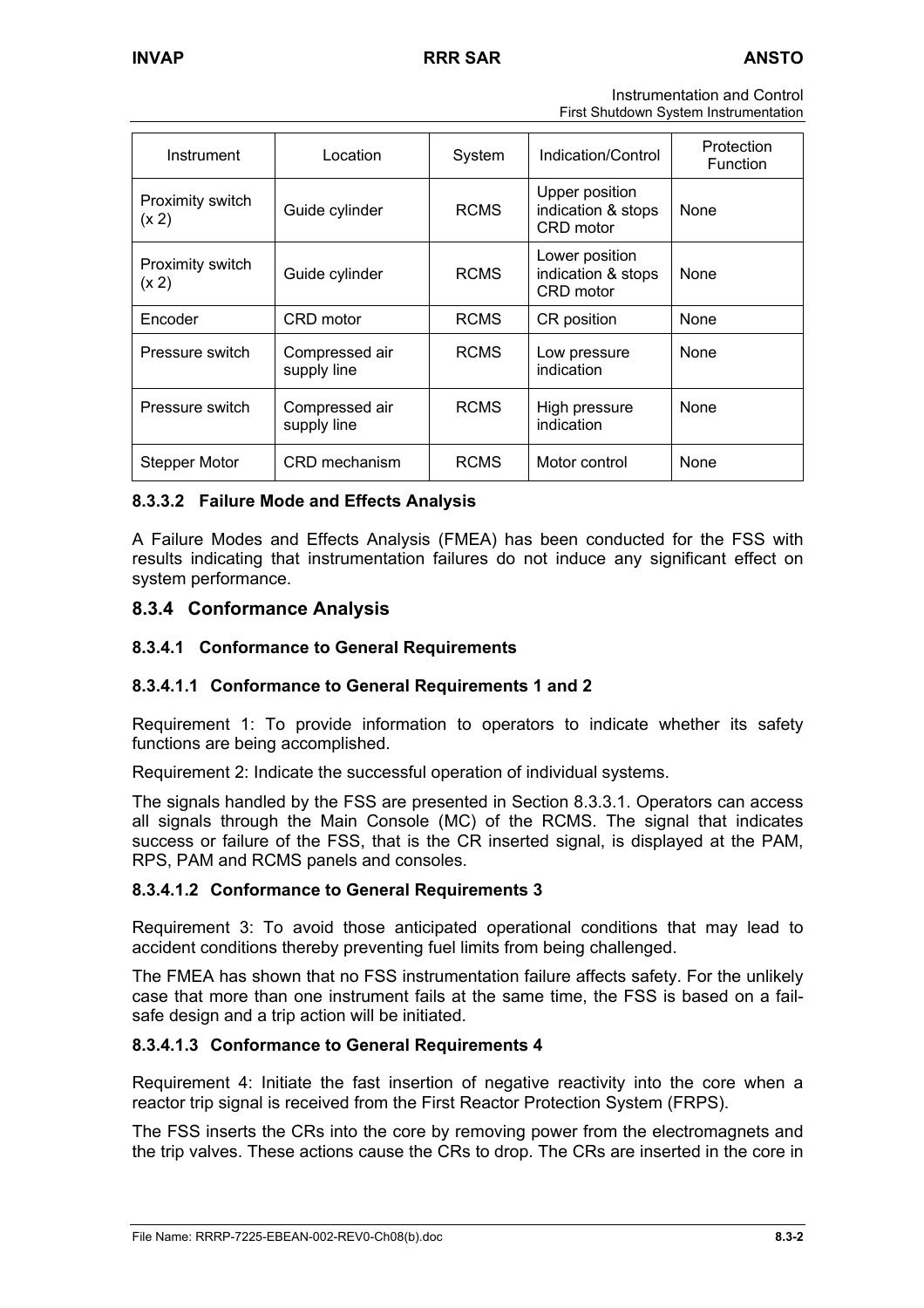Instrumentation and Control First Shutdown System Instrumentation

| Instrument                | Location                      | System      | Indication/Control                                | Protection<br>Function |
|---------------------------|-------------------------------|-------------|---------------------------------------------------|------------------------|
| Proximity switch<br>(x 2) | Guide cylinder                | <b>RCMS</b> | Upper position<br>indication & stops<br>CRD motor | <b>None</b>            |
| Proximity switch<br>(x 2) | Guide cylinder                | <b>RCMS</b> | Lower position<br>indication & stops<br>CRD motor | None                   |
| Encoder                   | CRD motor                     | <b>RCMS</b> | CR position                                       | None                   |
| Pressure switch           | Compressed air<br>supply line | <b>RCMS</b> | Low pressure<br>indication                        | None                   |
| Pressure switch           | Compressed air<br>supply line | <b>RCMS</b> | High pressure<br>indication                       | None                   |
| Stepper Motor             | CRD mechanism                 | <b>RCMS</b> | Motor control                                     | None                   |

# **8.3.3.2 Failure Mode and Effects Analysis**

A Failure Modes and Effects Analysis (FMEA) has been conducted for the FSS with results indicating that instrumentation failures do not induce any significant effect on system performance.

# **8.3.4 Conformance Analysis**

## **8.3.4.1 Conformance to General Requirements**

## **8.3.4.1.1 Conformance to General Requirements 1 and 2**

Requirement 1: To provide information to operators to indicate whether its safety functions are being accomplished.

Requirement 2: Indicate the successful operation of individual systems.

The signals handled by the FSS are presented in Section 8.3.3.1. Operators can access all signals through the Main Console (MC) of the RCMS. The signal that indicates success or failure of the FSS, that is the CR inserted signal, is displayed at the PAM, RPS, PAM and RCMS panels and consoles.

### **8.3.4.1.2 Conformance to General Requirements 3**

Requirement 3: To avoid those anticipated operational conditions that may lead to accident conditions thereby preventing fuel limits from being challenged.

The FMEA has shown that no FSS instrumentation failure affects safety. For the unlikely case that more than one instrument fails at the same time, the FSS is based on a failsafe design and a trip action will be initiated.

### **8.3.4.1.3 Conformance to General Requirements 4**

Requirement 4: Initiate the fast insertion of negative reactivity into the core when a reactor trip signal is received from the First Reactor Protection System (FRPS).

The FSS inserts the CRs into the core by removing power from the electromagnets and the trip valves. These actions cause the CRs to drop. The CRs are inserted in the core in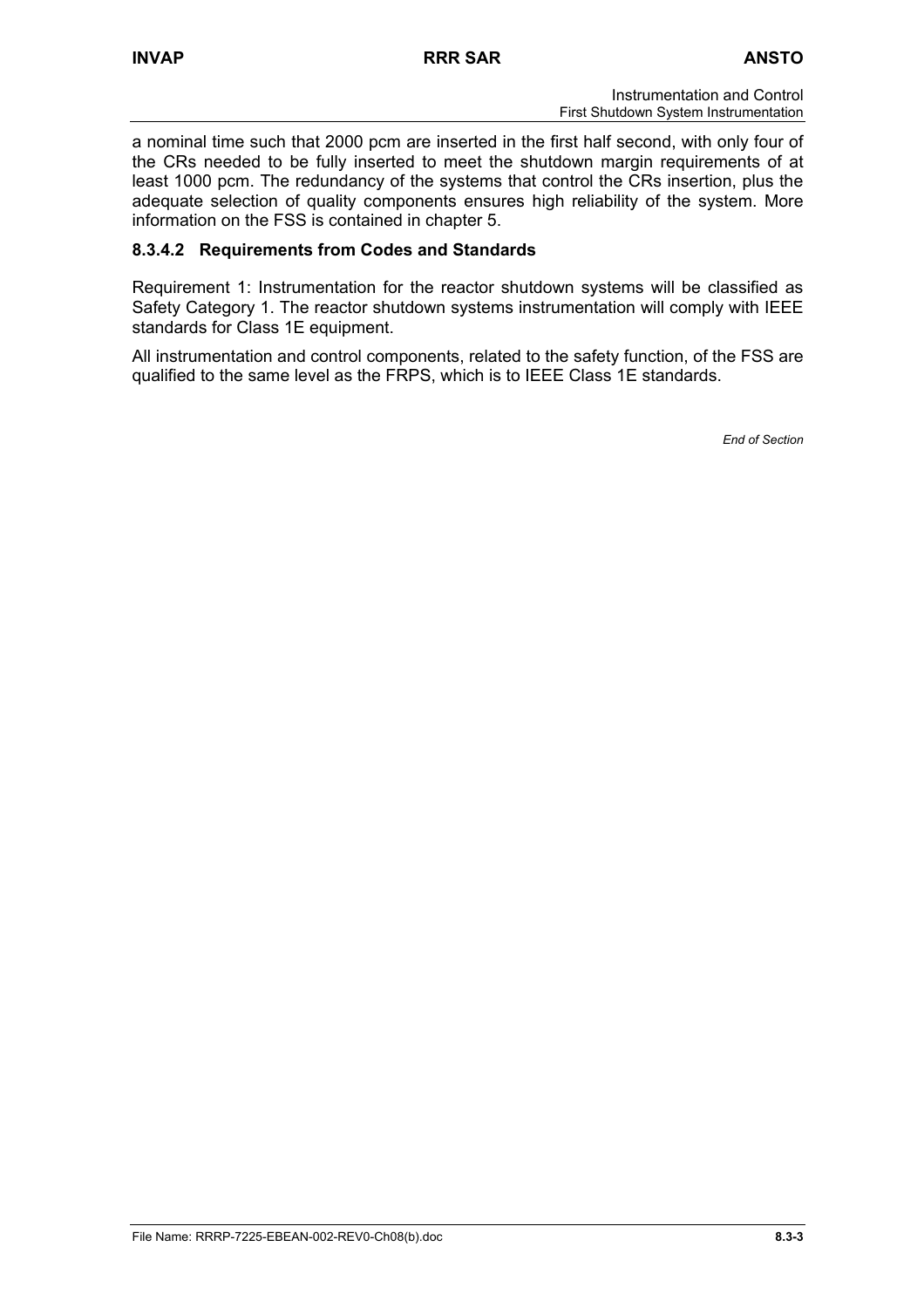a nominal time such that 2000 pcm are inserted in the first half second, with only four of the CRs needed to be fully inserted to meet the shutdown margin requirements of at least 1000 pcm. The redundancy of the systems that control the CRs insertion, plus the adequate selection of quality components ensures high reliability of the system. More information on the FSS is contained in chapter 5.

# **8.3.4.2 Requirements from Codes and Standards**

Requirement 1: Instrumentation for the reactor shutdown systems will be classified as Safety Category 1. The reactor shutdown systems instrumentation will comply with IEEE standards for Class 1E equipment.

All instrumentation and control components, related to the safety function, of the FSS are qualified to the same level as the FRPS, which is to IEEE Class 1E standards.

*End of Section*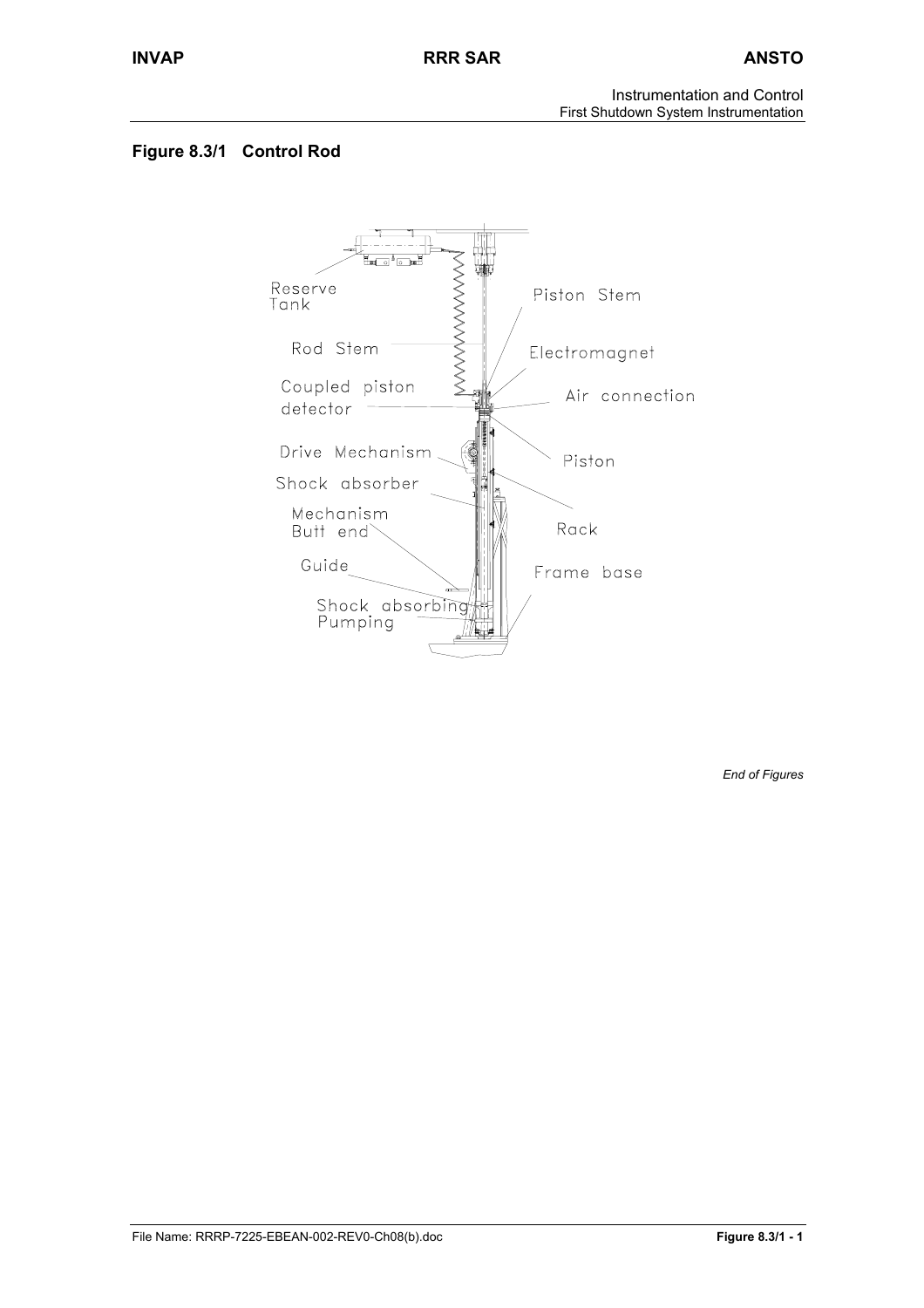Instrumentation and Control First Shutdown System Instrumentation

# **Figure 8.3/1 Control Rod**



*End of Figures*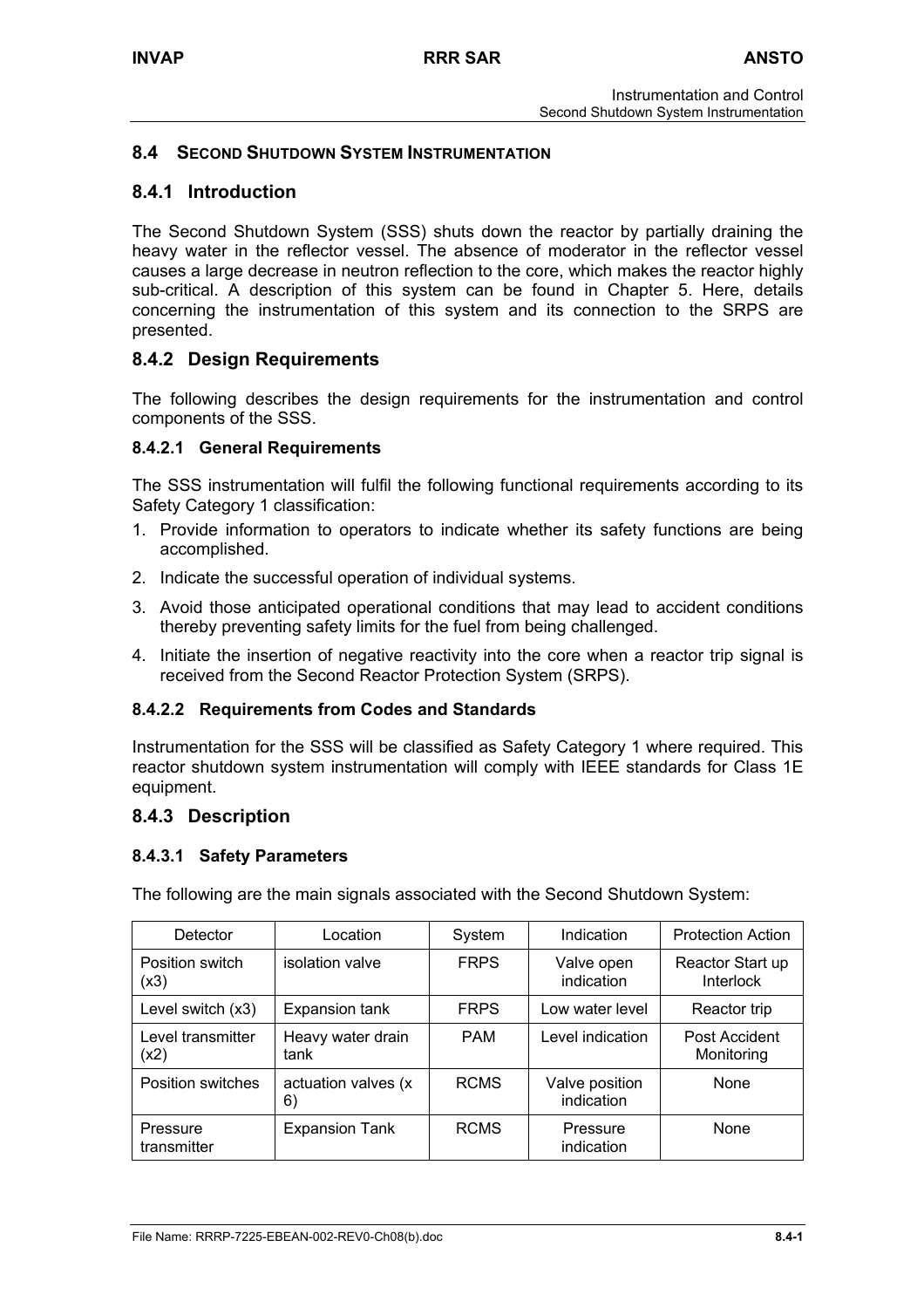# **8.4 SECOND SHUTDOWN SYSTEM INSTRUMENTATION**

# **8.4.1 Introduction**

The Second Shutdown System (SSS) shuts down the reactor by partially draining the heavy water in the reflector vessel. The absence of moderator in the reflector vessel causes a large decrease in neutron reflection to the core, which makes the reactor highly sub-critical. A description of this system can be found in Chapter 5. Here, details concerning the instrumentation of this system and its connection to the SRPS are presented.

# **8.4.2 Design Requirements**

The following describes the design requirements for the instrumentation and control components of the SSS.

## **8.4.2.1 General Requirements**

The SSS instrumentation will fulfil the following functional requirements according to its Safety Category 1 classification:

- 1. Provide information to operators to indicate whether its safety functions are being accomplished.
- 2. Indicate the successful operation of individual systems.
- 3. Avoid those anticipated operational conditions that may lead to accident conditions thereby preventing safety limits for the fuel from being challenged.
- 4. Initiate the insertion of negative reactivity into the core when a reactor trip signal is received from the Second Reactor Protection System (SRPS).

### **8.4.2.2 Requirements from Codes and Standards**

Instrumentation for the SSS will be classified as Safety Category 1 where required. This reactor shutdown system instrumentation will comply with IEEE standards for Class 1E equipment.

### **8.4.3 Description**

### **8.4.3.1 Safety Parameters**

The following are the main signals associated with the Second Shutdown System:

| Detector                  | Location                  | System      | Indication                   | <b>Protection Action</b>             |
|---------------------------|---------------------------|-------------|------------------------------|--------------------------------------|
| Position switch<br>(x3)   | isolation valve           | <b>FRPS</b> | Valve open<br>indication     | Reactor Start up<br><b>Interlock</b> |
| Level switch (x3)         | Expansion tank            | <b>FRPS</b> | Low water level              | Reactor trip                         |
| Level transmitter<br>(x2) | Heavy water drain<br>tank | <b>PAM</b>  | Level indication             | Post Accident<br>Monitoring          |
| Position switches         | actuation valves (x<br>6) | <b>RCMS</b> | Valve position<br>indication | None                                 |
| Pressure<br>transmitter   | <b>Expansion Tank</b>     | <b>RCMS</b> | Pressure<br>indication       | <b>None</b>                          |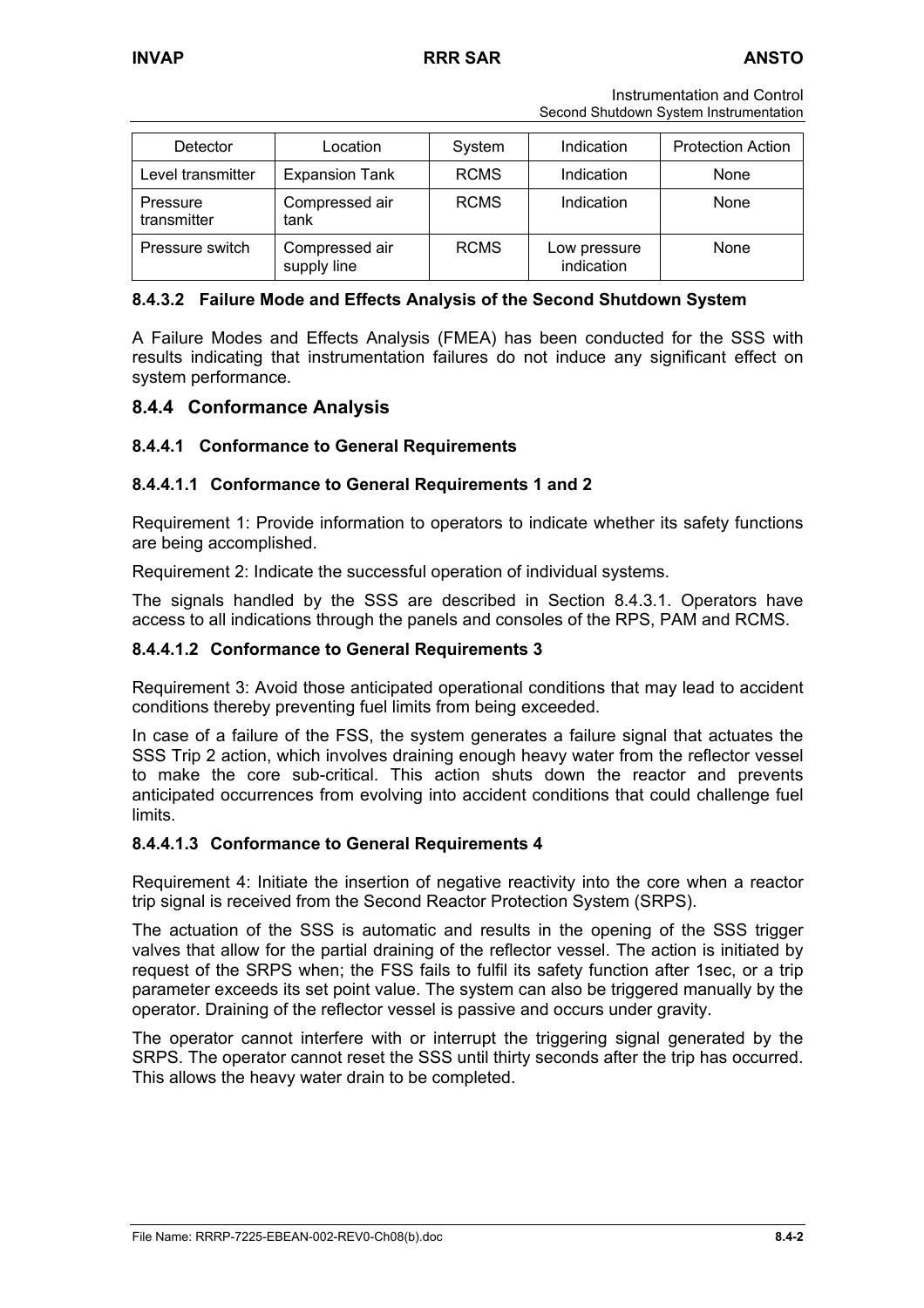Instrumentation and Control Second Shutdown System Instrumentation

| Detector                | Location                      | System      | Indication                 | <b>Protection Action</b> |
|-------------------------|-------------------------------|-------------|----------------------------|--------------------------|
| Level transmitter       | <b>Expansion Tank</b>         | <b>RCMS</b> | Indication                 | None                     |
| Pressure<br>transmitter | Compressed air<br>tank        | <b>RCMS</b> | Indication                 | None                     |
| Pressure switch         | Compressed air<br>supply line | <b>RCMS</b> | Low pressure<br>indication | None                     |

### **8.4.3.2 Failure Mode and Effects Analysis of the Second Shutdown System**

A Failure Modes and Effects Analysis (FMEA) has been conducted for the SSS with results indicating that instrumentation failures do not induce any significant effect on system performance.

## **8.4.4 Conformance Analysis**

## **8.4.4.1 Conformance to General Requirements**

### **8.4.4.1.1 Conformance to General Requirements 1 and 2**

Requirement 1: Provide information to operators to indicate whether its safety functions are being accomplished.

Requirement 2: Indicate the successful operation of individual systems.

The signals handled by the SSS are described in Section 8.4.3.1. Operators have access to all indications through the panels and consoles of the RPS, PAM and RCMS.

### **8.4.4.1.2 Conformance to General Requirements 3**

Requirement 3: Avoid those anticipated operational conditions that may lead to accident conditions thereby preventing fuel limits from being exceeded.

In case of a failure of the FSS, the system generates a failure signal that actuates the SSS Trip 2 action, which involves draining enough heavy water from the reflector vessel to make the core sub-critical. This action shuts down the reactor and prevents anticipated occurrences from evolving into accident conditions that could challenge fuel limits.

### **8.4.4.1.3 Conformance to General Requirements 4**

Requirement 4: Initiate the insertion of negative reactivity into the core when a reactor trip signal is received from the Second Reactor Protection System (SRPS).

The actuation of the SSS is automatic and results in the opening of the SSS trigger valves that allow for the partial draining of the reflector vessel. The action is initiated by request of the SRPS when; the FSS fails to fulfil its safety function after 1sec, or a trip parameter exceeds its set point value. The system can also be triggered manually by the operator. Draining of the reflector vessel is passive and occurs under gravity.

The operator cannot interfere with or interrupt the triggering signal generated by the SRPS. The operator cannot reset the SSS until thirty seconds after the trip has occurred. This allows the heavy water drain to be completed.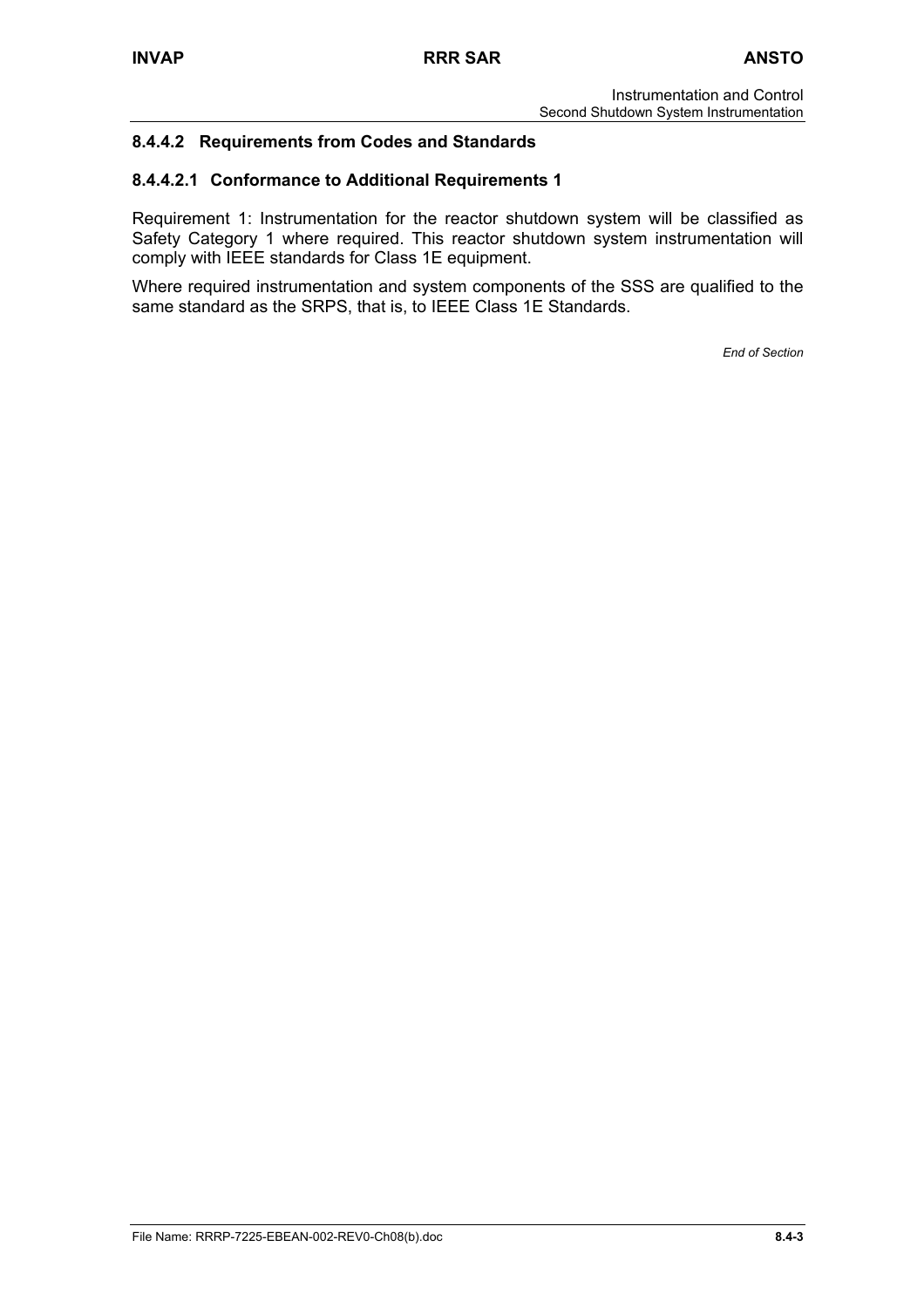# **8.4.4.2 Requirements from Codes and Standards**

## **8.4.4.2.1 Conformance to Additional Requirements 1**

Requirement 1: Instrumentation for the reactor shutdown system will be classified as Safety Category 1 where required. This reactor shutdown system instrumentation will comply with IEEE standards for Class 1E equipment.

Where required instrumentation and system components of the SSS are qualified to the same standard as the SRPS, that is, to IEEE Class 1E Standards.

*End of Section*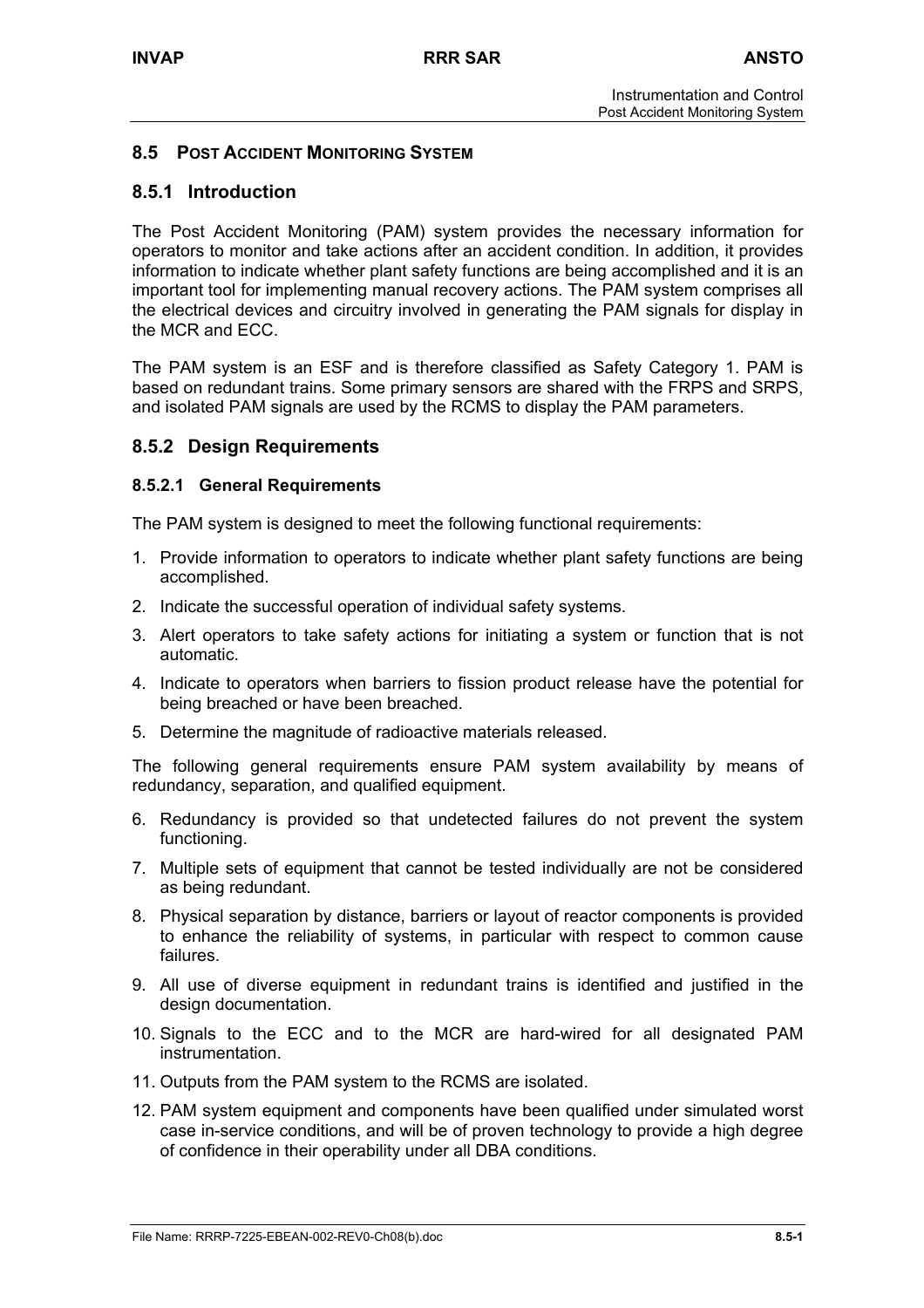# **8.5 POST ACCIDENT MONITORING SYSTEM**

# **8.5.1 Introduction**

The Post Accident Monitoring (PAM) system provides the necessary information for operators to monitor and take actions after an accident condition. In addition, it provides information to indicate whether plant safety functions are being accomplished and it is an important tool for implementing manual recovery actions. The PAM system comprises all the electrical devices and circuitry involved in generating the PAM signals for display in the MCR and ECC.

The PAM system is an ESF and is therefore classified as Safety Category 1. PAM is based on redundant trains. Some primary sensors are shared with the FRPS and SRPS, and isolated PAM signals are used by the RCMS to display the PAM parameters.

## **8.5.2 Design Requirements**

### **8.5.2.1 General Requirements**

The PAM system is designed to meet the following functional requirements:

- 1. Provide information to operators to indicate whether plant safety functions are being accomplished.
- 2. Indicate the successful operation of individual safety systems.
- 3. Alert operators to take safety actions for initiating a system or function that is not automatic.
- 4. Indicate to operators when barriers to fission product release have the potential for being breached or have been breached.
- 5. Determine the magnitude of radioactive materials released.

The following general requirements ensure PAM system availability by means of redundancy, separation, and qualified equipment.

- 6. Redundancy is provided so that undetected failures do not prevent the system functioning.
- 7. Multiple sets of equipment that cannot be tested individually are not be considered as being redundant.
- 8. Physical separation by distance, barriers or layout of reactor components is provided to enhance the reliability of systems, in particular with respect to common cause failures.
- 9. All use of diverse equipment in redundant trains is identified and justified in the design documentation.
- 10. Signals to the ECC and to the MCR are hard-wired for all designated PAM instrumentation.
- 11. Outputs from the PAM system to the RCMS are isolated.
- 12. PAM system equipment and components have been qualified under simulated worst case in-service conditions, and will be of proven technology to provide a high degree of confidence in their operability under all DBA conditions.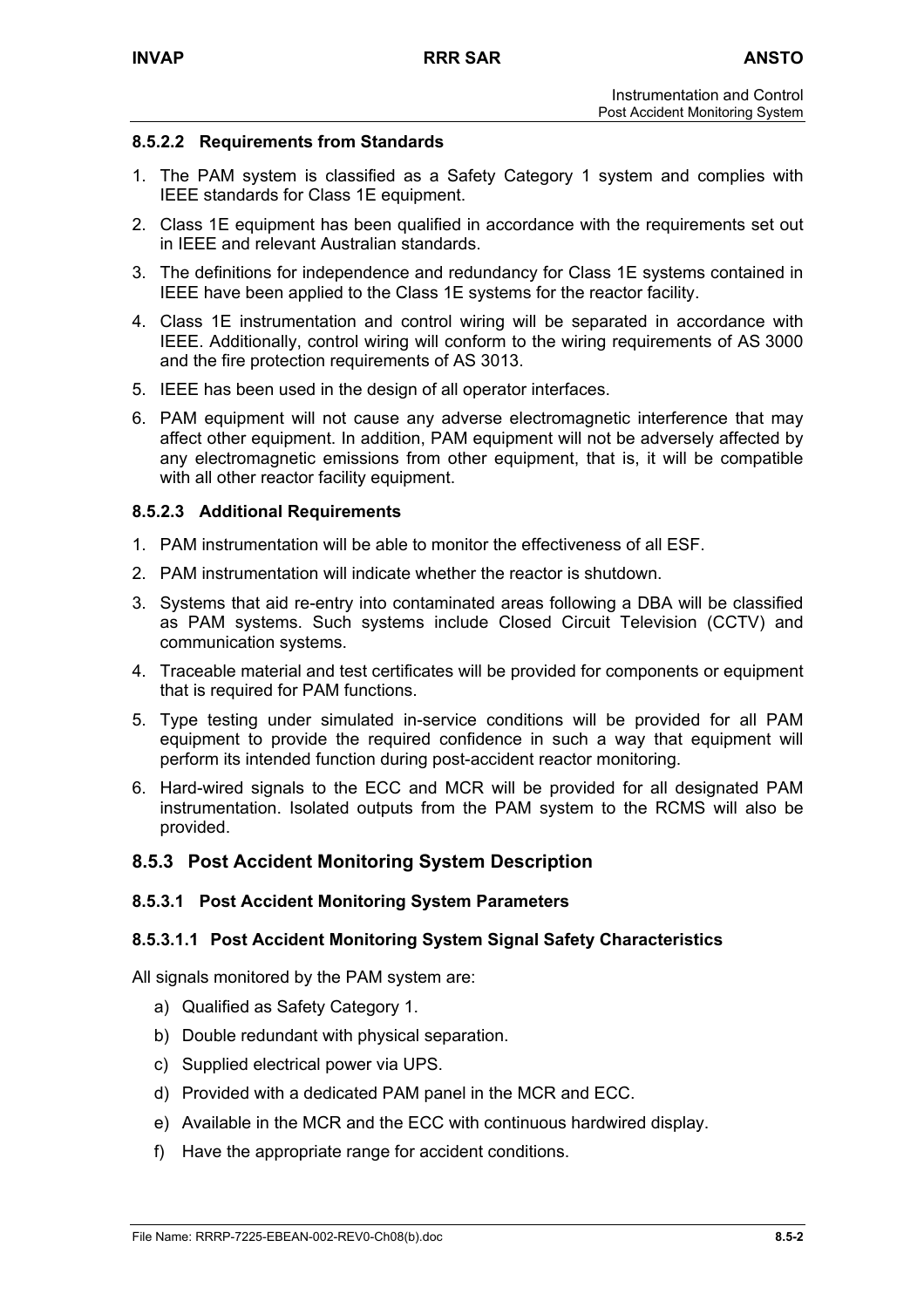## **8.5.2.2 Requirements from Standards**

- 1. The PAM system is classified as a Safety Category 1 system and complies with IEEE standards for Class 1E equipment.
- 2. Class 1E equipment has been qualified in accordance with the requirements set out in IEEE and relevant Australian standards.
- 3. The definitions for independence and redundancy for Class 1E systems contained in IEEE have been applied to the Class 1E systems for the reactor facility.
- 4. Class 1E instrumentation and control wiring will be separated in accordance with IEEE. Additionally, control wiring will conform to the wiring requirements of AS 3000 and the fire protection requirements of AS 3013.
- 5. IEEE has been used in the design of all operator interfaces.
- 6. PAM equipment will not cause any adverse electromagnetic interference that may affect other equipment. In addition, PAM equipment will not be adversely affected by any electromagnetic emissions from other equipment, that is, it will be compatible with all other reactor facility equipment.

## **8.5.2.3 Additional Requirements**

- 1. PAM instrumentation will be able to monitor the effectiveness of all ESF.
- 2. PAM instrumentation will indicate whether the reactor is shutdown.
- 3. Systems that aid re-entry into contaminated areas following a DBA will be classified as PAM systems. Such systems include Closed Circuit Television (CCTV) and communication systems.
- 4. Traceable material and test certificates will be provided for components or equipment that is required for PAM functions.
- 5. Type testing under simulated in-service conditions will be provided for all PAM equipment to provide the required confidence in such a way that equipment will perform its intended function during post-accident reactor monitoring.
- 6. Hard-wired signals to the ECC and MCR will be provided for all designated PAM instrumentation. Isolated outputs from the PAM system to the RCMS will also be provided.

## **8.5.3 Post Accident Monitoring System Description**

### **8.5.3.1 Post Accident Monitoring System Parameters**

### **8.5.3.1.1 Post Accident Monitoring System Signal Safety Characteristics**

All signals monitored by the PAM system are:

- a) Qualified as Safety Category 1.
- b) Double redundant with physical separation.
- c) Supplied electrical power via UPS.
- d) Provided with a dedicated PAM panel in the MCR and ECC.
- e) Available in the MCR and the ECC with continuous hardwired display.
- f) Have the appropriate range for accident conditions.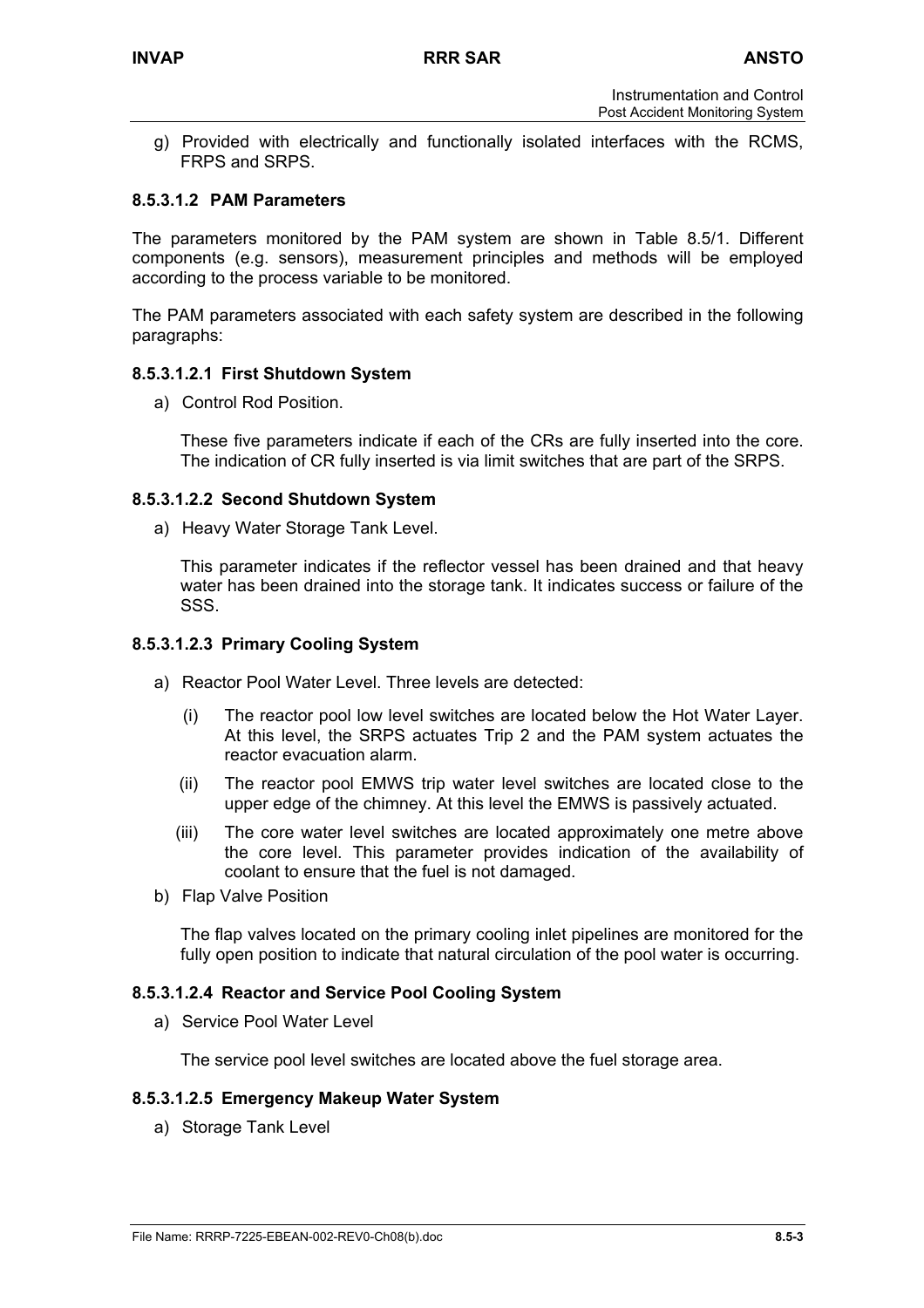g) Provided with electrically and functionally isolated interfaces with the RCMS, FRPS and SRPS.

### **8.5.3.1.2 PAM Parameters**

The parameters monitored by the PAM system are shown in Table 8.5/1. Different components (e.g. sensors), measurement principles and methods will be employed according to the process variable to be monitored.

The PAM parameters associated with each safety system are described in the following paragraphs:

### **8.5.3.1.2.1 First Shutdown System**

a) Control Rod Position.

These five parameters indicate if each of the CRs are fully inserted into the core. The indication of CR fully inserted is via limit switches that are part of the SRPS.

### **8.5.3.1.2.2 Second Shutdown System**

a) Heavy Water Storage Tank Level.

This parameter indicates if the reflector vessel has been drained and that heavy water has been drained into the storage tank. It indicates success or failure of the SSS.

### **8.5.3.1.2.3 Primary Cooling System**

- a) Reactor Pool Water Level. Three levels are detected:
	- (i) The reactor pool low level switches are located below the Hot Water Layer. At this level, the SRPS actuates Trip 2 and the PAM system actuates the reactor evacuation alarm.
	- (ii) The reactor pool EMWS trip water level switches are located close to the upper edge of the chimney. At this level the EMWS is passively actuated.
	- (iii) The core water level switches are located approximately one metre above the core level. This parameter provides indication of the availability of coolant to ensure that the fuel is not damaged.
- b) Flap Valve Position

The flap valves located on the primary cooling inlet pipelines are monitored for the fully open position to indicate that natural circulation of the pool water is occurring.

### **8.5.3.1.2.4 Reactor and Service Pool Cooling System**

a) Service Pool Water Level

The service pool level switches are located above the fuel storage area.

### **8.5.3.1.2.5 Emergency Makeup Water System**

a) Storage Tank Level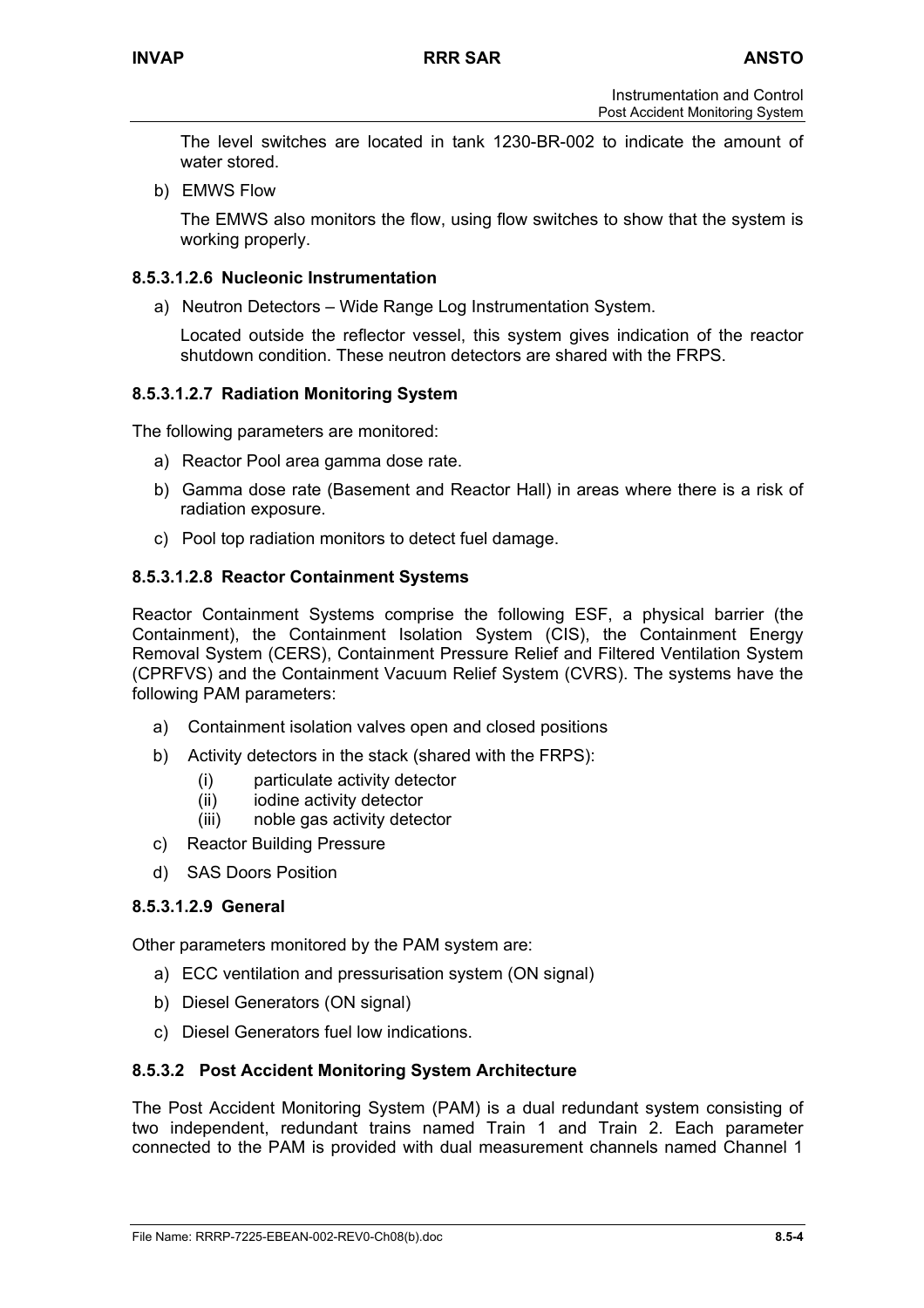The level switches are located in tank 1230-BR-002 to indicate the amount of water stored.

b) EMWS Flow

The EMWS also monitors the flow, using flow switches to show that the system is working properly.

## **8.5.3.1.2.6 Nucleonic Instrumentation**

a) Neutron Detectors – Wide Range Log Instrumentation System.

Located outside the reflector vessel, this system gives indication of the reactor shutdown condition. These neutron detectors are shared with the FRPS.

## **8.5.3.1.2.7 Radiation Monitoring System**

The following parameters are monitored:

- a) Reactor Pool area gamma dose rate.
- b) Gamma dose rate (Basement and Reactor Hall) in areas where there is a risk of radiation exposure.
- c) Pool top radiation monitors to detect fuel damage.

## **8.5.3.1.2.8 Reactor Containment Systems**

Reactor Containment Systems comprise the following ESF, a physical barrier (the Containment), the Containment Isolation System (CIS), the Containment Energy Removal System (CERS), Containment Pressure Relief and Filtered Ventilation System (CPRFVS) and the Containment Vacuum Relief System (CVRS). The systems have the following PAM parameters:

- a) Containment isolation valves open and closed positions
- b) Activity detectors in the stack (shared with the FRPS):
	- (i) particulate activity detector
	- (ii) iodine activity detector
	- (iii) noble gas activity detector
- c) Reactor Building Pressure
- d) SAS Doors Position

### **8.5.3.1.2.9 General**

Other parameters monitored by the PAM system are:

- a) ECC ventilation and pressurisation system (ON signal)
- b) Diesel Generators (ON signal)
- c) Diesel Generators fuel low indications.

### **8.5.3.2 Post Accident Monitoring System Architecture**

The Post Accident Monitoring System (PAM) is a dual redundant system consisting of two independent, redundant trains named Train 1 and Train 2. Each parameter connected to the PAM is provided with dual measurement channels named Channel 1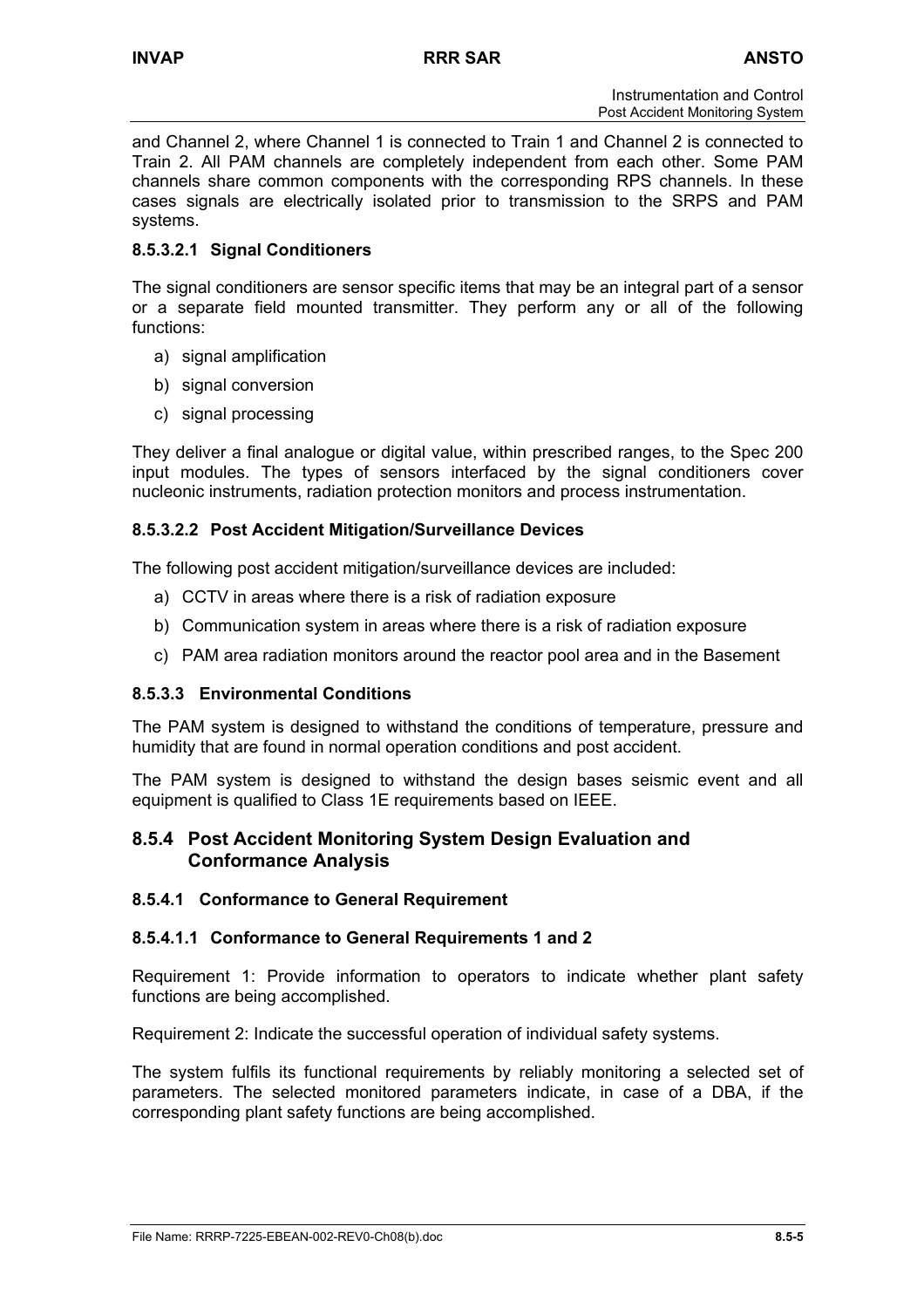and Channel 2, where Channel 1 is connected to Train 1 and Channel 2 is connected to Train 2. All PAM channels are completely independent from each other. Some PAM channels share common components with the corresponding RPS channels. In these cases signals are electrically isolated prior to transmission to the SRPS and PAM systems.

# **8.5.3.2.1 Signal Conditioners**

The signal conditioners are sensor specific items that may be an integral part of a sensor or a separate field mounted transmitter. They perform any or all of the following functions:

- a) signal amplification
- b) signal conversion
- c) signal processing

They deliver a final analogue or digital value, within prescribed ranges, to the Spec 200 input modules. The types of sensors interfaced by the signal conditioners cover nucleonic instruments, radiation protection monitors and process instrumentation.

## **8.5.3.2.2 Post Accident Mitigation/Surveillance Devices**

The following post accident mitigation/surveillance devices are included:

- a) CCTV in areas where there is a risk of radiation exposure
- b) Communication system in areas where there is a risk of radiation exposure
- c) PAM area radiation monitors around the reactor pool area and in the Basement

## **8.5.3.3 Environmental Conditions**

The PAM system is designed to withstand the conditions of temperature, pressure and humidity that are found in normal operation conditions and post accident.

The PAM system is designed to withstand the design bases seismic event and all equipment is qualified to Class 1E requirements based on IEEE.

## **8.5.4 Post Accident Monitoring System Design Evaluation and Conformance Analysis**

### **8.5.4.1 Conformance to General Requirement**

### **8.5.4.1.1 Conformance to General Requirements 1 and 2**

Requirement 1: Provide information to operators to indicate whether plant safety functions are being accomplished.

Requirement 2: Indicate the successful operation of individual safety systems.

The system fulfils its functional requirements by reliably monitoring a selected set of parameters. The selected monitored parameters indicate, in case of a DBA, if the corresponding plant safety functions are being accomplished.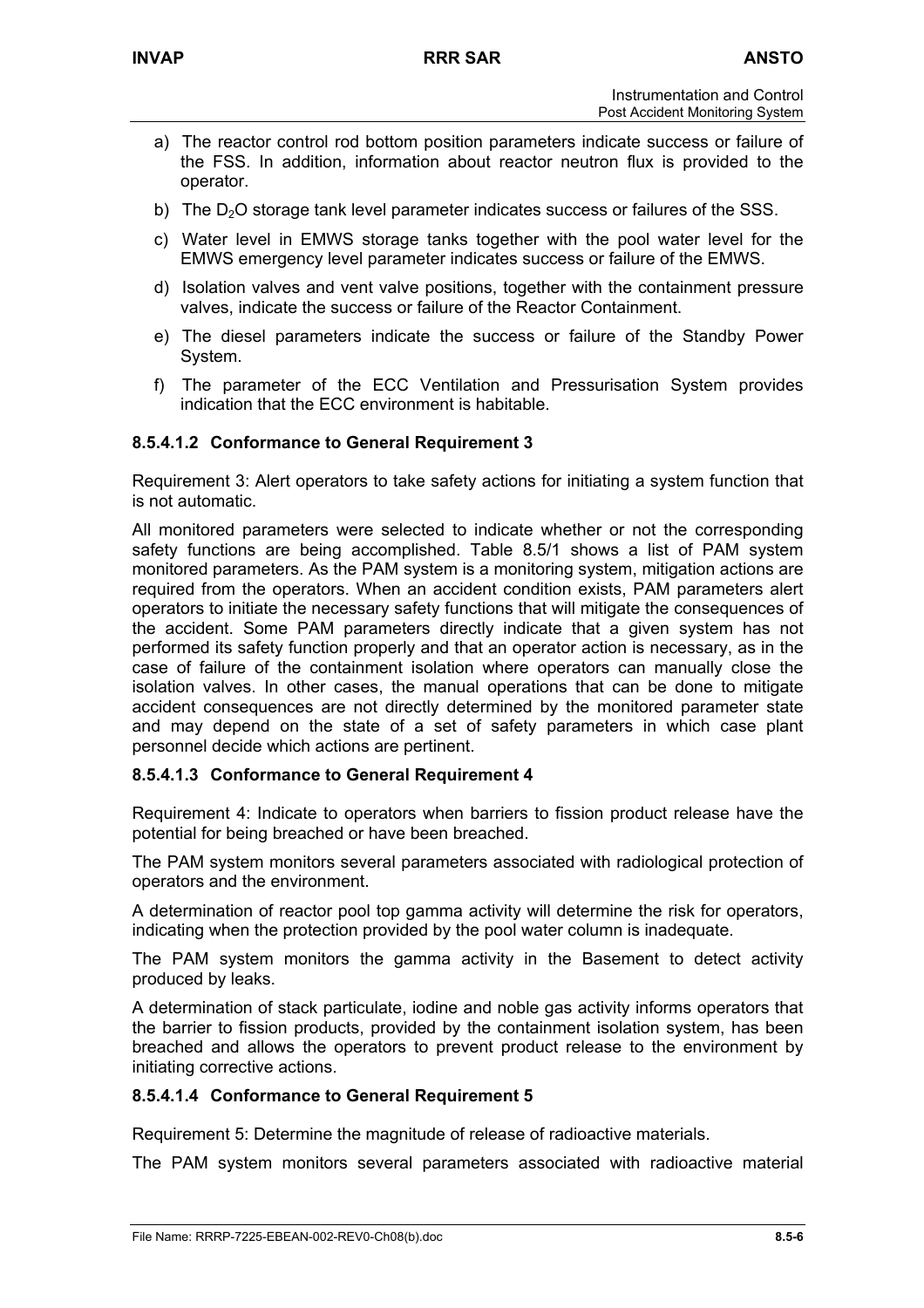- a) The reactor control rod bottom position parameters indicate success or failure of the FSS. In addition, information about reactor neutron flux is provided to the operator.
- b) The  $D<sub>2</sub>O$  storage tank level parameter indicates success or failures of the SSS.
- c) Water level in EMWS storage tanks together with the pool water level for the EMWS emergency level parameter indicates success or failure of the EMWS.
- d) Isolation valves and vent valve positions, together with the containment pressure valves, indicate the success or failure of the Reactor Containment.
- e) The diesel parameters indicate the success or failure of the Standby Power System.
- f) The parameter of the ECC Ventilation and Pressurisation System provides indication that the ECC environment is habitable.

## **8.5.4.1.2 Conformance to General Requirement 3**

Requirement 3: Alert operators to take safety actions for initiating a system function that is not automatic.

All monitored parameters were selected to indicate whether or not the corresponding safety functions are being accomplished. Table 8.5/1 shows a list of PAM system monitored parameters. As the PAM system is a monitoring system, mitigation actions are required from the operators. When an accident condition exists, PAM parameters alert operators to initiate the necessary safety functions that will mitigate the consequences of the accident. Some PAM parameters directly indicate that a given system has not performed its safety function properly and that an operator action is necessary, as in the case of failure of the containment isolation where operators can manually close the isolation valves. In other cases, the manual operations that can be done to mitigate accident consequences are not directly determined by the monitored parameter state and may depend on the state of a set of safety parameters in which case plant personnel decide which actions are pertinent.

### **8.5.4.1.3 Conformance to General Requirement 4**

Requirement 4: Indicate to operators when barriers to fission product release have the potential for being breached or have been breached.

The PAM system monitors several parameters associated with radiological protection of operators and the environment.

A determination of reactor pool top gamma activity will determine the risk for operators, indicating when the protection provided by the pool water column is inadequate.

The PAM system monitors the gamma activity in the Basement to detect activity produced by leaks.

A determination of stack particulate, iodine and noble gas activity informs operators that the barrier to fission products, provided by the containment isolation system, has been breached and allows the operators to prevent product release to the environment by initiating corrective actions.

## **8.5.4.1.4 Conformance to General Requirement 5**

Requirement 5: Determine the magnitude of release of radioactive materials.

The PAM system monitors several parameters associated with radioactive material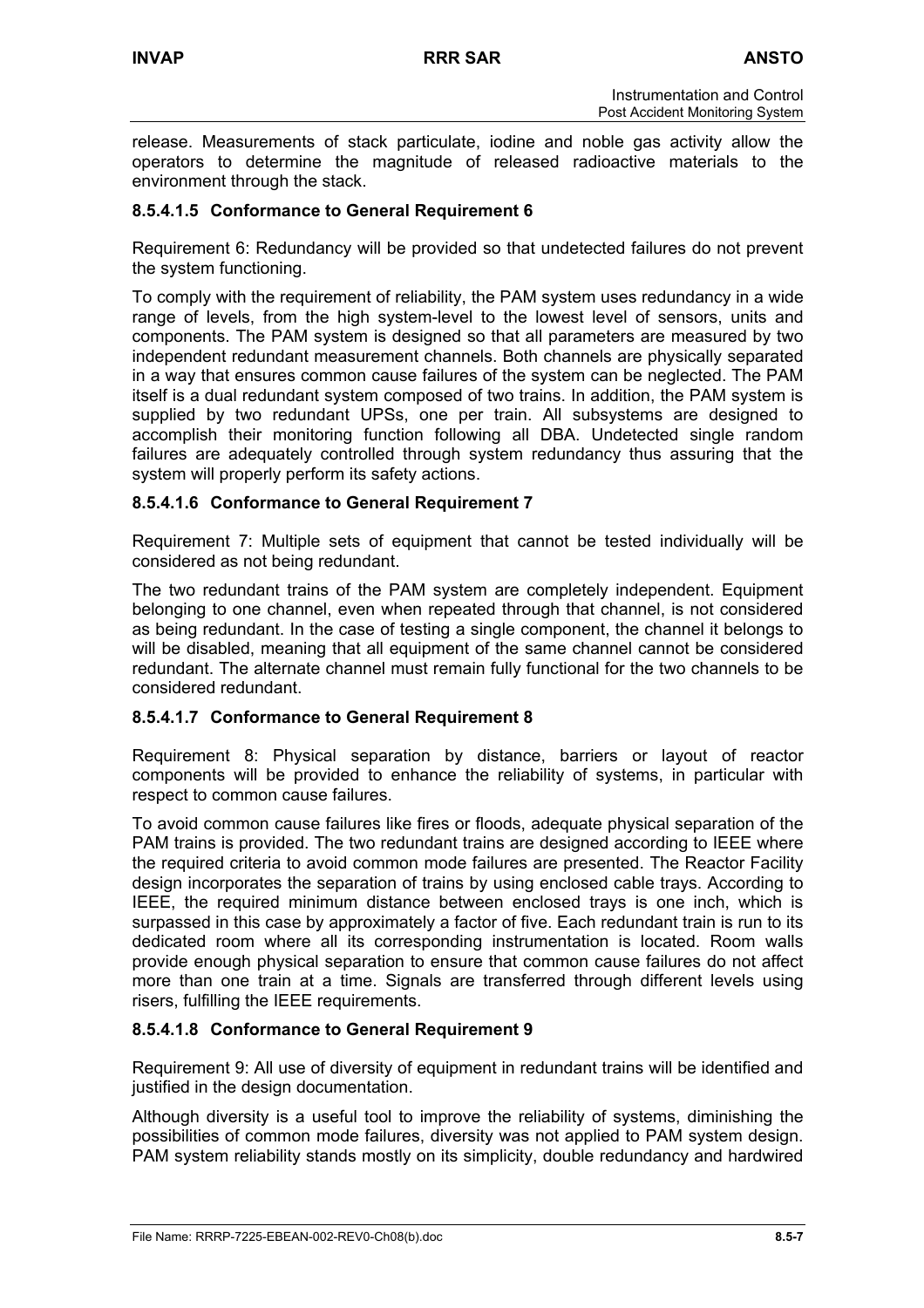release. Measurements of stack particulate, iodine and noble gas activity allow the operators to determine the magnitude of released radioactive materials to the environment through the stack.

## **8.5.4.1.5 Conformance to General Requirement 6**

Requirement 6: Redundancy will be provided so that undetected failures do not prevent the system functioning.

To comply with the requirement of reliability, the PAM system uses redundancy in a wide range of levels, from the high system-level to the lowest level of sensors, units and components. The PAM system is designed so that all parameters are measured by two independent redundant measurement channels. Both channels are physically separated in a way that ensures common cause failures of the system can be neglected. The PAM itself is a dual redundant system composed of two trains. In addition, the PAM system is supplied by two redundant UPSs, one per train. All subsystems are designed to accomplish their monitoring function following all DBA. Undetected single random failures are adequately controlled through system redundancy thus assuring that the system will properly perform its safety actions.

## **8.5.4.1.6 Conformance to General Requirement 7**

Requirement 7: Multiple sets of equipment that cannot be tested individually will be considered as not being redundant.

The two redundant trains of the PAM system are completely independent. Equipment belonging to one channel, even when repeated through that channel, is not considered as being redundant. In the case of testing a single component, the channel it belongs to will be disabled, meaning that all equipment of the same channel cannot be considered redundant. The alternate channel must remain fully functional for the two channels to be considered redundant.

### **8.5.4.1.7 Conformance to General Requirement 8**

Requirement 8: Physical separation by distance, barriers or layout of reactor components will be provided to enhance the reliability of systems, in particular with respect to common cause failures.

To avoid common cause failures like fires or floods, adequate physical separation of the PAM trains is provided. The two redundant trains are designed according to IEEE where the required criteria to avoid common mode failures are presented. The Reactor Facility design incorporates the separation of trains by using enclosed cable trays. According to IEEE, the required minimum distance between enclosed trays is one inch, which is surpassed in this case by approximately a factor of five. Each redundant train is run to its dedicated room where all its corresponding instrumentation is located. Room walls provide enough physical separation to ensure that common cause failures do not affect more than one train at a time. Signals are transferred through different levels using risers, fulfilling the IEEE requirements.

## **8.5.4.1.8 Conformance to General Requirement 9**

Requirement 9: All use of diversity of equipment in redundant trains will be identified and justified in the design documentation.

Although diversity is a useful tool to improve the reliability of systems, diminishing the possibilities of common mode failures, diversity was not applied to PAM system design. PAM system reliability stands mostly on its simplicity, double redundancy and hardwired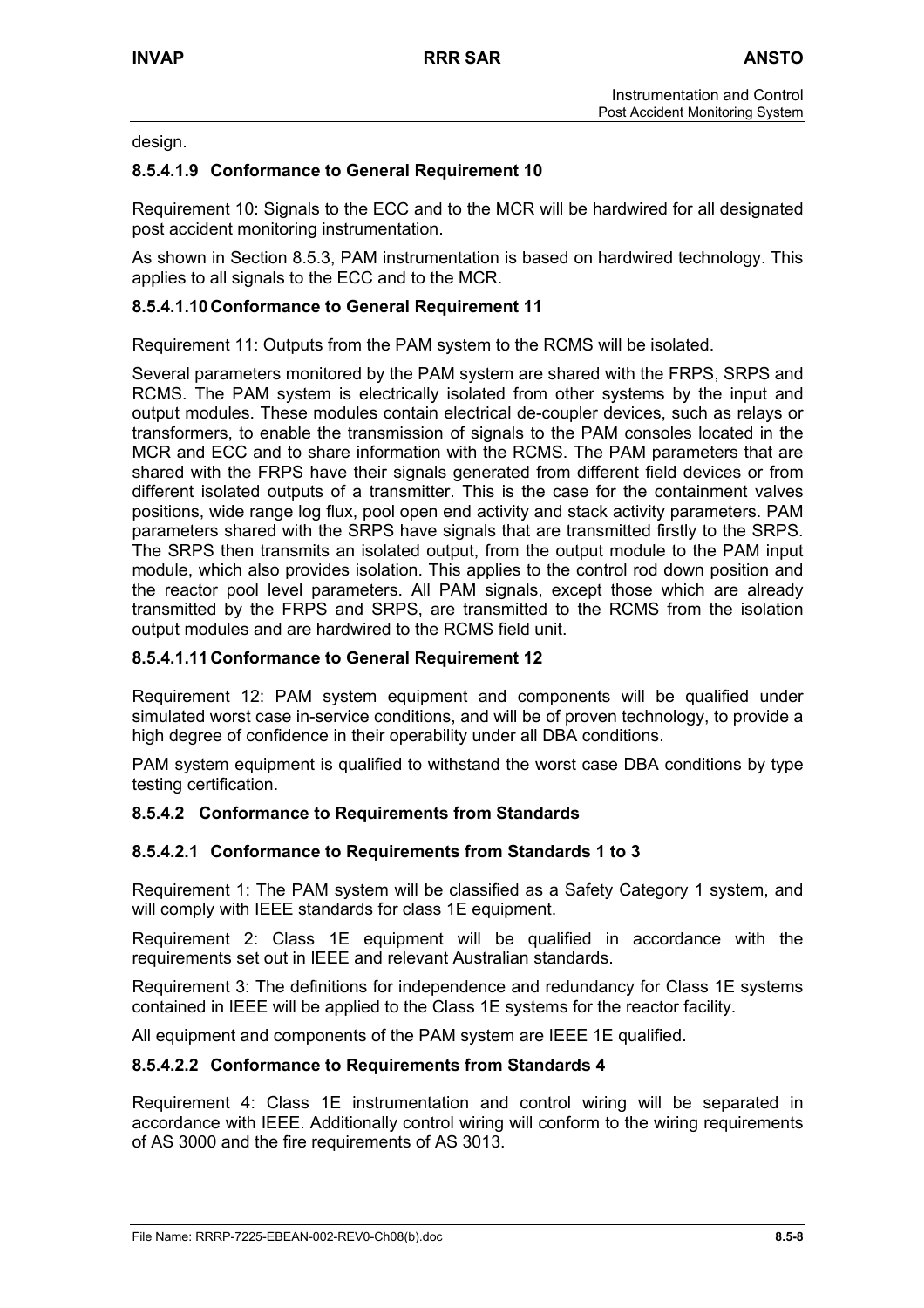design.

### **8.5.4.1.9 Conformance to General Requirement 10**

Requirement 10: Signals to the ECC and to the MCR will be hardwired for all designated post accident monitoring instrumentation.

As shown in Section 8.5.3, PAM instrumentation is based on hardwired technology. This applies to all signals to the ECC and to the MCR.

### **8.5.4.1.10 Conformance to General Requirement 11**

Requirement 11: Outputs from the PAM system to the RCMS will be isolated.

Several parameters monitored by the PAM system are shared with the FRPS, SRPS and RCMS. The PAM system is electrically isolated from other systems by the input and output modules. These modules contain electrical de-coupler devices, such as relays or transformers, to enable the transmission of signals to the PAM consoles located in the MCR and ECC and to share information with the RCMS. The PAM parameters that are shared with the FRPS have their signals generated from different field devices or from different isolated outputs of a transmitter. This is the case for the containment valves positions, wide range log flux, pool open end activity and stack activity parameters. PAM parameters shared with the SRPS have signals that are transmitted firstly to the SRPS. The SRPS then transmits an isolated output, from the output module to the PAM input module, which also provides isolation. This applies to the control rod down position and the reactor pool level parameters. All PAM signals, except those which are already transmitted by the FRPS and SRPS, are transmitted to the RCMS from the isolation output modules and are hardwired to the RCMS field unit.

### **8.5.4.1.11 Conformance to General Requirement 12**

Requirement 12: PAM system equipment and components will be qualified under simulated worst case in-service conditions, and will be of proven technology, to provide a high degree of confidence in their operability under all DBA conditions.

PAM system equipment is qualified to withstand the worst case DBA conditions by type testing certification.

### **8.5.4.2 Conformance to Requirements from Standards**

### **8.5.4.2.1 Conformance to Requirements from Standards 1 to 3**

Requirement 1: The PAM system will be classified as a Safety Category 1 system, and will comply with IEEE standards for class 1E equipment.

Requirement 2: Class 1E equipment will be qualified in accordance with the requirements set out in IEEE and relevant Australian standards.

Requirement 3: The definitions for independence and redundancy for Class 1E systems contained in IEEE will be applied to the Class 1E systems for the reactor facility.

All equipment and components of the PAM system are IEEE 1E qualified.

### **8.5.4.2.2 Conformance to Requirements from Standards 4**

Requirement 4: Class 1E instrumentation and control wiring will be separated in accordance with IEEE. Additionally control wiring will conform to the wiring requirements of AS 3000 and the fire requirements of AS 3013.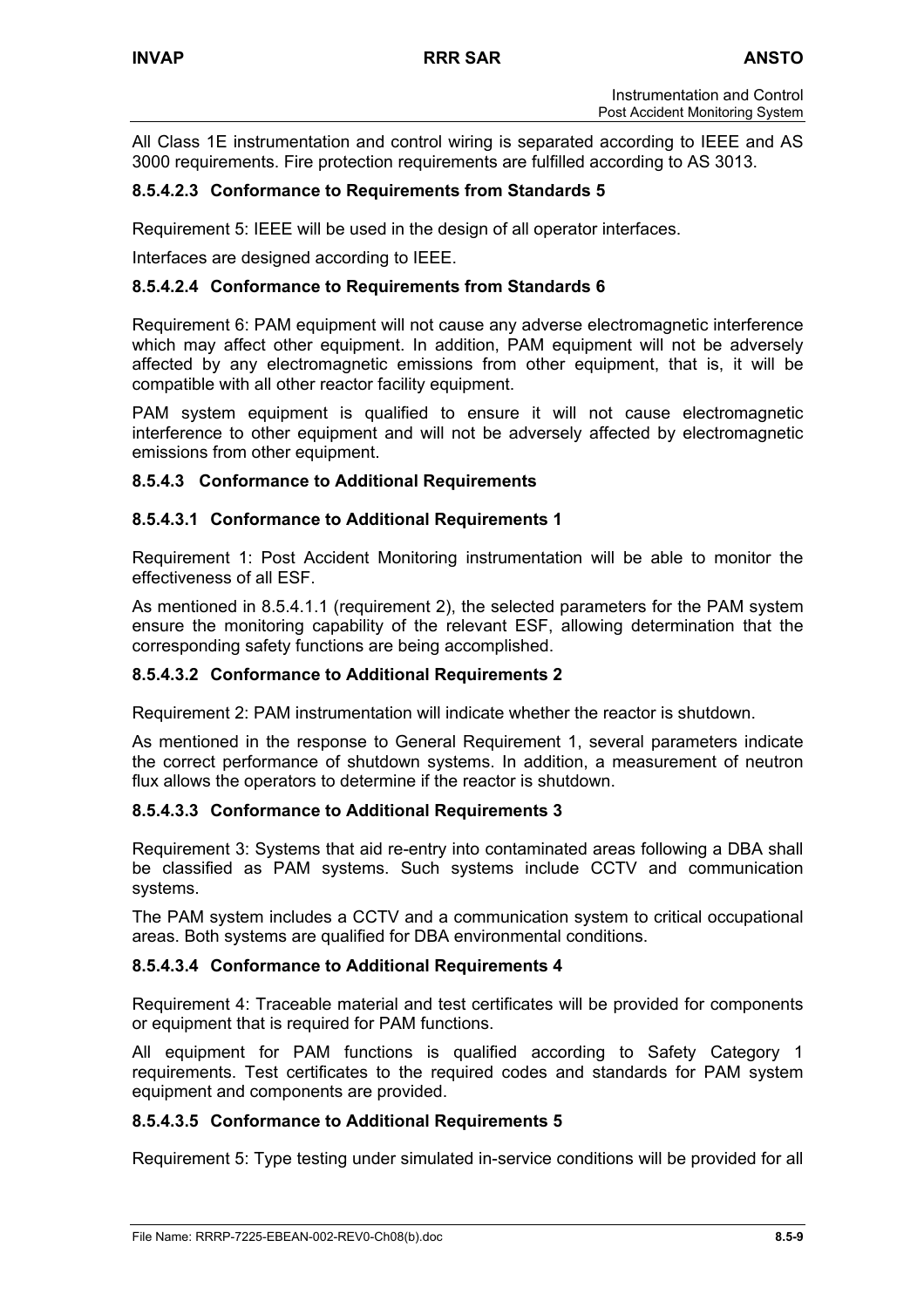All Class 1E instrumentation and control wiring is separated according to IEEE and AS 3000 requirements. Fire protection requirements are fulfilled according to AS 3013.

# **8.5.4.2.3 Conformance to Requirements from Standards 5**

Requirement 5: IEEE will be used in the design of all operator interfaces.

Interfaces are designed according to IEEE.

## **8.5.4.2.4 Conformance to Requirements from Standards 6**

Requirement 6: PAM equipment will not cause any adverse electromagnetic interference which may affect other equipment. In addition, PAM equipment will not be adversely affected by any electromagnetic emissions from other equipment, that is, it will be compatible with all other reactor facility equipment.

PAM system equipment is qualified to ensure it will not cause electromagnetic interference to other equipment and will not be adversely affected by electromagnetic emissions from other equipment.

## **8.5.4.3 Conformance to Additional Requirements**

## **8.5.4.3.1 Conformance to Additional Requirements 1**

Requirement 1: Post Accident Monitoring instrumentation will be able to monitor the effectiveness of all ESF.

As mentioned in 8.5.4.1.1 (requirement 2), the selected parameters for the PAM system ensure the monitoring capability of the relevant ESF, allowing determination that the corresponding safety functions are being accomplished.

## **8.5.4.3.2 Conformance to Additional Requirements 2**

Requirement 2: PAM instrumentation will indicate whether the reactor is shutdown.

As mentioned in the response to General Requirement 1, several parameters indicate the correct performance of shutdown systems. In addition, a measurement of neutron flux allows the operators to determine if the reactor is shutdown.

### **8.5.4.3.3 Conformance to Additional Requirements 3**

Requirement 3: Systems that aid re-entry into contaminated areas following a DBA shall be classified as PAM systems. Such systems include CCTV and communication systems.

The PAM system includes a CCTV and a communication system to critical occupational areas. Both systems are qualified for DBA environmental conditions.

### **8.5.4.3.4 Conformance to Additional Requirements 4**

Requirement 4: Traceable material and test certificates will be provided for components or equipment that is required for PAM functions.

All equipment for PAM functions is qualified according to Safety Category 1 requirements. Test certificates to the required codes and standards for PAM system equipment and components are provided.

## **8.5.4.3.5 Conformance to Additional Requirements 5**

Requirement 5: Type testing under simulated in-service conditions will be provided for all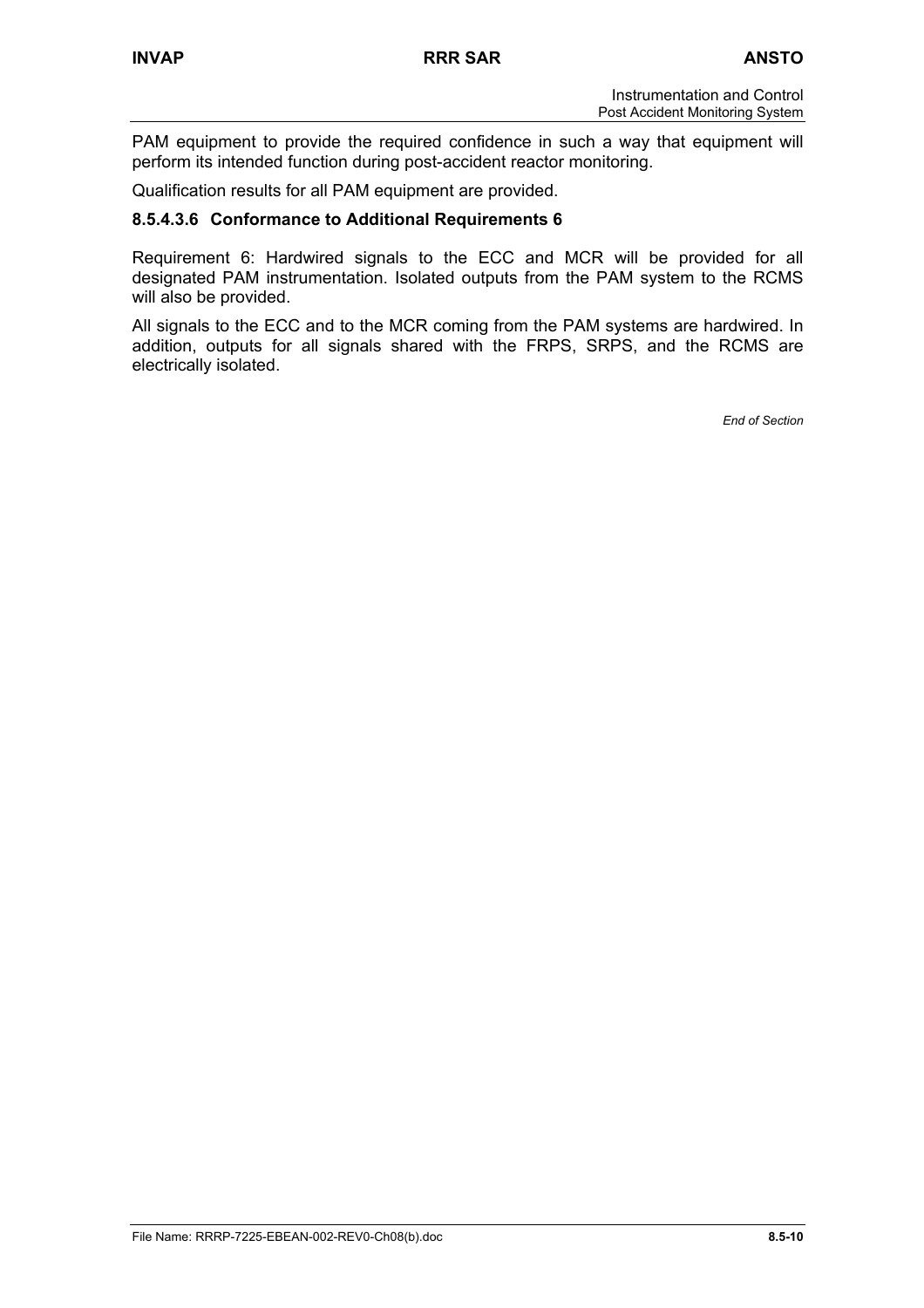PAM equipment to provide the required confidence in such a way that equipment will perform its intended function during post-accident reactor monitoring.

Qualification results for all PAM equipment are provided.

### **8.5.4.3.6 Conformance to Additional Requirements 6**

Requirement 6: Hardwired signals to the ECC and MCR will be provided for all designated PAM instrumentation. Isolated outputs from the PAM system to the RCMS will also be provided.

All signals to the ECC and to the MCR coming from the PAM systems are hardwired. In addition, outputs for all signals shared with the FRPS, SRPS, and the RCMS are electrically isolated.

*End of Section*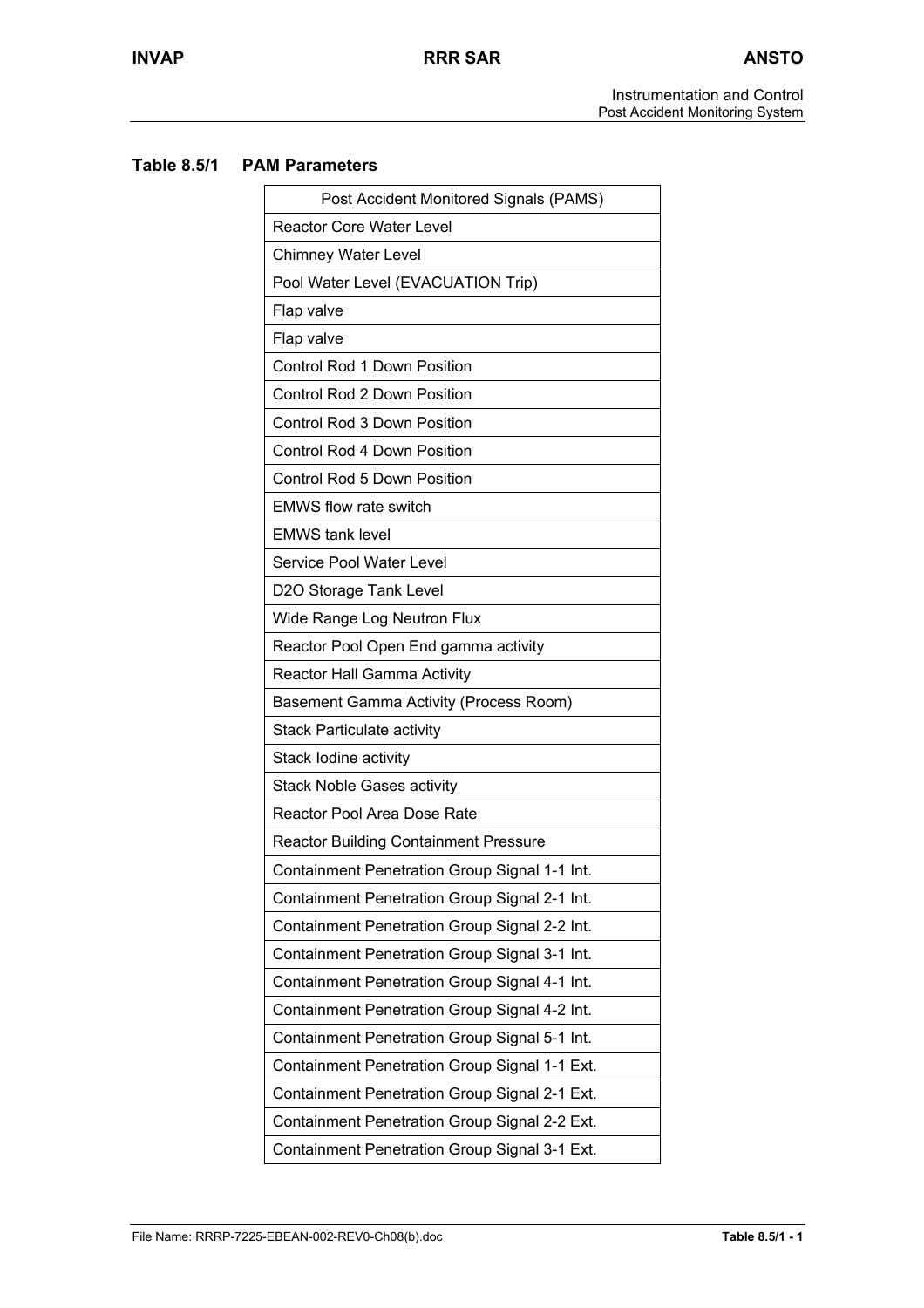Instrumentation and Control Post Accident Monitoring System

## **Table 8.5/1 PAM Parameters**

| Post Accident Monitored Signals (PAMS)        |
|-----------------------------------------------|
| <b>Reactor Core Water Level</b>               |
| <b>Chimney Water Level</b>                    |
| Pool Water Level (EVACUATION Trip)            |
| Flap valve                                    |
| Flap valve                                    |
| <b>Control Rod 1 Down Position</b>            |
| Control Rod 2 Down Position                   |
| Control Rod 3 Down Position                   |
| <b>Control Rod 4 Down Position</b>            |
| Control Rod 5 Down Position                   |
| <b>EMWS flow rate switch</b>                  |
| <b>EMWS tank level</b>                        |
| Service Pool Water Level                      |
| D2O Storage Tank Level                        |
| Wide Range Log Neutron Flux                   |
| Reactor Pool Open End gamma activity          |
| Reactor Hall Gamma Activity                   |
| Basement Gamma Activity (Process Room)        |
| <b>Stack Particulate activity</b>             |
| Stack lodine activity                         |
| <b>Stack Noble Gases activity</b>             |
| Reactor Pool Area Dose Rate                   |
| <b>Reactor Building Containment Pressure</b>  |
| Containment Penetration Group Signal 1-1 Int. |
| Containment Penetration Group Signal 2-1 Int. |
| Containment Penetration Group Signal 2-2 Int. |
| Containment Penetration Group Signal 3-1 Int. |
| Containment Penetration Group Signal 4-1 Int. |
| Containment Penetration Group Signal 4-2 Int. |
| Containment Penetration Group Signal 5-1 Int. |
| Containment Penetration Group Signal 1-1 Ext. |
| Containment Penetration Group Signal 2-1 Ext. |
| Containment Penetration Group Signal 2-2 Ext. |
| Containment Penetration Group Signal 3-1 Ext. |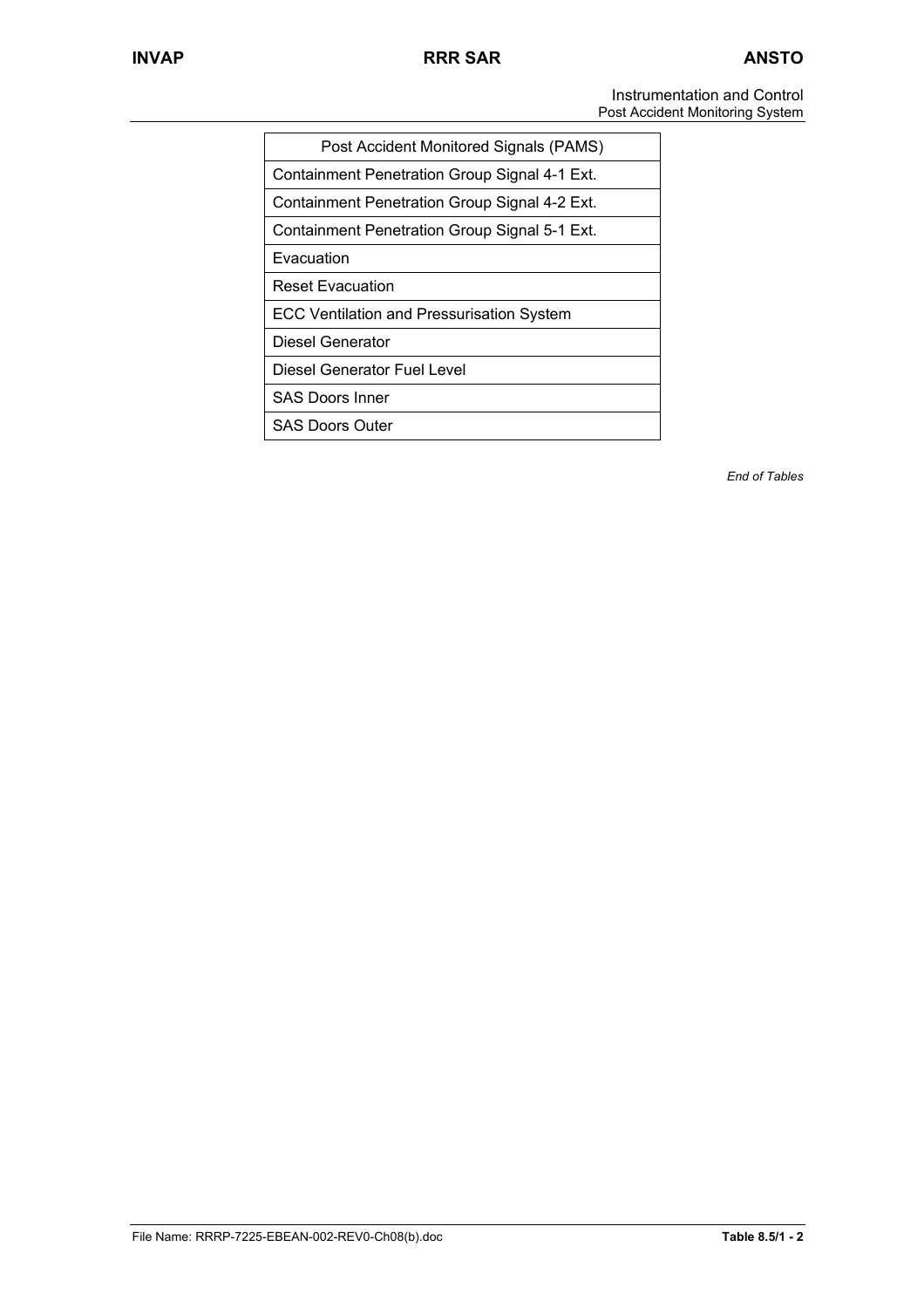Instrumentation and Control Post Accident Monitoring System

| Post Accident Monitored Signals (PAMS)        |
|-----------------------------------------------|
| Containment Penetration Group Signal 4-1 Ext. |
| Containment Penetration Group Signal 4-2 Ext. |
| Containment Penetration Group Signal 5-1 Ext. |
| Evacuation                                    |
| <b>Reset Evacuation</b>                       |
| ECC Ventilation and Pressurisation System     |
| Diesel Generator                              |
| Diesel Generator Fuel Level                   |
| <b>SAS Doors Inner</b>                        |
| <b>SAS Doors Outer</b>                        |

*End of Tables*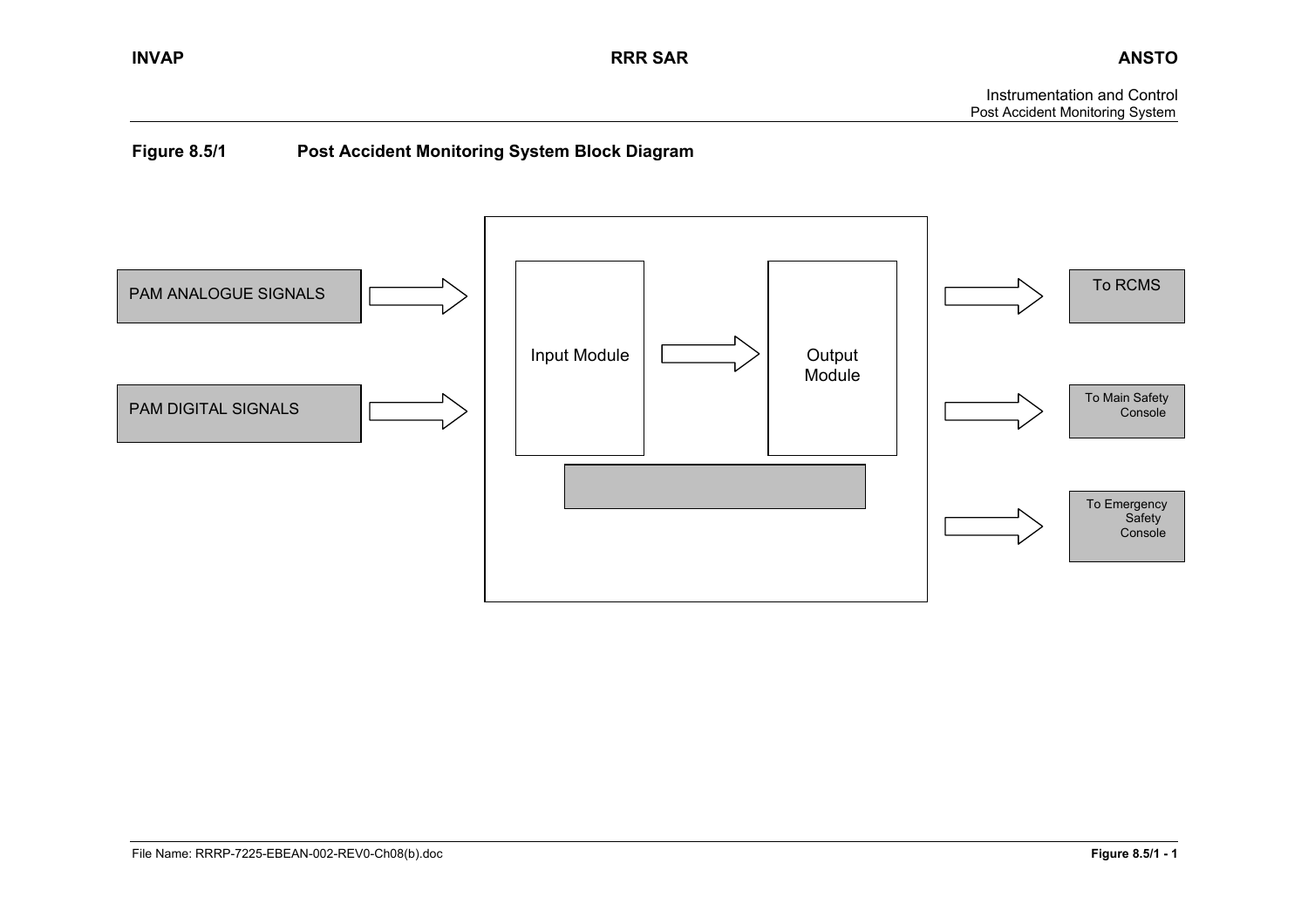# **Figure 8.5/1 Post Accident Monitoring System Block Diagram**

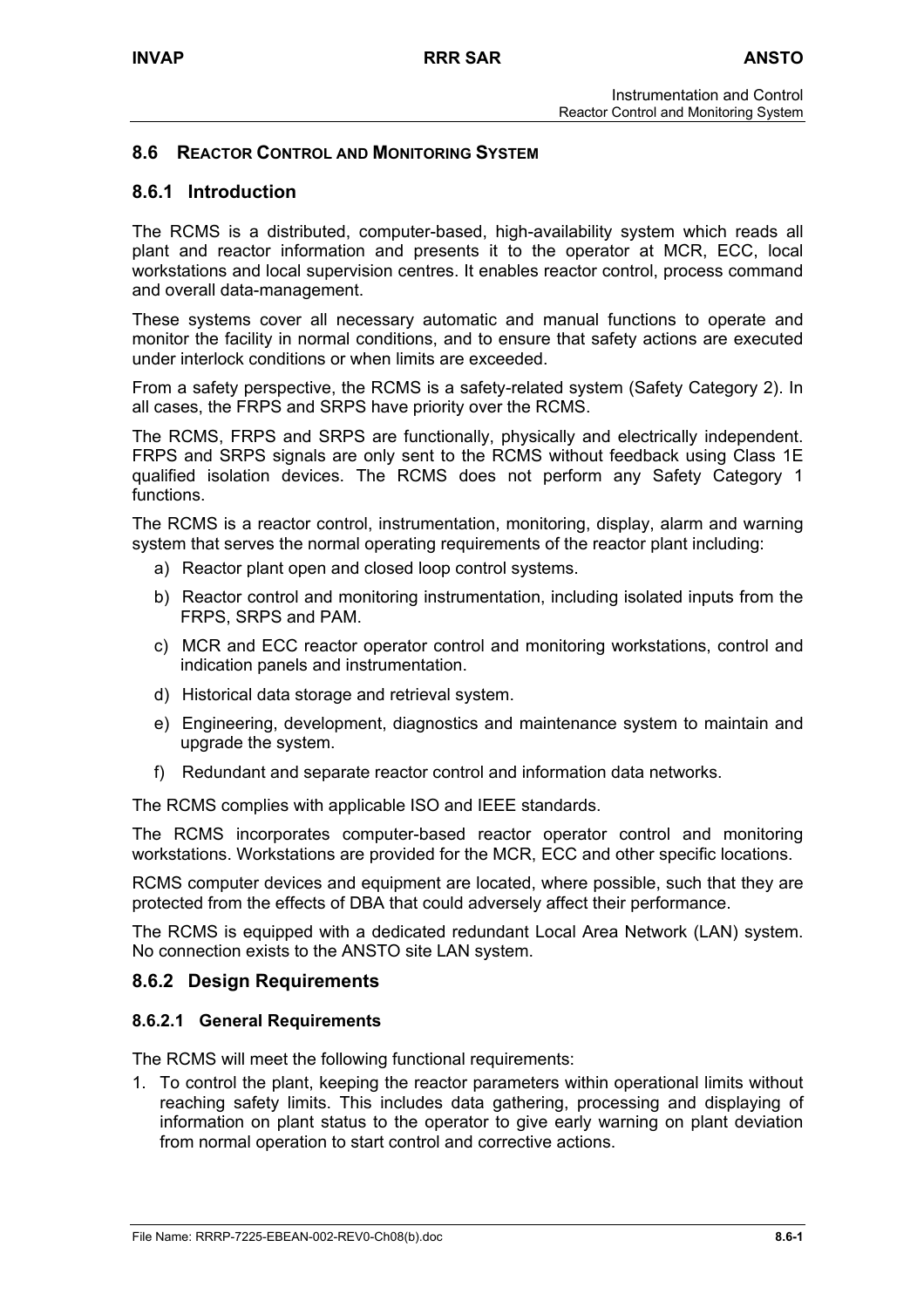## **8.6 REACTOR CONTROL AND MONITORING SYSTEM**

## **8.6.1 Introduction**

The RCMS is a distributed, computer-based, high-availability system which reads all plant and reactor information and presents it to the operator at MCR, ECC, local workstations and local supervision centres. It enables reactor control, process command and overall data-management.

These systems cover all necessary automatic and manual functions to operate and monitor the facility in normal conditions, and to ensure that safety actions are executed under interlock conditions or when limits are exceeded.

From a safety perspective, the RCMS is a safety-related system (Safety Category 2). In all cases, the FRPS and SRPS have priority over the RCMS.

The RCMS, FRPS and SRPS are functionally, physically and electrically independent. FRPS and SRPS signals are only sent to the RCMS without feedback using Class 1E qualified isolation devices. The RCMS does not perform any Safety Category 1 functions.

The RCMS is a reactor control, instrumentation, monitoring, display, alarm and warning system that serves the normal operating requirements of the reactor plant including:

- a) Reactor plant open and closed loop control systems.
- b) Reactor control and monitoring instrumentation, including isolated inputs from the FRPS, SRPS and PAM.
- c) MCR and ECC reactor operator control and monitoring workstations, control and indication panels and instrumentation.
- d) Historical data storage and retrieval system.
- e) Engineering, development, diagnostics and maintenance system to maintain and upgrade the system.
- f) Redundant and separate reactor control and information data networks.

The RCMS complies with applicable ISO and IEEE standards.

The RCMS incorporates computer-based reactor operator control and monitoring workstations. Workstations are provided for the MCR, ECC and other specific locations.

RCMS computer devices and equipment are located, where possible, such that they are protected from the effects of DBA that could adversely affect their performance.

The RCMS is equipped with a dedicated redundant Local Area Network (LAN) system. No connection exists to the ANSTO site LAN system.

### **8.6.2 Design Requirements**

### **8.6.2.1 General Requirements**

The RCMS will meet the following functional requirements:

1. To control the plant, keeping the reactor parameters within operational limits without reaching safety limits. This includes data gathering, processing and displaying of information on plant status to the operator to give early warning on plant deviation from normal operation to start control and corrective actions.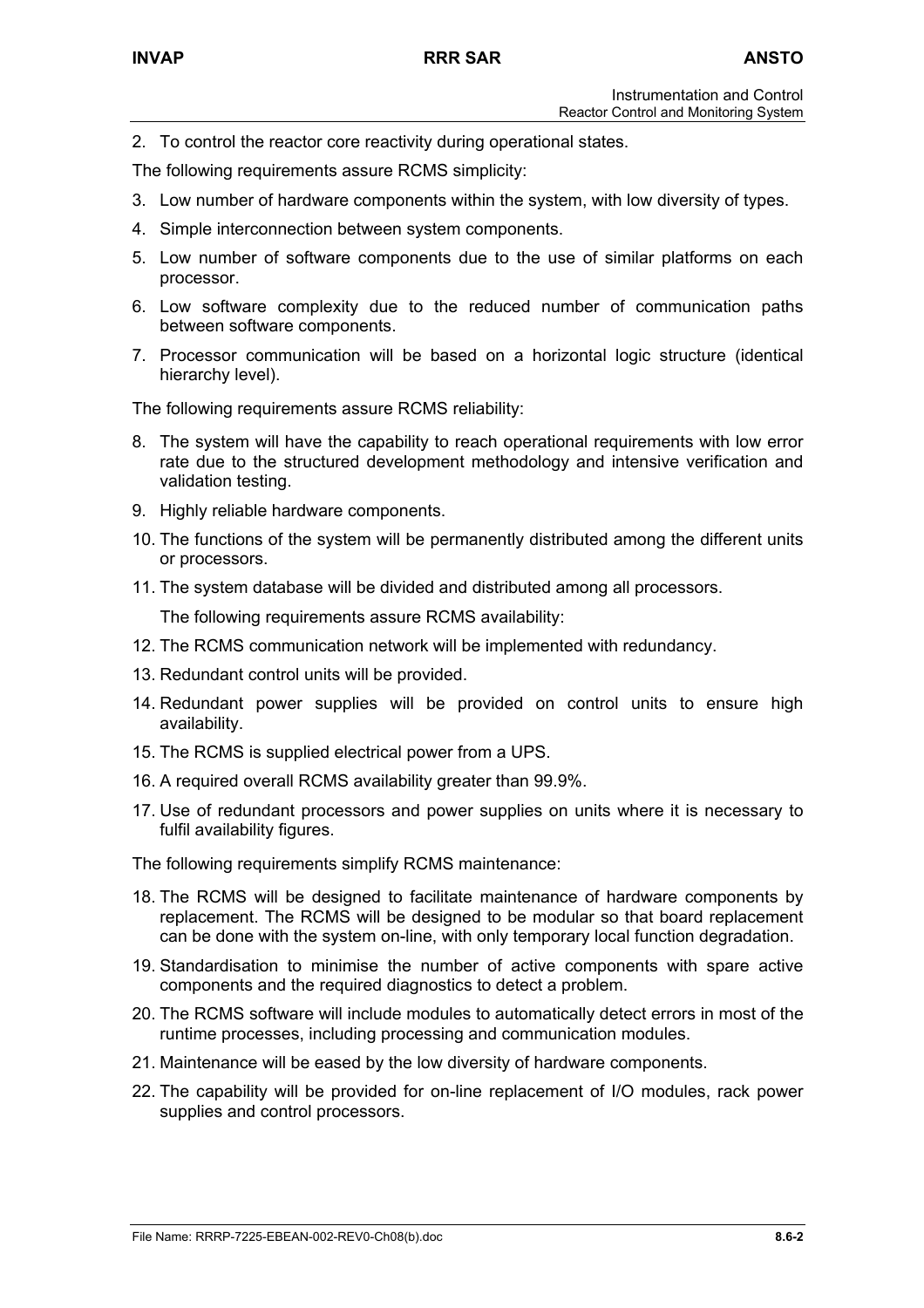2. To control the reactor core reactivity during operational states.

The following requirements assure RCMS simplicity:

- 3. Low number of hardware components within the system, with low diversity of types.
- 4. Simple interconnection between system components.
- 5. Low number of software components due to the use of similar platforms on each processor.
- 6. Low software complexity due to the reduced number of communication paths between software components.
- 7. Processor communication will be based on a horizontal logic structure (identical hierarchy level).

The following requirements assure RCMS reliability:

- 8. The system will have the capability to reach operational requirements with low error rate due to the structured development methodology and intensive verification and validation testing.
- 9. Highly reliable hardware components.
- 10. The functions of the system will be permanently distributed among the different units or processors.
- 11. The system database will be divided and distributed among all processors.

The following requirements assure RCMS availability:

- 12. The RCMS communication network will be implemented with redundancy.
- 13. Redundant control units will be provided.
- 14. Redundant power supplies will be provided on control units to ensure high availability.
- 15. The RCMS is supplied electrical power from a UPS.
- 16. A required overall RCMS availability greater than 99.9%.
- 17. Use of redundant processors and power supplies on units where it is necessary to fulfil availability figures.

The following requirements simplify RCMS maintenance:

- 18. The RCMS will be designed to facilitate maintenance of hardware components by replacement. The RCMS will be designed to be modular so that board replacement can be done with the system on-line, with only temporary local function degradation.
- 19. Standardisation to minimise the number of active components with spare active components and the required diagnostics to detect a problem.
- 20. The RCMS software will include modules to automatically detect errors in most of the runtime processes, including processing and communication modules.
- 21. Maintenance will be eased by the low diversity of hardware components.
- 22. The capability will be provided for on-line replacement of I/O modules, rack power supplies and control processors.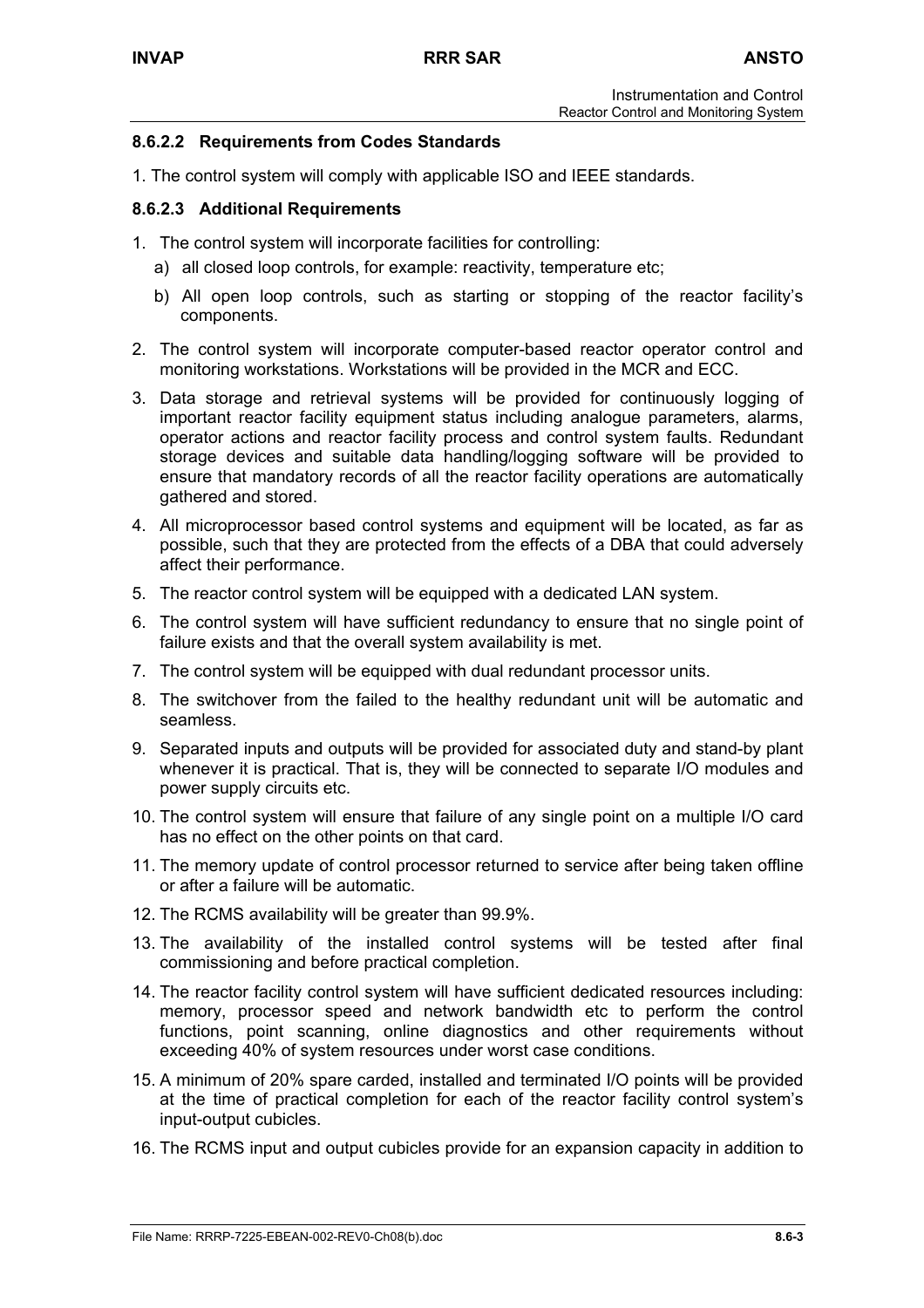## **8.6.2.2 Requirements from Codes Standards**

1. The control system will comply with applicable ISO and IEEE standards.

## **8.6.2.3 Additional Requirements**

- 1. The control system will incorporate facilities for controlling:
	- a) all closed loop controls, for example: reactivity, temperature etc;
	- b) All open loop controls, such as starting or stopping of the reactor facility's components.
- 2. The control system will incorporate computer-based reactor operator control and monitoring workstations. Workstations will be provided in the MCR and ECC.
- 3. Data storage and retrieval systems will be provided for continuously logging of important reactor facility equipment status including analogue parameters, alarms, operator actions and reactor facility process and control system faults. Redundant storage devices and suitable data handling/logging software will be provided to ensure that mandatory records of all the reactor facility operations are automatically gathered and stored.
- 4. All microprocessor based control systems and equipment will be located, as far as possible, such that they are protected from the effects of a DBA that could adversely affect their performance.
- 5. The reactor control system will be equipped with a dedicated LAN system.
- 6. The control system will have sufficient redundancy to ensure that no single point of failure exists and that the overall system availability is met.
- 7. The control system will be equipped with dual redundant processor units.
- 8. The switchover from the failed to the healthy redundant unit will be automatic and seamless.
- 9. Separated inputs and outputs will be provided for associated duty and stand-by plant whenever it is practical. That is, they will be connected to separate I/O modules and power supply circuits etc.
- 10. The control system will ensure that failure of any single point on a multiple I/O card has no effect on the other points on that card.
- 11. The memory update of control processor returned to service after being taken offline or after a failure will be automatic.
- 12. The RCMS availability will be greater than 99.9%.
- 13. The availability of the installed control systems will be tested after final commissioning and before practical completion.
- 14. The reactor facility control system will have sufficient dedicated resources including: memory, processor speed and network bandwidth etc to perform the control functions, point scanning, online diagnostics and other requirements without exceeding 40% of system resources under worst case conditions.
- 15. A minimum of 20% spare carded, installed and terminated I/O points will be provided at the time of practical completion for each of the reactor facility control system's input-output cubicles.
- 16. The RCMS input and output cubicles provide for an expansion capacity in addition to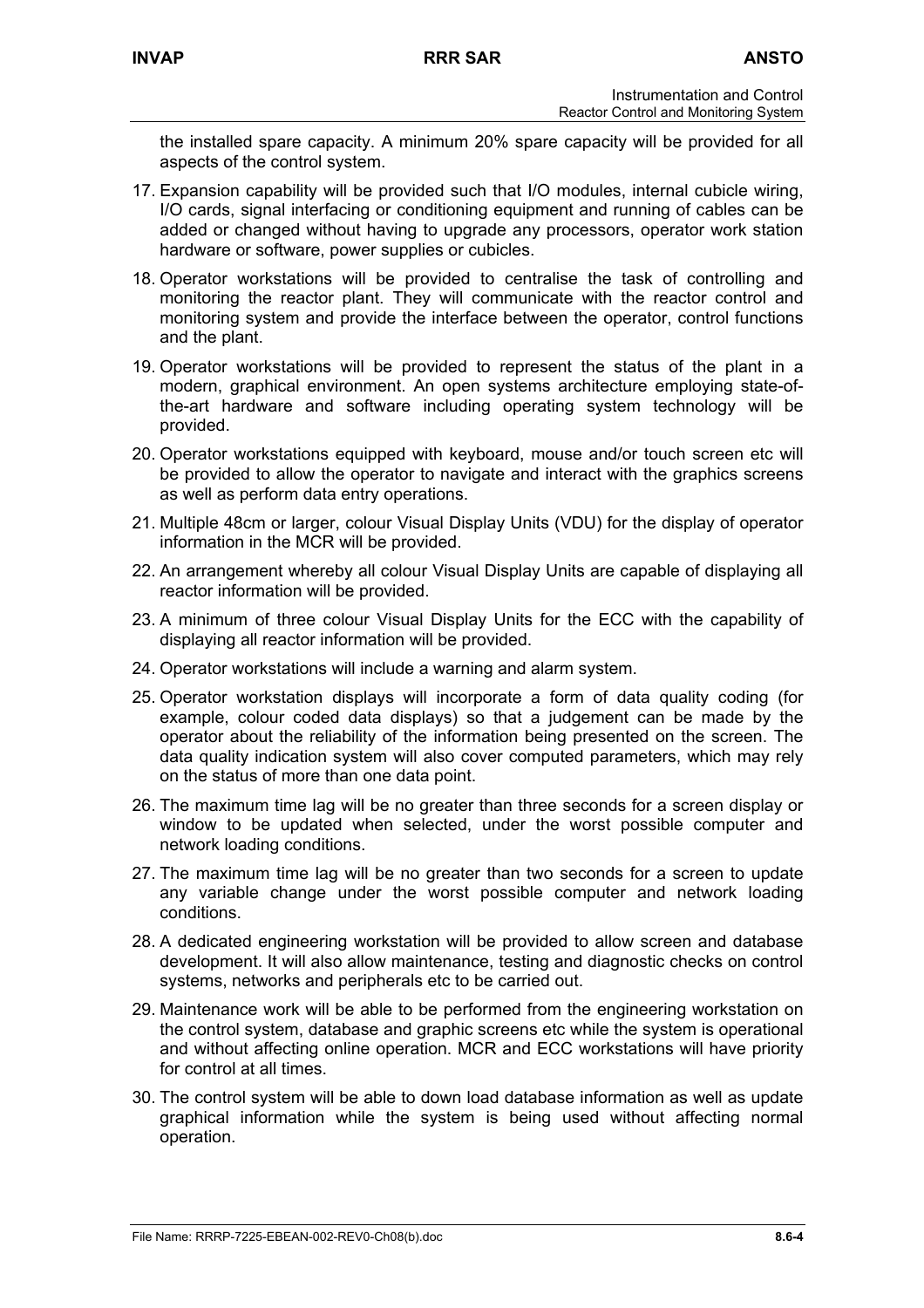the installed spare capacity. A minimum 20% spare capacity will be provided for all aspects of the control system.

- 17. Expansion capability will be provided such that I/O modules, internal cubicle wiring, I/O cards, signal interfacing or conditioning equipment and running of cables can be added or changed without having to upgrade any processors, operator work station hardware or software, power supplies or cubicles.
- 18. Operator workstations will be provided to centralise the task of controlling and monitoring the reactor plant. They will communicate with the reactor control and monitoring system and provide the interface between the operator, control functions and the plant.
- 19. Operator workstations will be provided to represent the status of the plant in a modern, graphical environment. An open systems architecture employing state-ofthe-art hardware and software including operating system technology will be provided.
- 20. Operator workstations equipped with keyboard, mouse and/or touch screen etc will be provided to allow the operator to navigate and interact with the graphics screens as well as perform data entry operations.
- 21. Multiple 48cm or larger, colour Visual Display Units (VDU) for the display of operator information in the MCR will be provided.
- 22. An arrangement whereby all colour Visual Display Units are capable of displaying all reactor information will be provided.
- 23. A minimum of three colour Visual Display Units for the ECC with the capability of displaying all reactor information will be provided.
- 24. Operator workstations will include a warning and alarm system.
- 25. Operator workstation displays will incorporate a form of data quality coding (for example, colour coded data displays) so that a judgement can be made by the operator about the reliability of the information being presented on the screen. The data quality indication system will also cover computed parameters, which may rely on the status of more than one data point.
- 26. The maximum time lag will be no greater than three seconds for a screen display or window to be updated when selected, under the worst possible computer and network loading conditions.
- 27. The maximum time lag will be no greater than two seconds for a screen to update any variable change under the worst possible computer and network loading conditions.
- 28. A dedicated engineering workstation will be provided to allow screen and database development. It will also allow maintenance, testing and diagnostic checks on control systems, networks and peripherals etc to be carried out.
- 29. Maintenance work will be able to be performed from the engineering workstation on the control system, database and graphic screens etc while the system is operational and without affecting online operation. MCR and ECC workstations will have priority for control at all times.
- 30. The control system will be able to down load database information as well as update graphical information while the system is being used without affecting normal operation.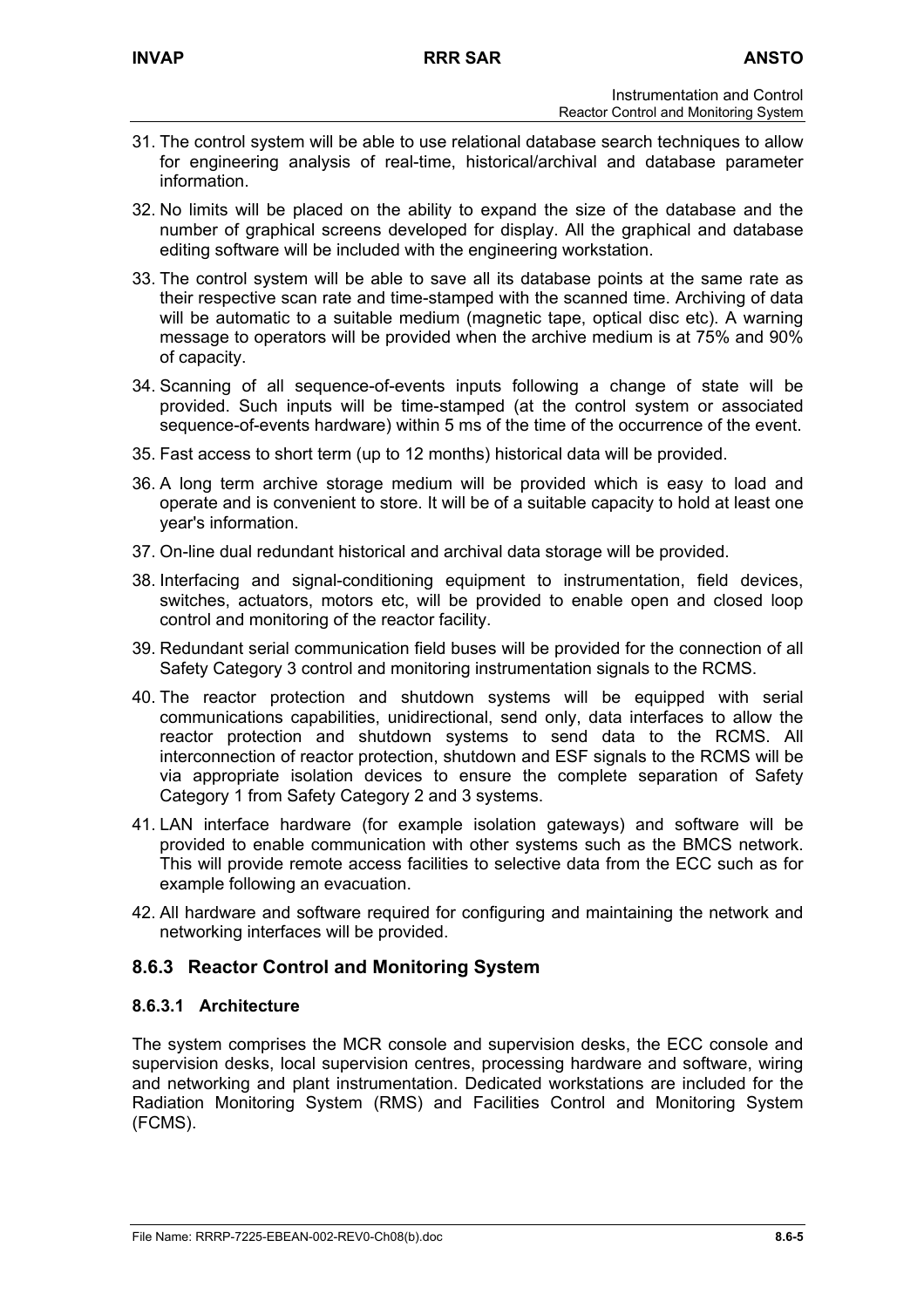- 31. The control system will be able to use relational database search techniques to allow for engineering analysis of real-time, historical/archival and database parameter information.
- 32. No limits will be placed on the ability to expand the size of the database and the number of graphical screens developed for display. All the graphical and database editing software will be included with the engineering workstation.
- 33. The control system will be able to save all its database points at the same rate as their respective scan rate and time-stamped with the scanned time. Archiving of data will be automatic to a suitable medium (magnetic tape, optical disc etc). A warning message to operators will be provided when the archive medium is at 75% and 90% of capacity.
- 34. Scanning of all sequence-of-events inputs following a change of state will be provided. Such inputs will be time-stamped (at the control system or associated sequence-of-events hardware) within 5 ms of the time of the occurrence of the event.
- 35. Fast access to short term (up to 12 months) historical data will be provided.
- 36. A long term archive storage medium will be provided which is easy to load and operate and is convenient to store. It will be of a suitable capacity to hold at least one year's information.
- 37. On-line dual redundant historical and archival data storage will be provided.
- 38. Interfacing and signal-conditioning equipment to instrumentation, field devices, switches, actuators, motors etc, will be provided to enable open and closed loop control and monitoring of the reactor facility.
- 39. Redundant serial communication field buses will be provided for the connection of all Safety Category 3 control and monitoring instrumentation signals to the RCMS.
- 40. The reactor protection and shutdown systems will be equipped with serial communications capabilities, unidirectional, send only, data interfaces to allow the reactor protection and shutdown systems to send data to the RCMS. All interconnection of reactor protection, shutdown and ESF signals to the RCMS will be via appropriate isolation devices to ensure the complete separation of Safety Category 1 from Safety Category 2 and 3 systems.
- 41. LAN interface hardware (for example isolation gateways) and software will be provided to enable communication with other systems such as the BMCS network. This will provide remote access facilities to selective data from the ECC such as for example following an evacuation.
- 42. All hardware and software required for configuring and maintaining the network and networking interfaces will be provided.

# **8.6.3 Reactor Control and Monitoring System**

## **8.6.3.1 Architecture**

The system comprises the MCR console and supervision desks, the ECC console and supervision desks, local supervision centres, processing hardware and software, wiring and networking and plant instrumentation. Dedicated workstations are included for the Radiation Monitoring System (RMS) and Facilities Control and Monitoring System (FCMS).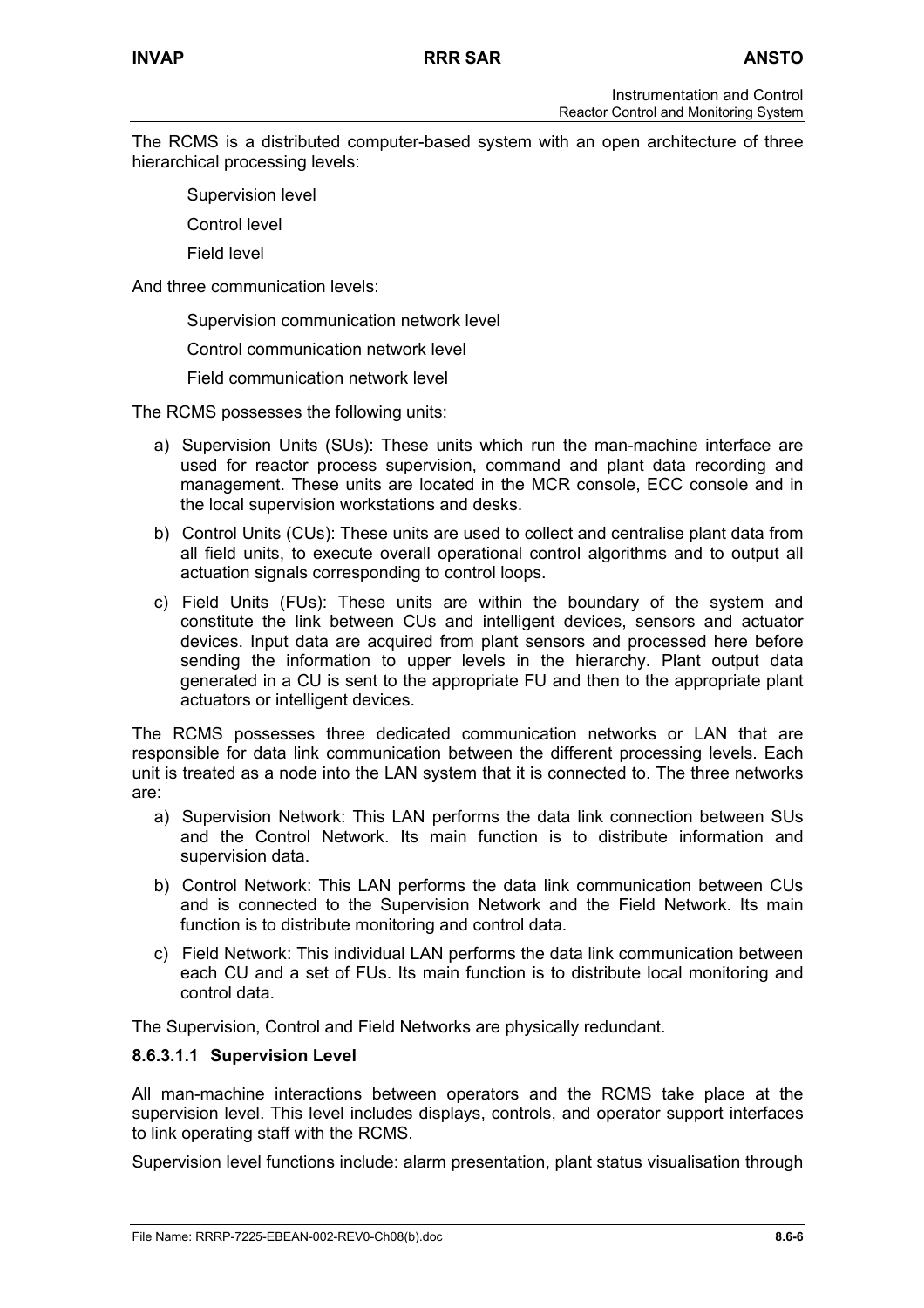The RCMS is a distributed computer-based system with an open architecture of three hierarchical processing levels:

- Supervision level
- Control level
- Field level

And three communication levels:

Supervision communication network level

Control communication network level

Field communication network level

The RCMS possesses the following units:

- a) Supervision Units (SUs): These units which run the man-machine interface are used for reactor process supervision, command and plant data recording and management. These units are located in the MCR console, ECC console and in the local supervision workstations and desks.
- b) Control Units (CUs): These units are used to collect and centralise plant data from all field units, to execute overall operational control algorithms and to output all actuation signals corresponding to control loops.
- c) Field Units (FUs): These units are within the boundary of the system and constitute the link between CUs and intelligent devices, sensors and actuator devices. Input data are acquired from plant sensors and processed here before sending the information to upper levels in the hierarchy. Plant output data generated in a CU is sent to the appropriate FU and then to the appropriate plant actuators or intelligent devices.

The RCMS possesses three dedicated communication networks or LAN that are responsible for data link communication between the different processing levels. Each unit is treated as a node into the LAN system that it is connected to. The three networks are:

- a) Supervision Network: This LAN performs the data link connection between SUs and the Control Network. Its main function is to distribute information and supervision data.
- b) Control Network: This LAN performs the data link communication between CUs and is connected to the Supervision Network and the Field Network. Its main function is to distribute monitoring and control data.
- c) Field Network: This individual LAN performs the data link communication between each CU and a set of FUs. Its main function is to distribute local monitoring and control data.

The Supervision, Control and Field Networks are physically redundant.

### **8.6.3.1.1 Supervision Level**

All man-machine interactions between operators and the RCMS take place at the supervision level. This level includes displays, controls, and operator support interfaces to link operating staff with the RCMS.

Supervision level functions include: alarm presentation, plant status visualisation through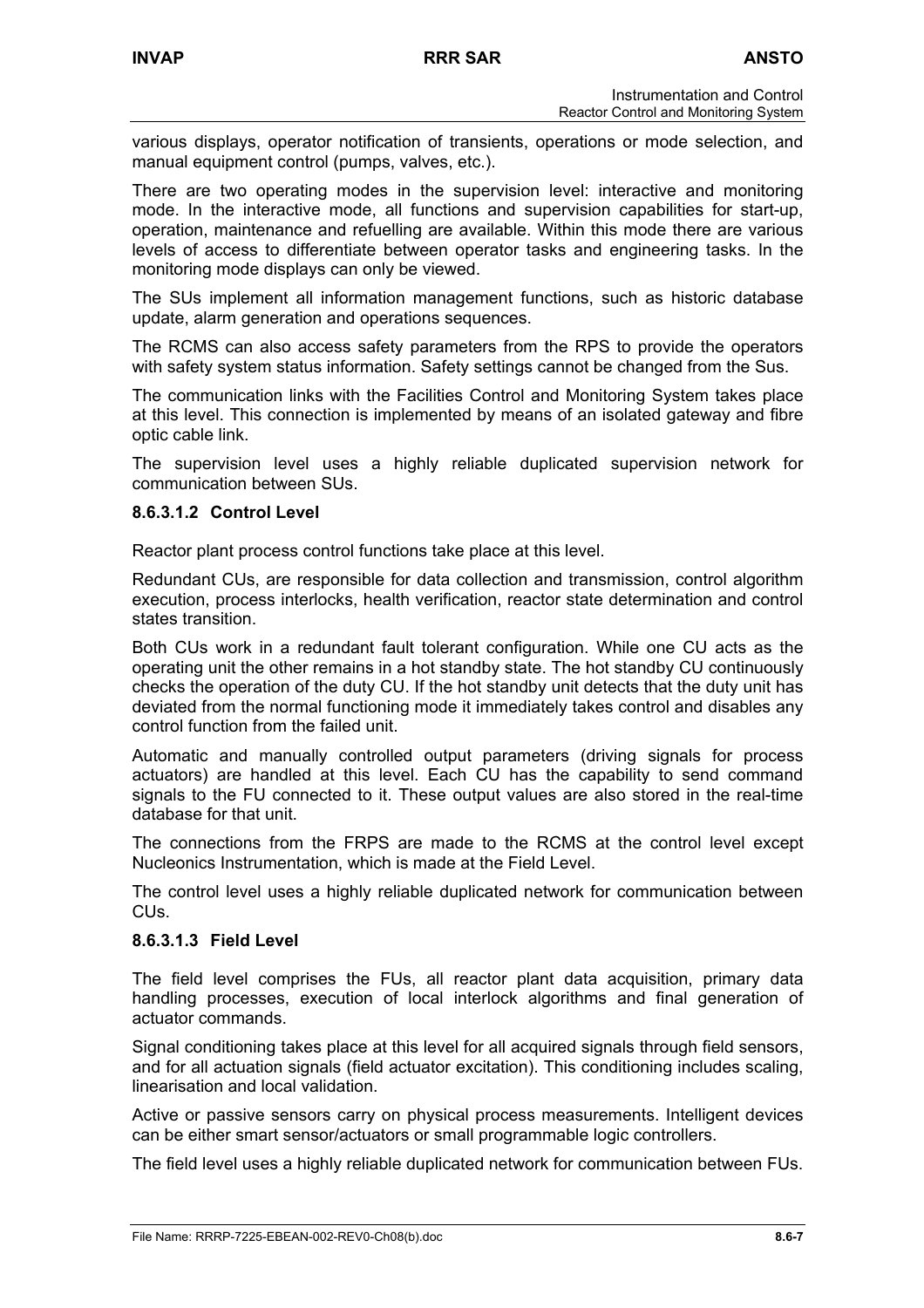various displays, operator notification of transients, operations or mode selection, and manual equipment control (pumps, valves, etc.).

There are two operating modes in the supervision level: interactive and monitoring mode. In the interactive mode, all functions and supervision capabilities for start-up, operation, maintenance and refuelling are available. Within this mode there are various levels of access to differentiate between operator tasks and engineering tasks. In the monitoring mode displays can only be viewed.

The SUs implement all information management functions, such as historic database update, alarm generation and operations sequences.

The RCMS can also access safety parameters from the RPS to provide the operators with safety system status information. Safety settings cannot be changed from the Sus.

The communication links with the Facilities Control and Monitoring System takes place at this level. This connection is implemented by means of an isolated gateway and fibre optic cable link.

The supervision level uses a highly reliable duplicated supervision network for communication between SUs.

### **8.6.3.1.2 Control Level**

Reactor plant process control functions take place at this level.

Redundant CUs, are responsible for data collection and transmission, control algorithm execution, process interlocks, health verification, reactor state determination and control states transition.

Both CUs work in a redundant fault tolerant configuration. While one CU acts as the operating unit the other remains in a hot standby state. The hot standby CU continuously checks the operation of the duty CU. If the hot standby unit detects that the duty unit has deviated from the normal functioning mode it immediately takes control and disables any control function from the failed unit.

Automatic and manually controlled output parameters (driving signals for process actuators) are handled at this level. Each CU has the capability to send command signals to the FU connected to it. These output values are also stored in the real-time database for that unit.

The connections from the FRPS are made to the RCMS at the control level except Nucleonics Instrumentation, which is made at the Field Level.

The control level uses a highly reliable duplicated network for communication between  $CLIs$ 

### **8.6.3.1.3 Field Level**

The field level comprises the FUs, all reactor plant data acquisition, primary data handling processes, execution of local interlock algorithms and final generation of actuator commands.

Signal conditioning takes place at this level for all acquired signals through field sensors, and for all actuation signals (field actuator excitation). This conditioning includes scaling, linearisation and local validation.

Active or passive sensors carry on physical process measurements. Intelligent devices can be either smart sensor/actuators or small programmable logic controllers.

The field level uses a highly reliable duplicated network for communication between FUs.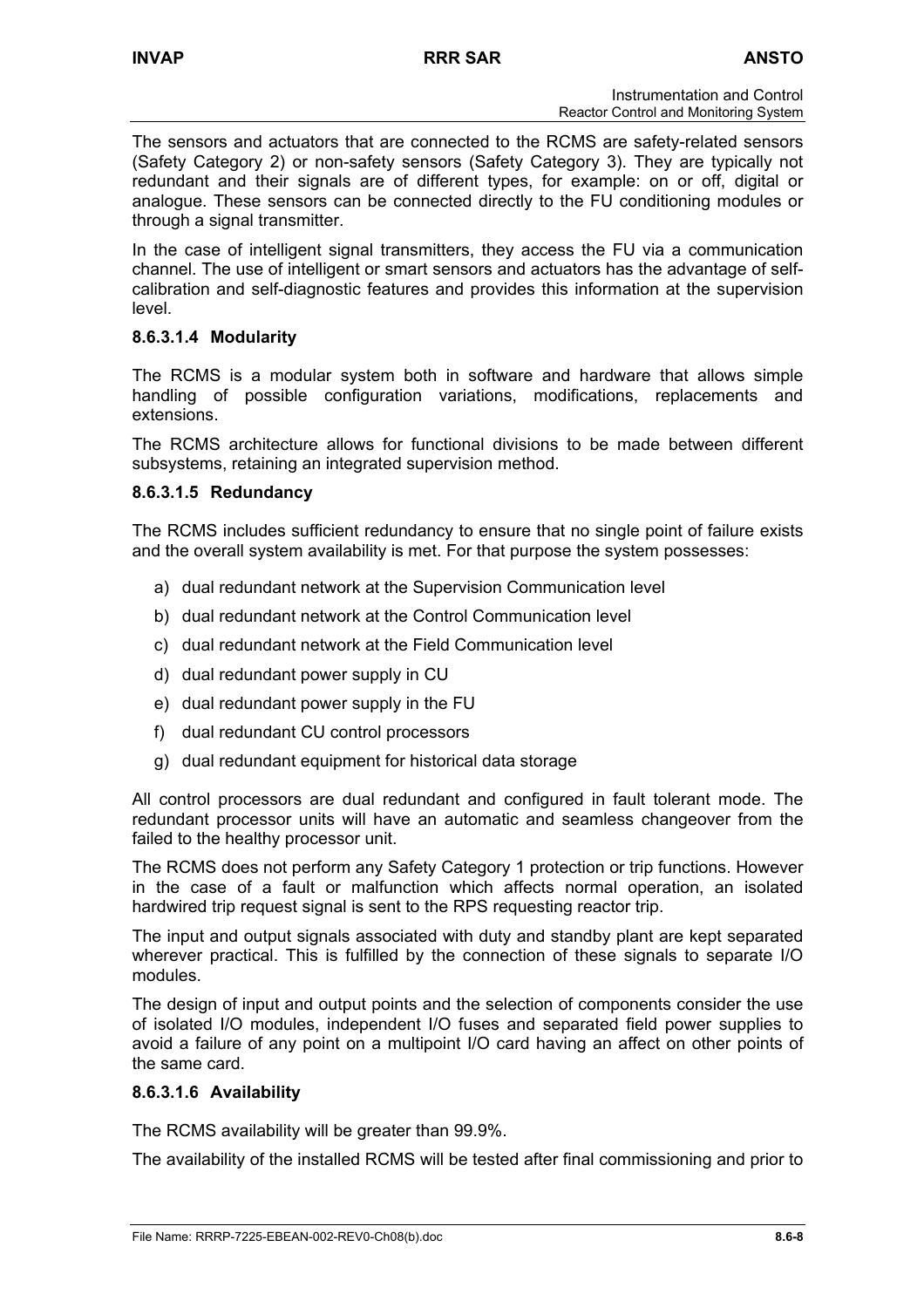The sensors and actuators that are connected to the RCMS are safety-related sensors (Safety Category 2) or non-safety sensors (Safety Category 3). They are typically not redundant and their signals are of different types, for example: on or off, digital or analogue. These sensors can be connected directly to the FU conditioning modules or through a signal transmitter.

In the case of intelligent signal transmitters, they access the FU via a communication channel. The use of intelligent or smart sensors and actuators has the advantage of selfcalibration and self-diagnostic features and provides this information at the supervision level.

## **8.6.3.1.4 Modularity**

The RCMS is a modular system both in software and hardware that allows simple handling of possible configuration variations, modifications, replacements and extensions.

The RCMS architecture allows for functional divisions to be made between different subsystems, retaining an integrated supervision method.

## **8.6.3.1.5 Redundancy**

The RCMS includes sufficient redundancy to ensure that no single point of failure exists and the overall system availability is met. For that purpose the system possesses:

- a) dual redundant network at the Supervision Communication level
- b) dual redundant network at the Control Communication level
- c) dual redundant network at the Field Communication level
- d) dual redundant power supply in CU
- e) dual redundant power supply in the FU
- f) dual redundant CU control processors
- g) dual redundant equipment for historical data storage

All control processors are dual redundant and configured in fault tolerant mode. The redundant processor units will have an automatic and seamless changeover from the failed to the healthy processor unit.

The RCMS does not perform any Safety Category 1 protection or trip functions. However in the case of a fault or malfunction which affects normal operation, an isolated hardwired trip request signal is sent to the RPS requesting reactor trip.

The input and output signals associated with duty and standby plant are kept separated wherever practical. This is fulfilled by the connection of these signals to separate I/O modules.

The design of input and output points and the selection of components consider the use of isolated I/O modules, independent I/O fuses and separated field power supplies to avoid a failure of any point on a multipoint I/O card having an affect on other points of the same card.

### **8.6.3.1.6 Availability**

The RCMS availability will be greater than 99.9%.

The availability of the installed RCMS will be tested after final commissioning and prior to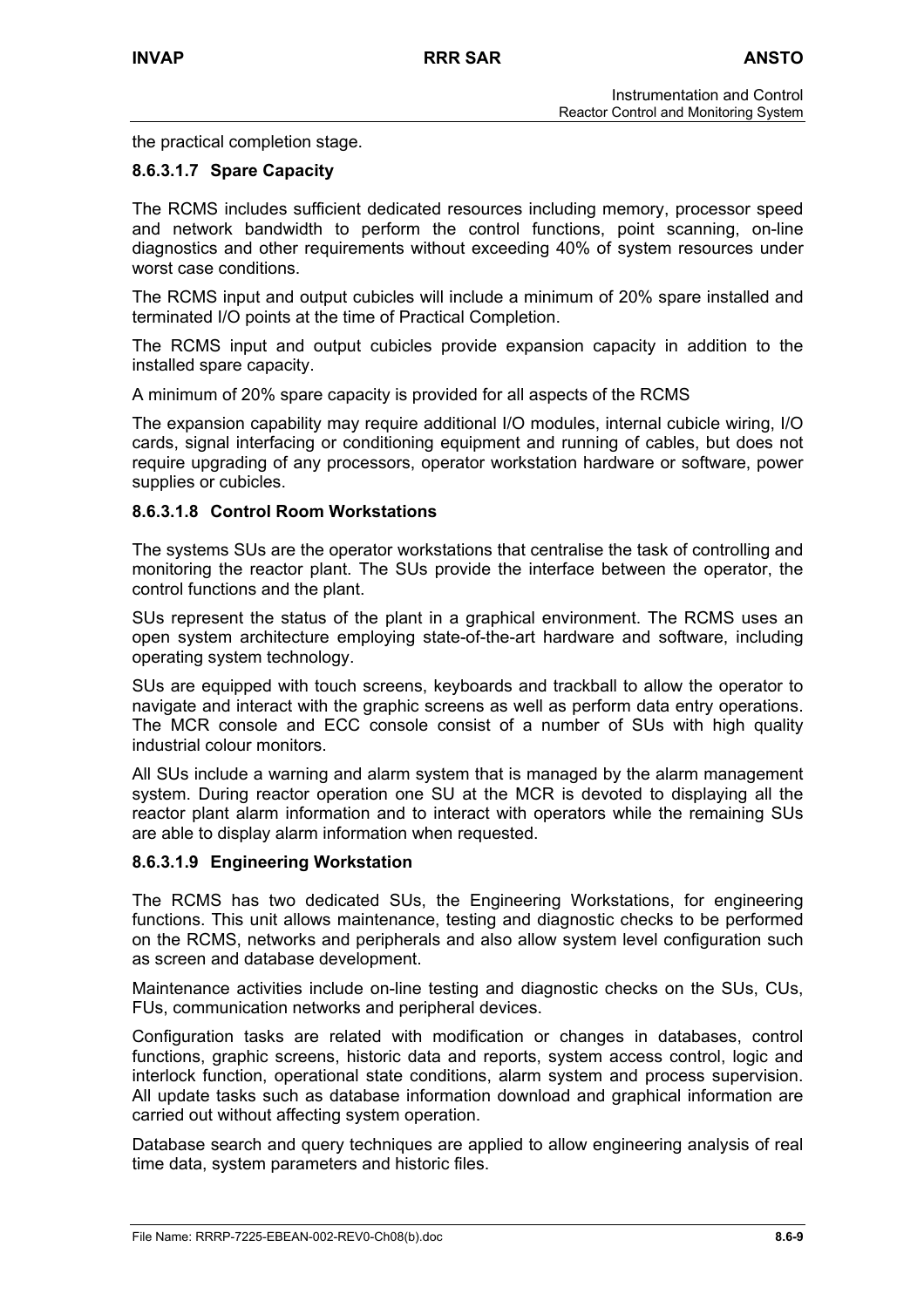the practical completion stage.

## **8.6.3.1.7 Spare Capacity**

The RCMS includes sufficient dedicated resources including memory, processor speed and network bandwidth to perform the control functions, point scanning, on-line diagnostics and other requirements without exceeding 40% of system resources under worst case conditions.

The RCMS input and output cubicles will include a minimum of 20% spare installed and terminated I/O points at the time of Practical Completion.

The RCMS input and output cubicles provide expansion capacity in addition to the installed spare capacity.

A minimum of 20% spare capacity is provided for all aspects of the RCMS

The expansion capability may require additional I/O modules, internal cubicle wiring, I/O cards, signal interfacing or conditioning equipment and running of cables, but does not require upgrading of any processors, operator workstation hardware or software, power supplies or cubicles.

### **8.6.3.1.8 Control Room Workstations**

The systems SUs are the operator workstations that centralise the task of controlling and monitoring the reactor plant. The SUs provide the interface between the operator, the control functions and the plant.

SUs represent the status of the plant in a graphical environment. The RCMS uses an open system architecture employing state-of-the-art hardware and software, including operating system technology.

SUs are equipped with touch screens, keyboards and trackball to allow the operator to navigate and interact with the graphic screens as well as perform data entry operations. The MCR console and ECC console consist of a number of SUs with high quality industrial colour monitors.

All SUs include a warning and alarm system that is managed by the alarm management system. During reactor operation one SU at the MCR is devoted to displaying all the reactor plant alarm information and to interact with operators while the remaining SUs are able to display alarm information when requested.

### **8.6.3.1.9 Engineering Workstation**

The RCMS has two dedicated SUs, the Engineering Workstations, for engineering functions. This unit allows maintenance, testing and diagnostic checks to be performed on the RCMS, networks and peripherals and also allow system level configuration such as screen and database development.

Maintenance activities include on-line testing and diagnostic checks on the SUs, CUs, FUs, communication networks and peripheral devices.

Configuration tasks are related with modification or changes in databases, control functions, graphic screens, historic data and reports, system access control, logic and interlock function, operational state conditions, alarm system and process supervision. All update tasks such as database information download and graphical information are carried out without affecting system operation.

Database search and query techniques are applied to allow engineering analysis of real time data, system parameters and historic files.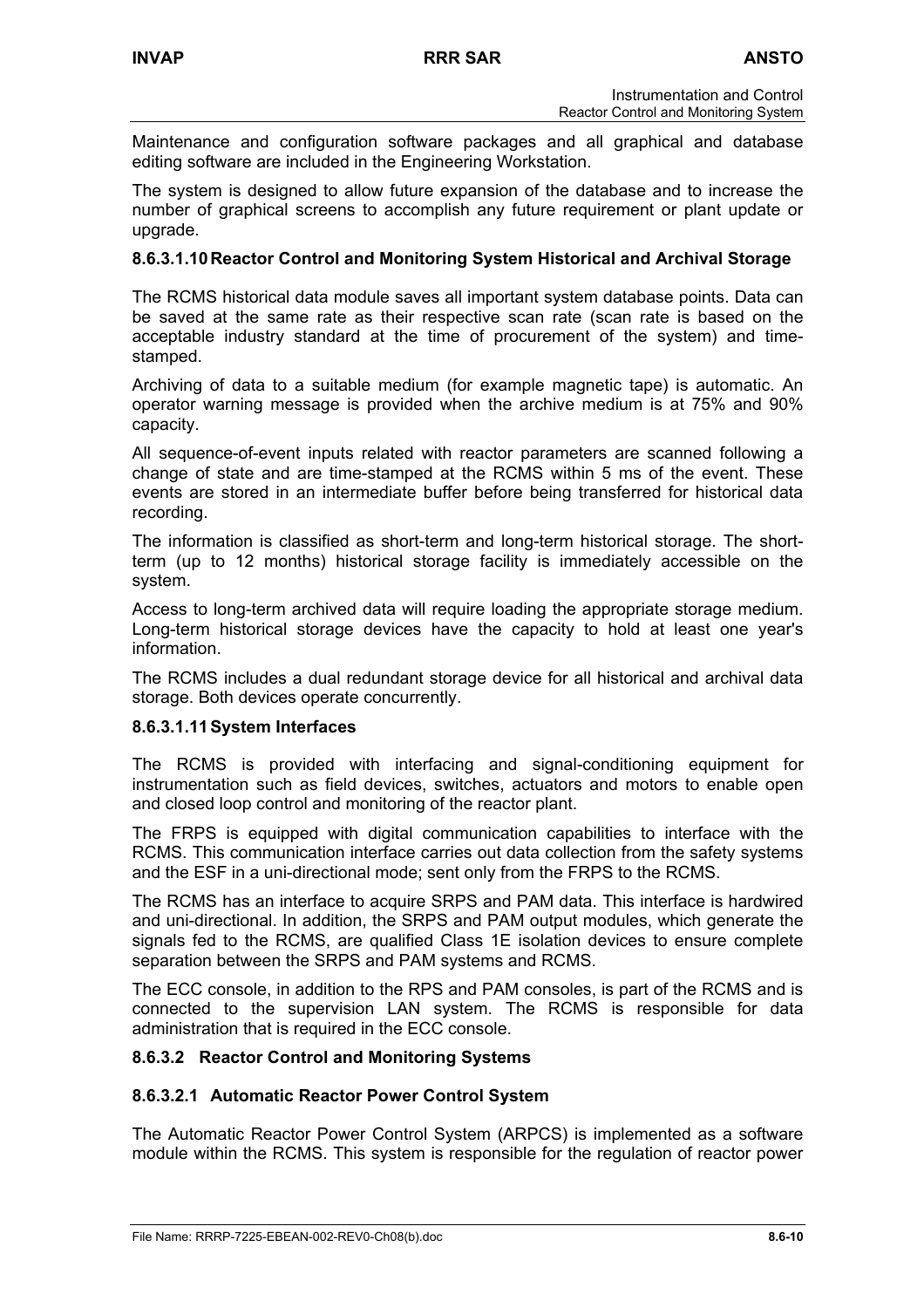Maintenance and configuration software packages and all graphical and database editing software are included in the Engineering Workstation.

The system is designed to allow future expansion of the database and to increase the number of graphical screens to accomplish any future requirement or plant update or upgrade.

### **8.6.3.1.10 Reactor Control and Monitoring System Historical and Archival Storage**

The RCMS historical data module saves all important system database points. Data can be saved at the same rate as their respective scan rate (scan rate is based on the acceptable industry standard at the time of procurement of the system) and timestamped.

Archiving of data to a suitable medium (for example magnetic tape) is automatic. An operator warning message is provided when the archive medium is at 75% and 90% capacity.

All sequence-of-event inputs related with reactor parameters are scanned following a change of state and are time-stamped at the RCMS within 5 ms of the event. These events are stored in an intermediate buffer before being transferred for historical data recording.

The information is classified as short-term and long-term historical storage. The shortterm (up to 12 months) historical storage facility is immediately accessible on the system.

Access to long-term archived data will require loading the appropriate storage medium. Long-term historical storage devices have the capacity to hold at least one year's information.

The RCMS includes a dual redundant storage device for all historical and archival data storage. Both devices operate concurrently.

### **8.6.3.1.11 System Interfaces**

The RCMS is provided with interfacing and signal-conditioning equipment for instrumentation such as field devices, switches, actuators and motors to enable open and closed loop control and monitoring of the reactor plant.

The FRPS is equipped with digital communication capabilities to interface with the RCMS. This communication interface carries out data collection from the safety systems and the ESF in a uni-directional mode; sent only from the FRPS to the RCMS.

The RCMS has an interface to acquire SRPS and PAM data. This interface is hardwired and uni-directional. In addition, the SRPS and PAM output modules, which generate the signals fed to the RCMS, are qualified Class 1E isolation devices to ensure complete separation between the SRPS and PAM systems and RCMS.

The ECC console, in addition to the RPS and PAM consoles, is part of the RCMS and is connected to the supervision LAN system. The RCMS is responsible for data administration that is required in the ECC console.

### **8.6.3.2 Reactor Control and Monitoring Systems**

### **8.6.3.2.1 Automatic Reactor Power Control System**

The Automatic Reactor Power Control System (ARPCS) is implemented as a software module within the RCMS. This system is responsible for the regulation of reactor power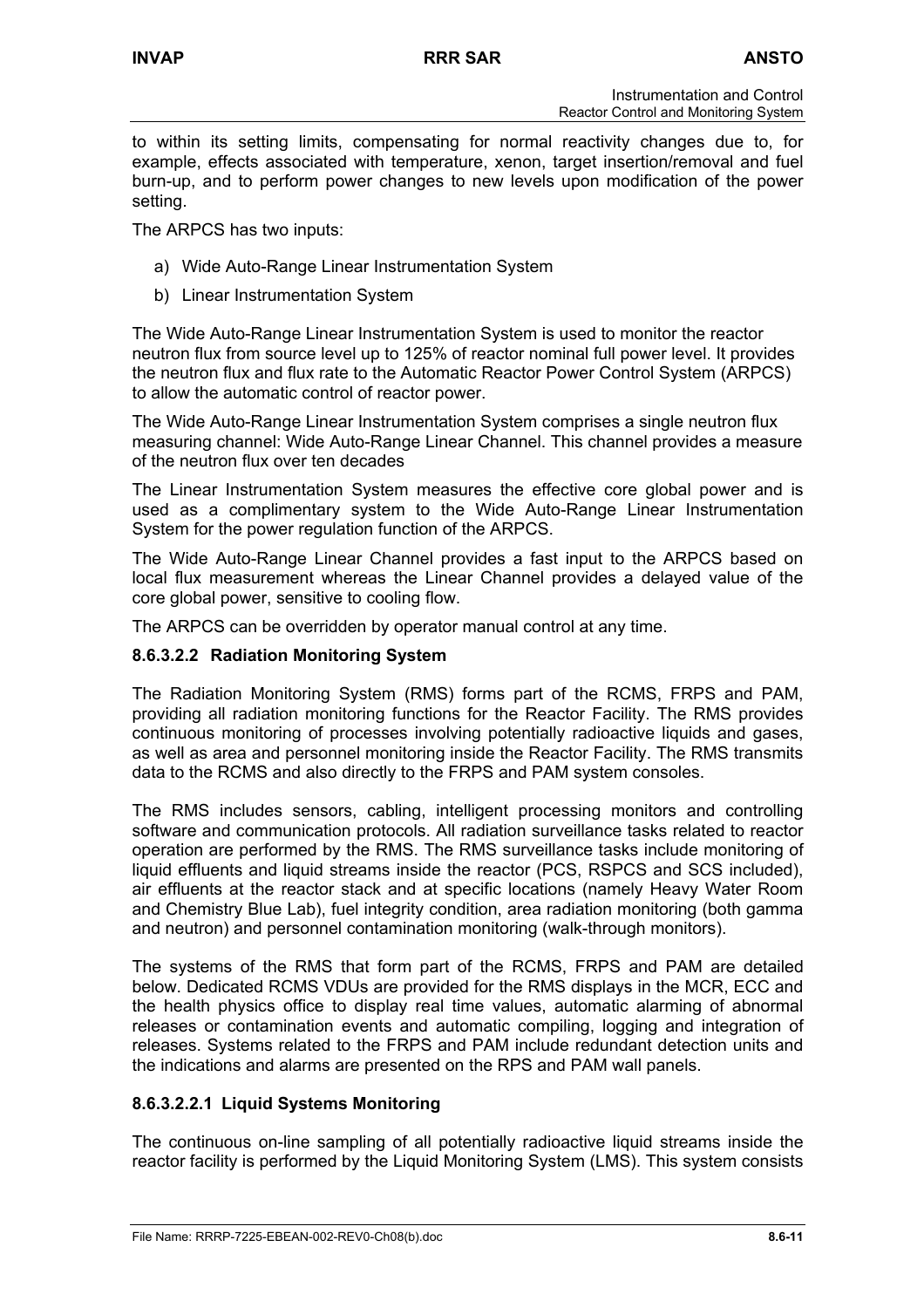to within its setting limits, compensating for normal reactivity changes due to, for example, effects associated with temperature, xenon, target insertion/removal and fuel burn-up, and to perform power changes to new levels upon modification of the power setting.

The ARPCS has two inputs:

- a) Wide Auto-Range Linear Instrumentation System
- b) Linear Instrumentation System

The Wide Auto-Range Linear Instrumentation System is used to monitor the reactor neutron flux from source level up to 125% of reactor nominal full power level. It provides the neutron flux and flux rate to the Automatic Reactor Power Control System (ARPCS) to allow the automatic control of reactor power.

The Wide Auto-Range Linear Instrumentation System comprises a single neutron flux measuring channel: Wide Auto-Range Linear Channel. This channel provides a measure of the neutron flux over ten decades

The Linear Instrumentation System measures the effective core global power and is used as a complimentary system to the Wide Auto-Range Linear Instrumentation System for the power regulation function of the ARPCS.

The Wide Auto-Range Linear Channel provides a fast input to the ARPCS based on local flux measurement whereas the Linear Channel provides a delayed value of the core global power, sensitive to cooling flow.

The ARPCS can be overridden by operator manual control at any time.

### **8.6.3.2.2 Radiation Monitoring System**

The Radiation Monitoring System (RMS) forms part of the RCMS, FRPS and PAM, providing all radiation monitoring functions for the Reactor Facility. The RMS provides continuous monitoring of processes involving potentially radioactive liquids and gases, as well as area and personnel monitoring inside the Reactor Facility. The RMS transmits data to the RCMS and also directly to the FRPS and PAM system consoles.

The RMS includes sensors, cabling, intelligent processing monitors and controlling software and communication protocols. All radiation surveillance tasks related to reactor operation are performed by the RMS. The RMS surveillance tasks include monitoring of liquid effluents and liquid streams inside the reactor (PCS, RSPCS and SCS included), air effluents at the reactor stack and at specific locations (namely Heavy Water Room and Chemistry Blue Lab), fuel integrity condition, area radiation monitoring (both gamma and neutron) and personnel contamination monitoring (walk-through monitors).

The systems of the RMS that form part of the RCMS, FRPS and PAM are detailed below. Dedicated RCMS VDUs are provided for the RMS displays in the MCR, ECC and the health physics office to display real time values, automatic alarming of abnormal releases or contamination events and automatic compiling, logging and integration of releases. Systems related to the FRPS and PAM include redundant detection units and the indications and alarms are presented on the RPS and PAM wall panels.

## **8.6.3.2.2.1 Liquid Systems Monitoring**

The continuous on-line sampling of all potentially radioactive liquid streams inside the reactor facility is performed by the Liquid Monitoring System (LMS). This system consists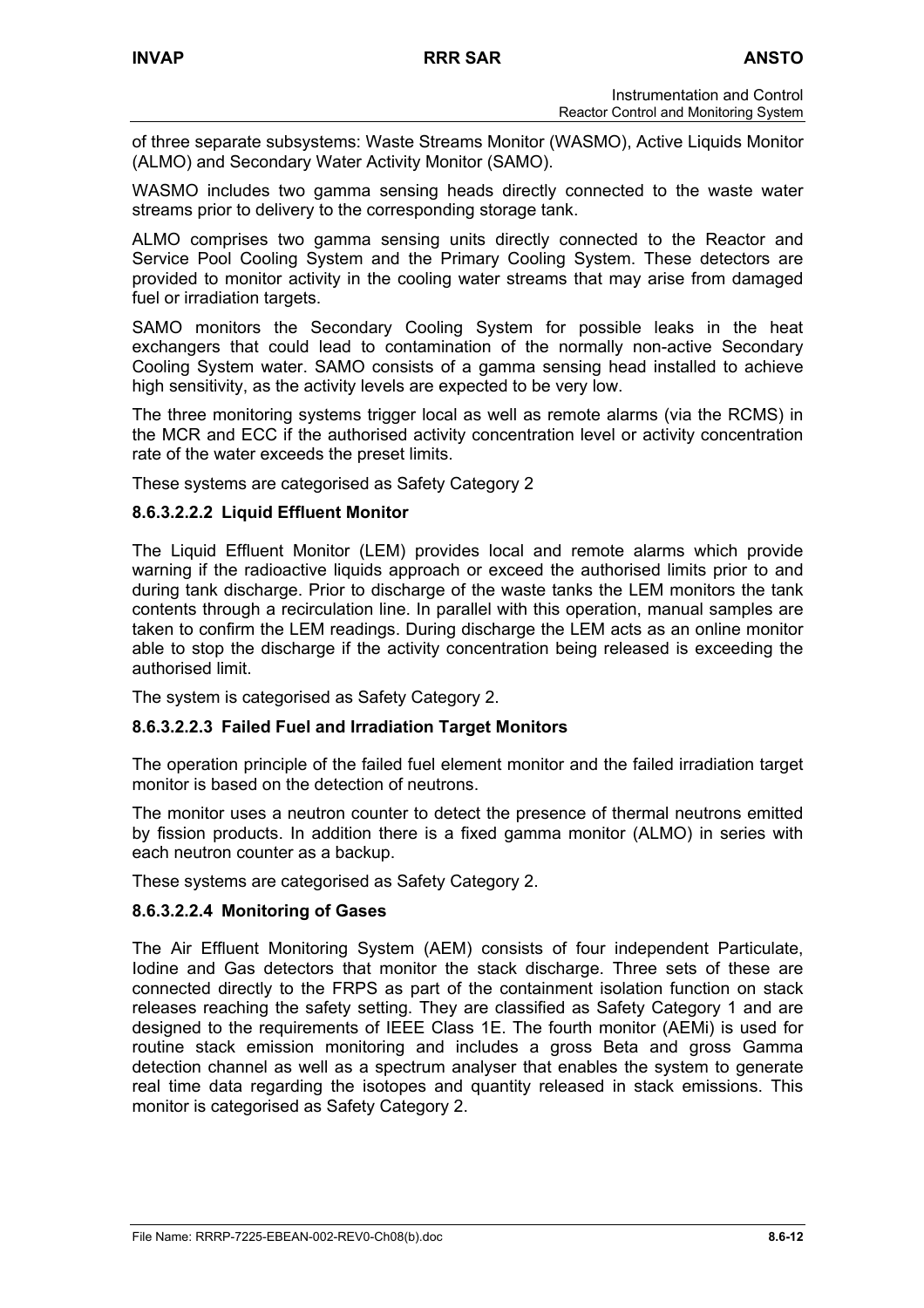of three separate subsystems: Waste Streams Monitor (WASMO), Active Liquids Monitor (ALMO) and Secondary Water Activity Monitor (SAMO).

WASMO includes two gamma sensing heads directly connected to the waste water streams prior to delivery to the corresponding storage tank.

ALMO comprises two gamma sensing units directly connected to the Reactor and Service Pool Cooling System and the Primary Cooling System. These detectors are provided to monitor activity in the cooling water streams that may arise from damaged fuel or irradiation targets.

SAMO monitors the Secondary Cooling System for possible leaks in the heat exchangers that could lead to contamination of the normally non-active Secondary Cooling System water. SAMO consists of a gamma sensing head installed to achieve high sensitivity, as the activity levels are expected to be very low.

The three monitoring systems trigger local as well as remote alarms (via the RCMS) in the MCR and ECC if the authorised activity concentration level or activity concentration rate of the water exceeds the preset limits.

These systems are categorised as Safety Category 2

## **8.6.3.2.2.2 Liquid Effluent Monitor**

The Liquid Effluent Monitor (LEM) provides local and remote alarms which provide warning if the radioactive liquids approach or exceed the authorised limits prior to and during tank discharge. Prior to discharge of the waste tanks the LEM monitors the tank contents through a recirculation line. In parallel with this operation, manual samples are taken to confirm the LEM readings. During discharge the LEM acts as an online monitor able to stop the discharge if the activity concentration being released is exceeding the authorised limit.

The system is categorised as Safety Category 2.

### **8.6.3.2.2.3 Failed Fuel and Irradiation Target Monitors**

The operation principle of the failed fuel element monitor and the failed irradiation target monitor is based on the detection of neutrons.

The monitor uses a neutron counter to detect the presence of thermal neutrons emitted by fission products. In addition there is a fixed gamma monitor (ALMO) in series with each neutron counter as a backup.

These systems are categorised as Safety Category 2.

### **8.6.3.2.2.4 Monitoring of Gases**

The Air Effluent Monitoring System (AEM) consists of four independent Particulate, Iodine and Gas detectors that monitor the stack discharge. Three sets of these are connected directly to the FRPS as part of the containment isolation function on stack releases reaching the safety setting. They are classified as Safety Category 1 and are designed to the requirements of IEEE Class 1E. The fourth monitor (AEMi) is used for routine stack emission monitoring and includes a gross Beta and gross Gamma detection channel as well as a spectrum analyser that enables the system to generate real time data regarding the isotopes and quantity released in stack emissions. This monitor is categorised as Safety Category 2.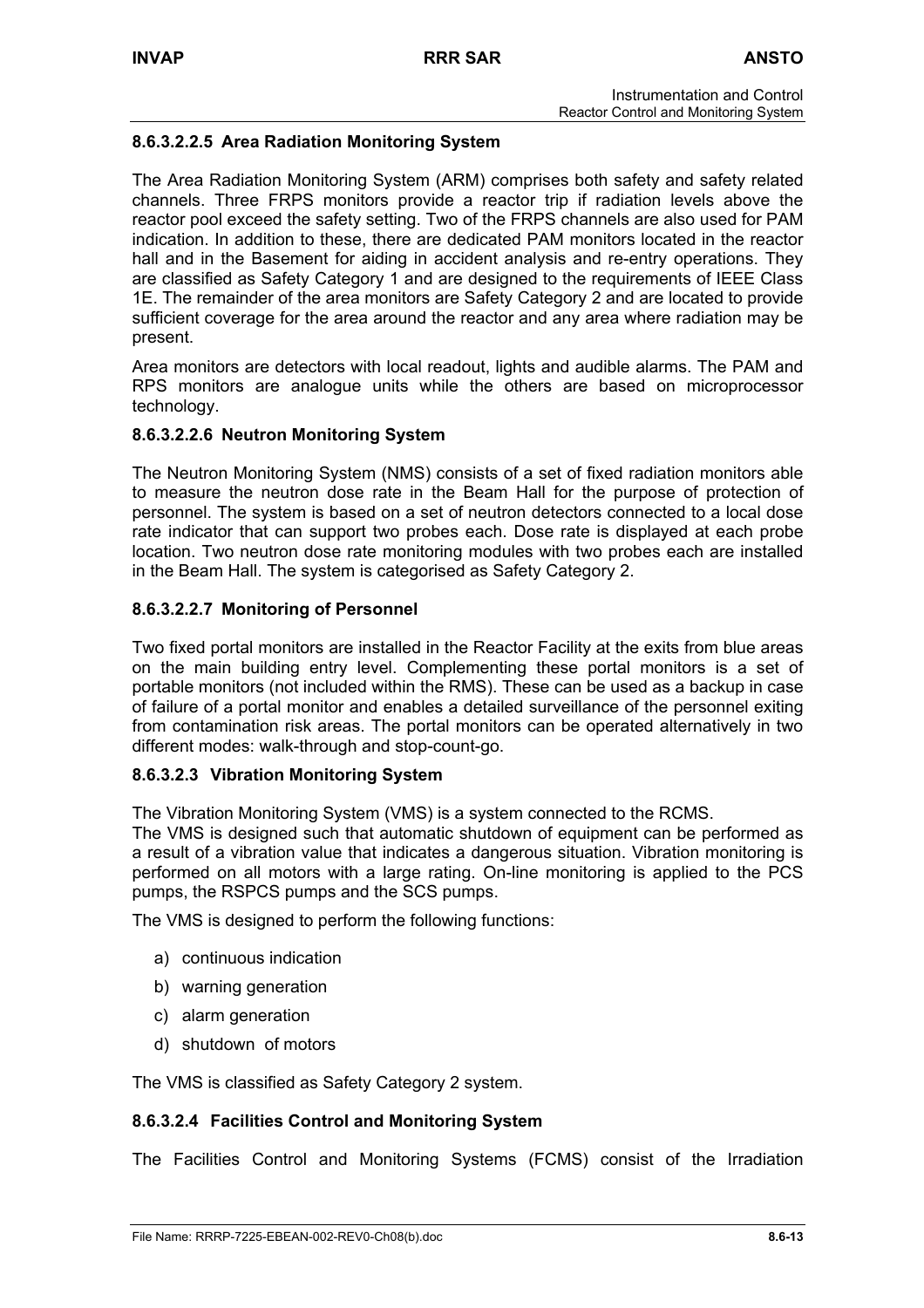# **8.6.3.2.2.5 Area Radiation Monitoring System**

The Area Radiation Monitoring System (ARM) comprises both safety and safety related channels. Three FRPS monitors provide a reactor trip if radiation levels above the reactor pool exceed the safety setting. Two of the FRPS channels are also used for PAM indication. In addition to these, there are dedicated PAM monitors located in the reactor hall and in the Basement for aiding in accident analysis and re-entry operations. They are classified as Safety Category 1 and are designed to the requirements of IEEE Class 1E. The remainder of the area monitors are Safety Category 2 and are located to provide sufficient coverage for the area around the reactor and any area where radiation may be present.

Area monitors are detectors with local readout, lights and audible alarms. The PAM and RPS monitors are analogue units while the others are based on microprocessor technology.

## **8.6.3.2.2.6 Neutron Monitoring System**

The Neutron Monitoring System (NMS) consists of a set of fixed radiation monitors able to measure the neutron dose rate in the Beam Hall for the purpose of protection of personnel. The system is based on a set of neutron detectors connected to a local dose rate indicator that can support two probes each. Dose rate is displayed at each probe location. Two neutron dose rate monitoring modules with two probes each are installed in the Beam Hall. The system is categorised as Safety Category 2.

## **8.6.3.2.2.7 Monitoring of Personnel**

Two fixed portal monitors are installed in the Reactor Facility at the exits from blue areas on the main building entry level. Complementing these portal monitors is a set of portable monitors (not included within the RMS). These can be used as a backup in case of failure of a portal monitor and enables a detailed surveillance of the personnel exiting from contamination risk areas. The portal monitors can be operated alternatively in two different modes: walk-through and stop-count-go.

### **8.6.3.2.3 Vibration Monitoring System**

The Vibration Monitoring System (VMS) is a system connected to the RCMS.

The VMS is designed such that automatic shutdown of equipment can be performed as a result of a vibration value that indicates a dangerous situation. Vibration monitoring is performed on all motors with a large rating. On-line monitoring is applied to the PCS pumps, the RSPCS pumps and the SCS pumps.

The VMS is designed to perform the following functions:

- a) continuous indication
- b) warning generation
- c) alarm generation
- d) shutdown of motors

The VMS is classified as Safety Category 2 system.

## **8.6.3.2.4 Facilities Control and Monitoring System**

The Facilities Control and Monitoring Systems (FCMS) consist of the Irradiation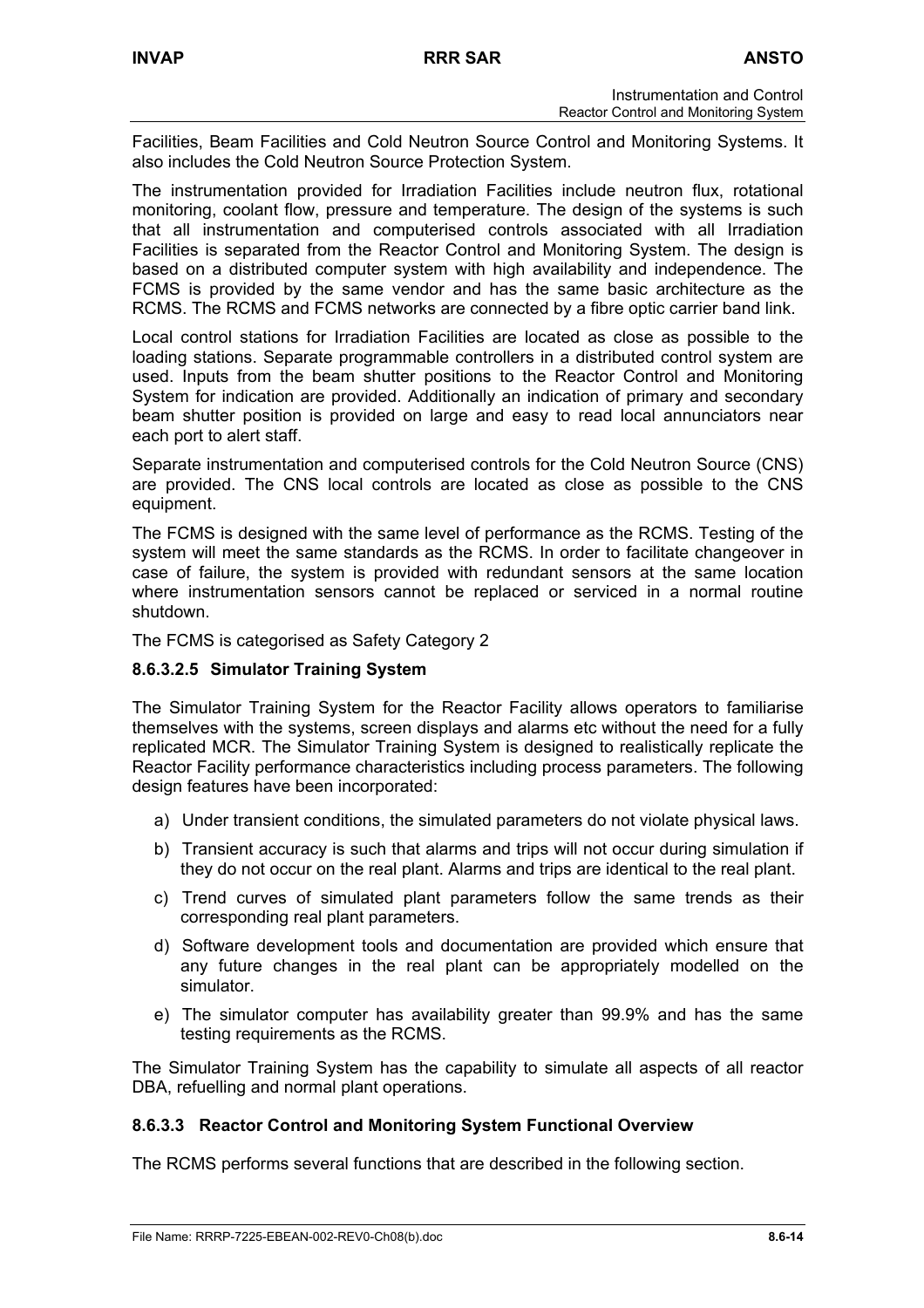Facilities, Beam Facilities and Cold Neutron Source Control and Monitoring Systems. It also includes the Cold Neutron Source Protection System.

The instrumentation provided for Irradiation Facilities include neutron flux, rotational monitoring, coolant flow, pressure and temperature. The design of the systems is such that all instrumentation and computerised controls associated with all Irradiation Facilities is separated from the Reactor Control and Monitoring System. The design is based on a distributed computer system with high availability and independence. The FCMS is provided by the same vendor and has the same basic architecture as the RCMS. The RCMS and FCMS networks are connected by a fibre optic carrier band link.

Local control stations for Irradiation Facilities are located as close as possible to the loading stations. Separate programmable controllers in a distributed control system are used. Inputs from the beam shutter positions to the Reactor Control and Monitoring System for indication are provided. Additionally an indication of primary and secondary beam shutter position is provided on large and easy to read local annunciators near each port to alert staff.

Separate instrumentation and computerised controls for the Cold Neutron Source (CNS) are provided. The CNS local controls are located as close as possible to the CNS equipment.

The FCMS is designed with the same level of performance as the RCMS. Testing of the system will meet the same standards as the RCMS. In order to facilitate changeover in case of failure, the system is provided with redundant sensors at the same location where instrumentation sensors cannot be replaced or serviced in a normal routine shutdown.

The FCMS is categorised as Safety Category 2

## **8.6.3.2.5 Simulator Training System**

The Simulator Training System for the Reactor Facility allows operators to familiarise themselves with the systems, screen displays and alarms etc without the need for a fully replicated MCR. The Simulator Training System is designed to realistically replicate the Reactor Facility performance characteristics including process parameters. The following design features have been incorporated:

- a) Under transient conditions, the simulated parameters do not violate physical laws.
- b) Transient accuracy is such that alarms and trips will not occur during simulation if they do not occur on the real plant. Alarms and trips are identical to the real plant.
- c) Trend curves of simulated plant parameters follow the same trends as their corresponding real plant parameters.
- d) Software development tools and documentation are provided which ensure that any future changes in the real plant can be appropriately modelled on the simulator.
- e) The simulator computer has availability greater than 99.9% and has the same testing requirements as the RCMS.

The Simulator Training System has the capability to simulate all aspects of all reactor DBA, refuelling and normal plant operations.

## **8.6.3.3 Reactor Control and Monitoring System Functional Overview**

The RCMS performs several functions that are described in the following section.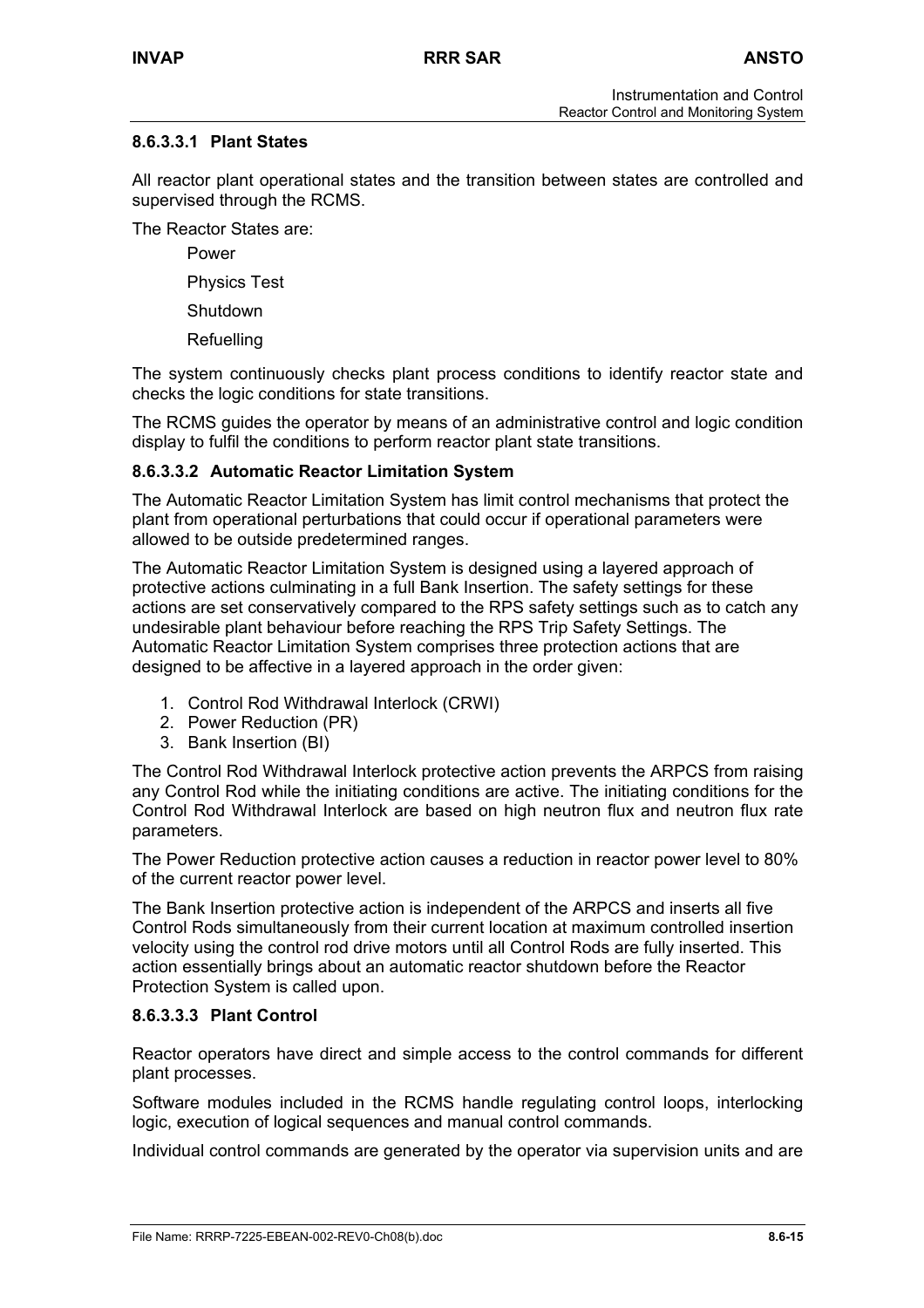# **8.6.3.3.1 Plant States**

All reactor plant operational states and the transition between states are controlled and supervised through the RCMS.

The Reactor States are:

Power

Physics Test

Shutdown

Refuelling

The system continuously checks plant process conditions to identify reactor state and checks the logic conditions for state transitions.

The RCMS guides the operator by means of an administrative control and logic condition display to fulfil the conditions to perform reactor plant state transitions.

## **8.6.3.3.2 Automatic Reactor Limitation System**

The Automatic Reactor Limitation System has limit control mechanisms that protect the plant from operational perturbations that could occur if operational parameters were allowed to be outside predetermined ranges.

The Automatic Reactor Limitation System is designed using a layered approach of protective actions culminating in a full Bank Insertion. The safety settings for these actions are set conservatively compared to the RPS safety settings such as to catch any undesirable plant behaviour before reaching the RPS Trip Safety Settings. The Automatic Reactor Limitation System comprises three protection actions that are designed to be affective in a layered approach in the order given:

- 1. Control Rod Withdrawal Interlock (CRWI)
- 2. Power Reduction (PR)
- 3. Bank Insertion (BI)

The Control Rod Withdrawal Interlock protective action prevents the ARPCS from raising any Control Rod while the initiating conditions are active. The initiating conditions for the Control Rod Withdrawal Interlock are based on high neutron flux and neutron flux rate parameters.

The Power Reduction protective action causes a reduction in reactor power level to 80% of the current reactor power level.

The Bank Insertion protective action is independent of the ARPCS and inserts all five Control Rods simultaneously from their current location at maximum controlled insertion velocity using the control rod drive motors until all Control Rods are fully inserted. This action essentially brings about an automatic reactor shutdown before the Reactor Protection System is called upon.

## **8.6.3.3.3 Plant Control**

Reactor operators have direct and simple access to the control commands for different plant processes.

Software modules included in the RCMS handle regulating control loops, interlocking logic, execution of logical sequences and manual control commands.

Individual control commands are generated by the operator via supervision units and are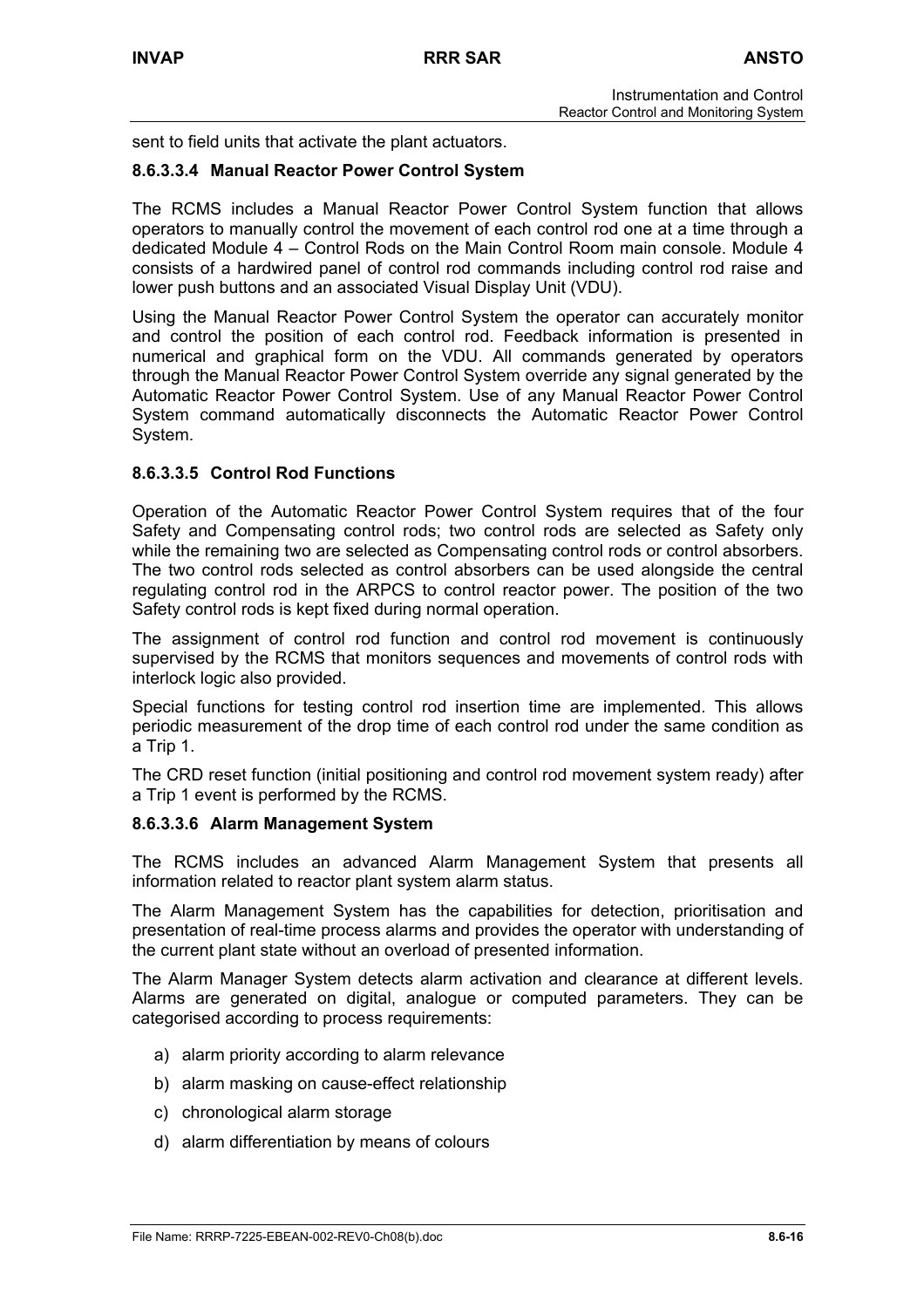sent to field units that activate the plant actuators.

## **8.6.3.3.4 Manual Reactor Power Control System**

The RCMS includes a Manual Reactor Power Control System function that allows operators to manually control the movement of each control rod one at a time through a dedicated Module 4 – Control Rods on the Main Control Room main console. Module 4 consists of a hardwired panel of control rod commands including control rod raise and lower push buttons and an associated Visual Display Unit (VDU).

Using the Manual Reactor Power Control System the operator can accurately monitor and control the position of each control rod. Feedback information is presented in numerical and graphical form on the VDU. All commands generated by operators through the Manual Reactor Power Control System override any signal generated by the Automatic Reactor Power Control System. Use of any Manual Reactor Power Control System command automatically disconnects the Automatic Reactor Power Control System.

## **8.6.3.3.5 Control Rod Functions**

Operation of the Automatic Reactor Power Control System requires that of the four Safety and Compensating control rods; two control rods are selected as Safety only while the remaining two are selected as Compensating control rods or control absorbers. The two control rods selected as control absorbers can be used alongside the central regulating control rod in the ARPCS to control reactor power. The position of the two Safety control rods is kept fixed during normal operation.

The assignment of control rod function and control rod movement is continuously supervised by the RCMS that monitors sequences and movements of control rods with interlock logic also provided.

Special functions for testing control rod insertion time are implemented. This allows periodic measurement of the drop time of each control rod under the same condition as a Trip 1.

The CRD reset function (initial positioning and control rod movement system ready) after a Trip 1 event is performed by the RCMS.

### **8.6.3.3.6 Alarm Management System**

The RCMS includes an advanced Alarm Management System that presents all information related to reactor plant system alarm status.

The Alarm Management System has the capabilities for detection, prioritisation and presentation of real-time process alarms and provides the operator with understanding of the current plant state without an overload of presented information.

The Alarm Manager System detects alarm activation and clearance at different levels. Alarms are generated on digital, analogue or computed parameters. They can be categorised according to process requirements:

- a) alarm priority according to alarm relevance
- b) alarm masking on cause-effect relationship
- c) chronological alarm storage
- d) alarm differentiation by means of colours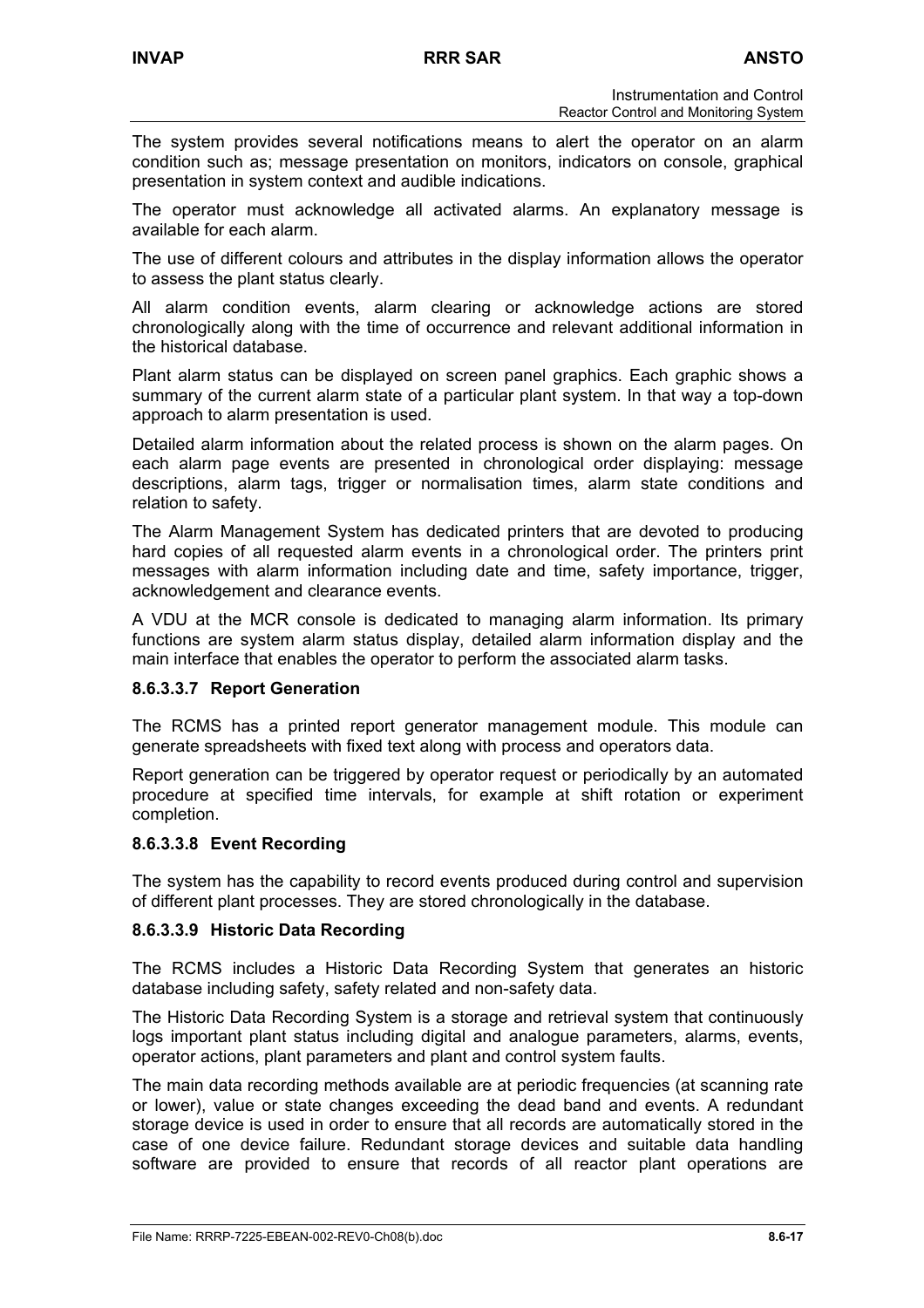The system provides several notifications means to alert the operator on an alarm condition such as; message presentation on monitors, indicators on console, graphical presentation in system context and audible indications.

The operator must acknowledge all activated alarms. An explanatory message is available for each alarm.

The use of different colours and attributes in the display information allows the operator to assess the plant status clearly.

All alarm condition events, alarm clearing or acknowledge actions are stored chronologically along with the time of occurrence and relevant additional information in the historical database.

Plant alarm status can be displayed on screen panel graphics. Each graphic shows a summary of the current alarm state of a particular plant system. In that way a top-down approach to alarm presentation is used.

Detailed alarm information about the related process is shown on the alarm pages. On each alarm page events are presented in chronological order displaying: message descriptions, alarm tags, trigger or normalisation times, alarm state conditions and relation to safety.

The Alarm Management System has dedicated printers that are devoted to producing hard copies of all requested alarm events in a chronological order. The printers print messages with alarm information including date and time, safety importance, trigger, acknowledgement and clearance events.

A VDU at the MCR console is dedicated to managing alarm information. Its primary functions are system alarm status display, detailed alarm information display and the main interface that enables the operator to perform the associated alarm tasks.

### **8.6.3.3.7 Report Generation**

The RCMS has a printed report generator management module. This module can generate spreadsheets with fixed text along with process and operators data.

Report generation can be triggered by operator request or periodically by an automated procedure at specified time intervals, for example at shift rotation or experiment completion.

### **8.6.3.3.8 Event Recording**

The system has the capability to record events produced during control and supervision of different plant processes. They are stored chronologically in the database.

### **8.6.3.3.9 Historic Data Recording**

The RCMS includes a Historic Data Recording System that generates an historic database including safety, safety related and non-safety data.

The Historic Data Recording System is a storage and retrieval system that continuously logs important plant status including digital and analogue parameters, alarms, events, operator actions, plant parameters and plant and control system faults.

The main data recording methods available are at periodic frequencies (at scanning rate or lower), value or state changes exceeding the dead band and events. A redundant storage device is used in order to ensure that all records are automatically stored in the case of one device failure. Redundant storage devices and suitable data handling software are provided to ensure that records of all reactor plant operations are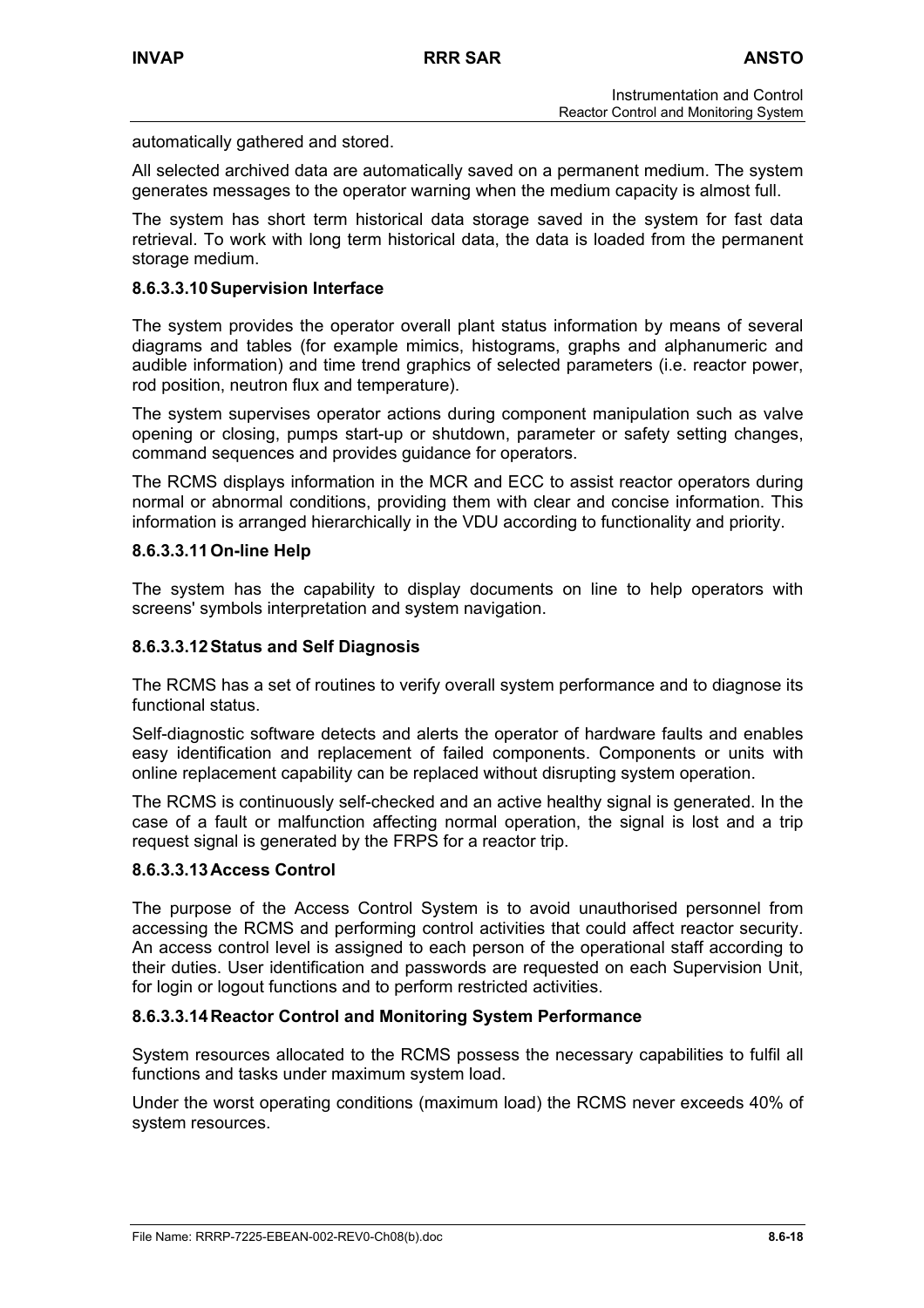automatically gathered and stored.

All selected archived data are automatically saved on a permanent medium. The system generates messages to the operator warning when the medium capacity is almost full.

The system has short term historical data storage saved in the system for fast data retrieval. To work with long term historical data, the data is loaded from the permanent storage medium.

### **8.6.3.3.10 Supervision Interface**

The system provides the operator overall plant status information by means of several diagrams and tables (for example mimics, histograms, graphs and alphanumeric and audible information) and time trend graphics of selected parameters (i.e. reactor power, rod position, neutron flux and temperature).

The system supervises operator actions during component manipulation such as valve opening or closing, pumps start-up or shutdown, parameter or safety setting changes, command sequences and provides guidance for operators.

The RCMS displays information in the MCR and ECC to assist reactor operators during normal or abnormal conditions, providing them with clear and concise information. This information is arranged hierarchically in the VDU according to functionality and priority.

### **8.6.3.3.11 On-line Help**

The system has the capability to display documents on line to help operators with screens' symbols interpretation and system navigation.

### **8.6.3.3.12 Status and Self Diagnosis**

The RCMS has a set of routines to verify overall system performance and to diagnose its functional status.

Self-diagnostic software detects and alerts the operator of hardware faults and enables easy identification and replacement of failed components. Components or units with online replacement capability can be replaced without disrupting system operation.

The RCMS is continuously self-checked and an active healthy signal is generated. In the case of a fault or malfunction affecting normal operation, the signal is lost and a trip request signal is generated by the FRPS for a reactor trip.

### **8.6.3.3.13 Access Control**

The purpose of the Access Control System is to avoid unauthorised personnel from accessing the RCMS and performing control activities that could affect reactor security. An access control level is assigned to each person of the operational staff according to their duties. User identification and passwords are requested on each Supervision Unit, for login or logout functions and to perform restricted activities.

### **8.6.3.3.14 Reactor Control and Monitoring System Performance**

System resources allocated to the RCMS possess the necessary capabilities to fulfil all functions and tasks under maximum system load.

Under the worst operating conditions (maximum load) the RCMS never exceeds 40% of system resources.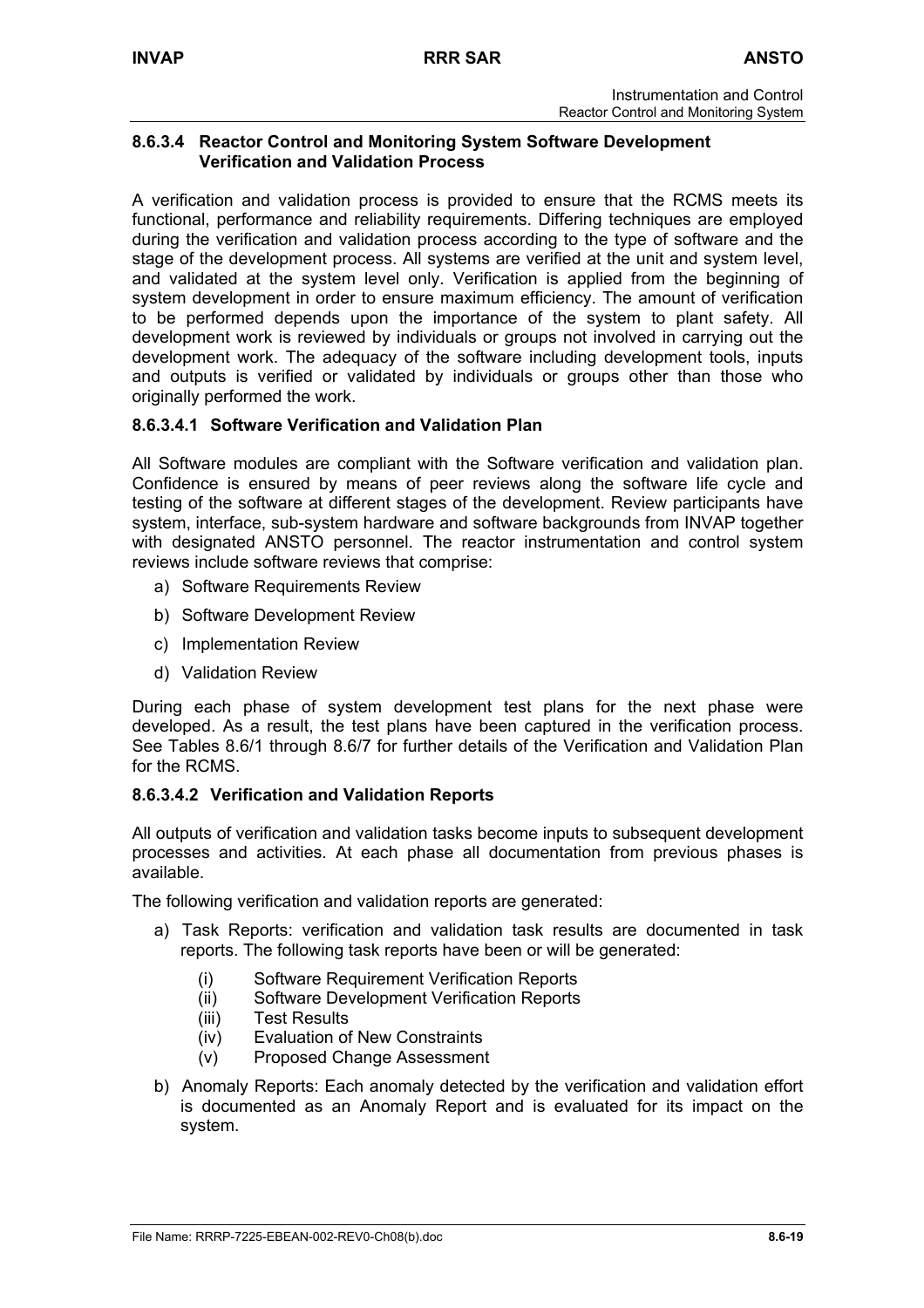### **8.6.3.4 Reactor Control and Monitoring System Software Development Verification and Validation Process**

A verification and validation process is provided to ensure that the RCMS meets its functional, performance and reliability requirements. Differing techniques are employed during the verification and validation process according to the type of software and the stage of the development process. All systems are verified at the unit and system level, and validated at the system level only. Verification is applied from the beginning of system development in order to ensure maximum efficiency. The amount of verification to be performed depends upon the importance of the system to plant safety. All development work is reviewed by individuals or groups not involved in carrying out the development work. The adequacy of the software including development tools, inputs and outputs is verified or validated by individuals or groups other than those who originally performed the work.

## **8.6.3.4.1 Software Verification and Validation Plan**

All Software modules are compliant with the Software verification and validation plan. Confidence is ensured by means of peer reviews along the software life cycle and testing of the software at different stages of the development. Review participants have system, interface, sub-system hardware and software backgrounds from INVAP together with designated ANSTO personnel. The reactor instrumentation and control system reviews include software reviews that comprise:

- a) Software Requirements Review
- b) Software Development Review
- c) Implementation Review
- d) Validation Review

During each phase of system development test plans for the next phase were developed. As a result, the test plans have been captured in the verification process. See Tables 8.6/1 through 8.6/7 for further details of the Verification and Validation Plan for the RCMS.

## **8.6.3.4.2 Verification and Validation Reports**

All outputs of verification and validation tasks become inputs to subsequent development processes and activities. At each phase all documentation from previous phases is available.

The following verification and validation reports are generated:

- a) Task Reports: verification and validation task results are documented in task reports. The following task reports have been or will be generated:
	- (i) Software Requirement Verification Reports
	- (ii) Software Development Verification Reports
	- (iii) Test Results
	- (iv) Evaluation of New Constraints
	- (v) Proposed Change Assessment
- b) Anomaly Reports: Each anomaly detected by the verification and validation effort is documented as an Anomaly Report and is evaluated for its impact on the system.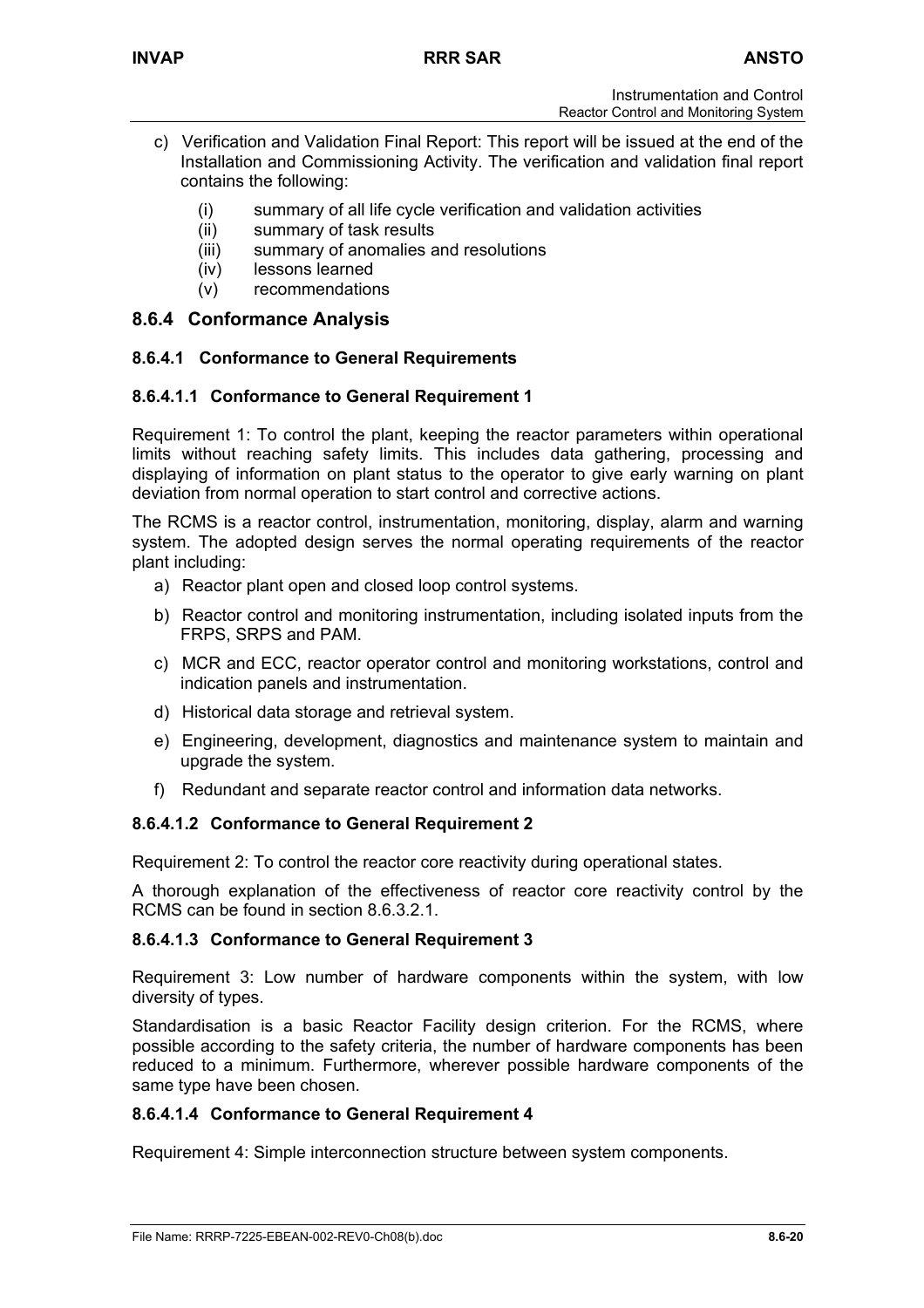- c) Verification and Validation Final Report: This report will be issued at the end of the Installation and Commissioning Activity. The verification and validation final report contains the following:
	- (i) summary of all life cycle verification and validation activities
	- (ii) summary of task results
	- (iii) summary of anomalies and resolutions
	- (iv) lessons learned
	- (v) recommendations

# **8.6.4 Conformance Analysis**

## **8.6.4.1 Conformance to General Requirements**

## **8.6.4.1.1 Conformance to General Requirement 1**

Requirement 1: To control the plant, keeping the reactor parameters within operational limits without reaching safety limits. This includes data gathering, processing and displaying of information on plant status to the operator to give early warning on plant deviation from normal operation to start control and corrective actions.

The RCMS is a reactor control, instrumentation, monitoring, display, alarm and warning system. The adopted design serves the normal operating requirements of the reactor plant including:

- a) Reactor plant open and closed loop control systems.
- b) Reactor control and monitoring instrumentation, including isolated inputs from the FRPS, SRPS and PAM.
- c) MCR and ECC, reactor operator control and monitoring workstations, control and indication panels and instrumentation.
- d) Historical data storage and retrieval system.
- e) Engineering, development, diagnostics and maintenance system to maintain and upgrade the system.
- f) Redundant and separate reactor control and information data networks.

## **8.6.4.1.2 Conformance to General Requirement 2**

Requirement 2: To control the reactor core reactivity during operational states.

A thorough explanation of the effectiveness of reactor core reactivity control by the RCMS can be found in section 8.6.3.2.1.

## **8.6.4.1.3 Conformance to General Requirement 3**

Requirement 3: Low number of hardware components within the system, with low diversity of types.

Standardisation is a basic Reactor Facility design criterion. For the RCMS, where possible according to the safety criteria, the number of hardware components has been reduced to a minimum. Furthermore, wherever possible hardware components of the same type have been chosen.

## **8.6.4.1.4 Conformance to General Requirement 4**

Requirement 4: Simple interconnection structure between system components.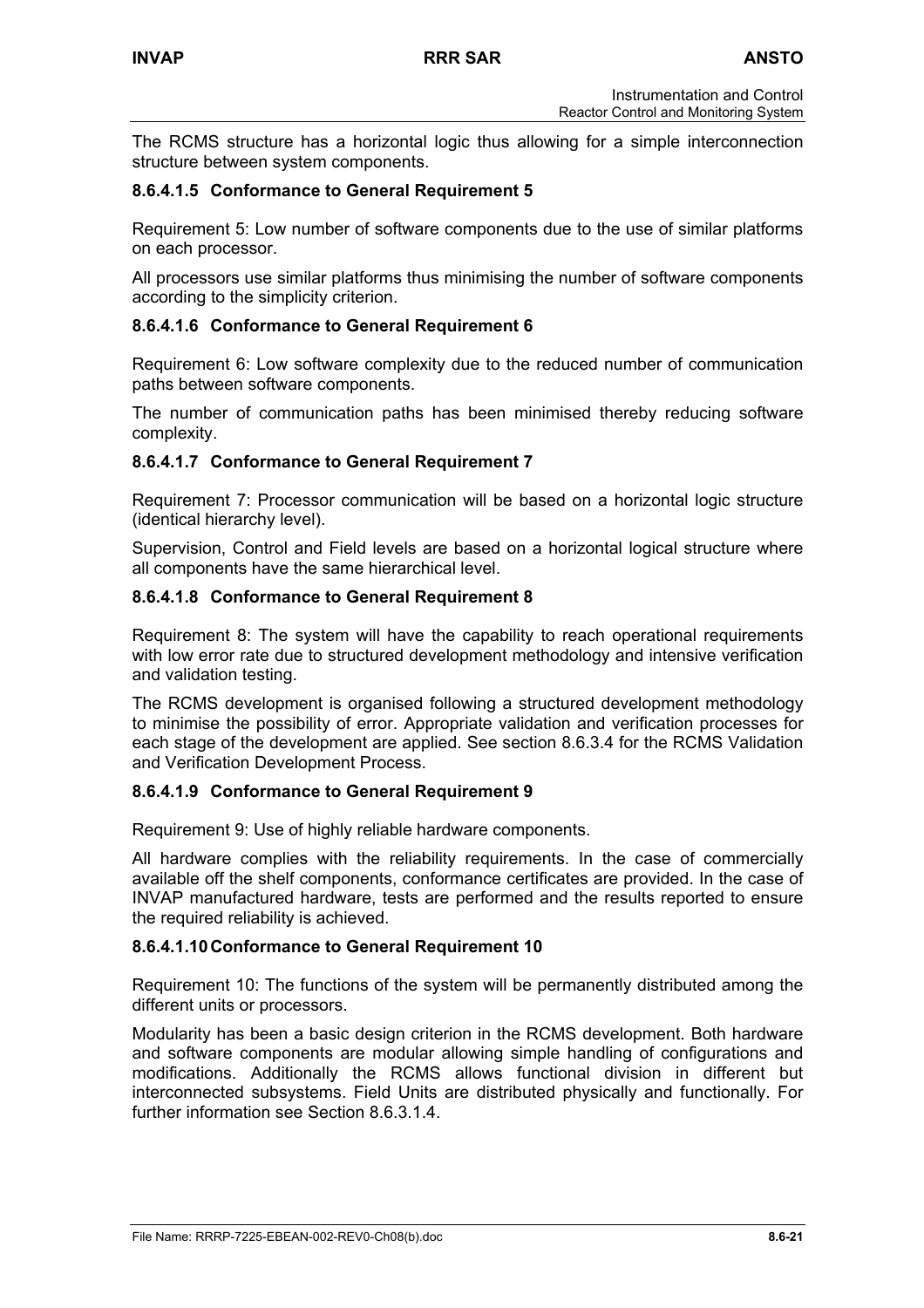The RCMS structure has a horizontal logic thus allowing for a simple interconnection structure between system components.

## **8.6.4.1.5 Conformance to General Requirement 5**

Requirement 5: Low number of software components due to the use of similar platforms on each processor.

All processors use similar platforms thus minimising the number of software components according to the simplicity criterion.

## **8.6.4.1.6 Conformance to General Requirement 6**

Requirement 6: Low software complexity due to the reduced number of communication paths between software components.

The number of communication paths has been minimised thereby reducing software complexity.

## **8.6.4.1.7 Conformance to General Requirement 7**

Requirement 7: Processor communication will be based on a horizontal logic structure (identical hierarchy level).

Supervision, Control and Field levels are based on a horizontal logical structure where all components have the same hierarchical level.

### **8.6.4.1.8 Conformance to General Requirement 8**

Requirement 8: The system will have the capability to reach operational requirements with low error rate due to structured development methodology and intensive verification and validation testing.

The RCMS development is organised following a structured development methodology to minimise the possibility of error. Appropriate validation and verification processes for each stage of the development are applied. See section 8.6.3.4 for the RCMS Validation and Verification Development Process.

### **8.6.4.1.9 Conformance to General Requirement 9**

Requirement 9: Use of highly reliable hardware components.

All hardware complies with the reliability requirements. In the case of commercially available off the shelf components, conformance certificates are provided. In the case of INVAP manufactured hardware, tests are performed and the results reported to ensure the required reliability is achieved.

### **8.6.4.1.10 Conformance to General Requirement 10**

Requirement 10: The functions of the system will be permanently distributed among the different units or processors.

Modularity has been a basic design criterion in the RCMS development. Both hardware and software components are modular allowing simple handling of configurations and modifications. Additionally the RCMS allows functional division in different but interconnected subsystems. Field Units are distributed physically and functionally. For further information see Section 8.6.3.1.4.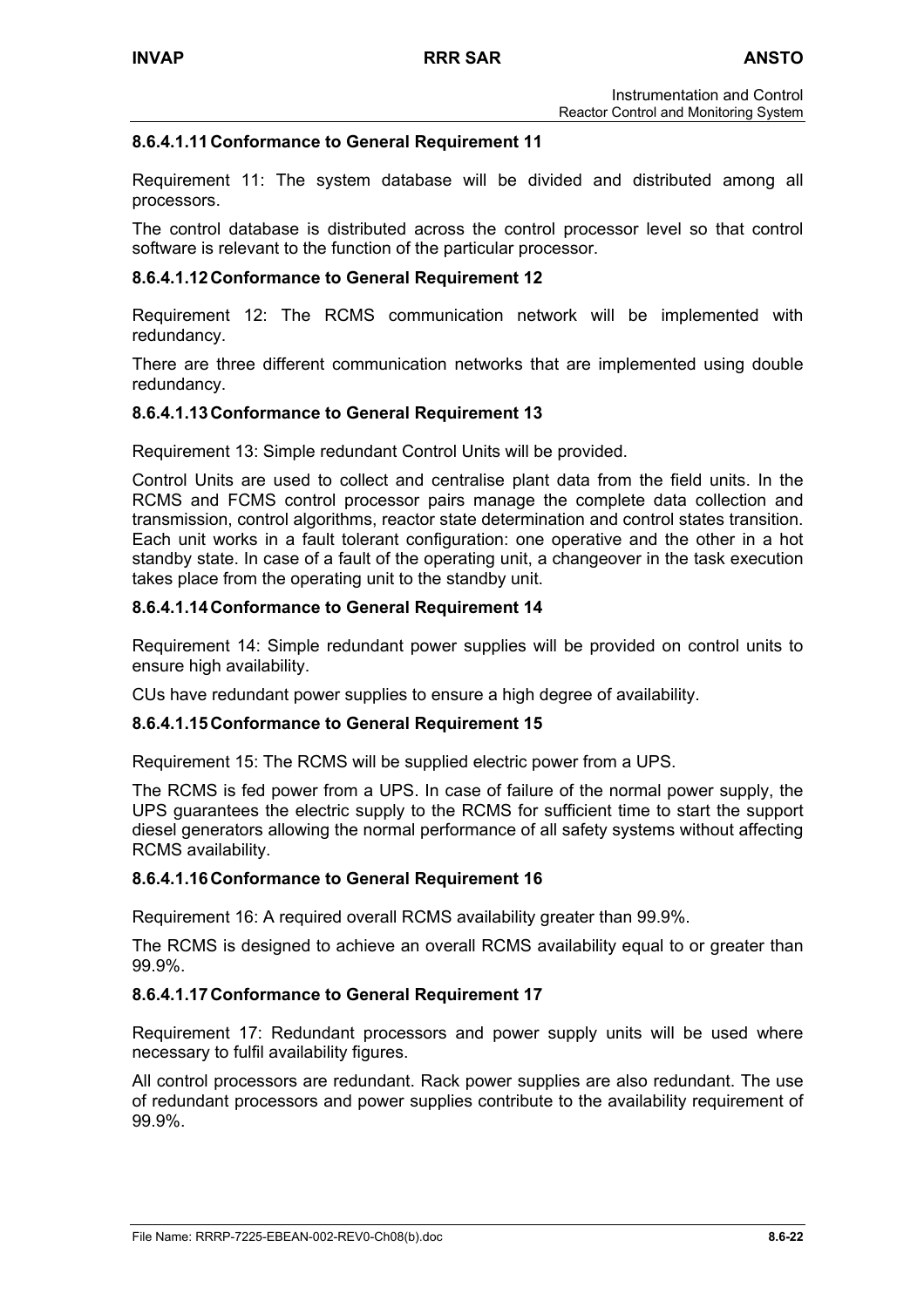## **8.6.4.1.11 Conformance to General Requirement 11**

Requirement 11: The system database will be divided and distributed among all processors.

The control database is distributed across the control processor level so that control software is relevant to the function of the particular processor.

### **8.6.4.1.12 Conformance to General Requirement 12**

Requirement 12: The RCMS communication network will be implemented with redundancy.

There are three different communication networks that are implemented using double redundancy.

### **8.6.4.1.13 Conformance to General Requirement 13**

Requirement 13: Simple redundant Control Units will be provided.

Control Units are used to collect and centralise plant data from the field units. In the RCMS and FCMS control processor pairs manage the complete data collection and transmission, control algorithms, reactor state determination and control states transition. Each unit works in a fault tolerant configuration: one operative and the other in a hot standby state. In case of a fault of the operating unit, a changeover in the task execution takes place from the operating unit to the standby unit.

### **8.6.4.1.14 Conformance to General Requirement 14**

Requirement 14: Simple redundant power supplies will be provided on control units to ensure high availability.

CUs have redundant power supplies to ensure a high degree of availability.

### **8.6.4.1.15 Conformance to General Requirement 15**

Requirement 15: The RCMS will be supplied electric power from a UPS.

The RCMS is fed power from a UPS. In case of failure of the normal power supply, the UPS guarantees the electric supply to the RCMS for sufficient time to start the support diesel generators allowing the normal performance of all safety systems without affecting RCMS availability.

### **8.6.4.1.16 Conformance to General Requirement 16**

Requirement 16: A required overall RCMS availability greater than 99.9%.

The RCMS is designed to achieve an overall RCMS availability equal to or greater than 99.9%.

### **8.6.4.1.17 Conformance to General Requirement 17**

Requirement 17: Redundant processors and power supply units will be used where necessary to fulfil availability figures.

All control processors are redundant. Rack power supplies are also redundant. The use of redundant processors and power supplies contribute to the availability requirement of 99.9%.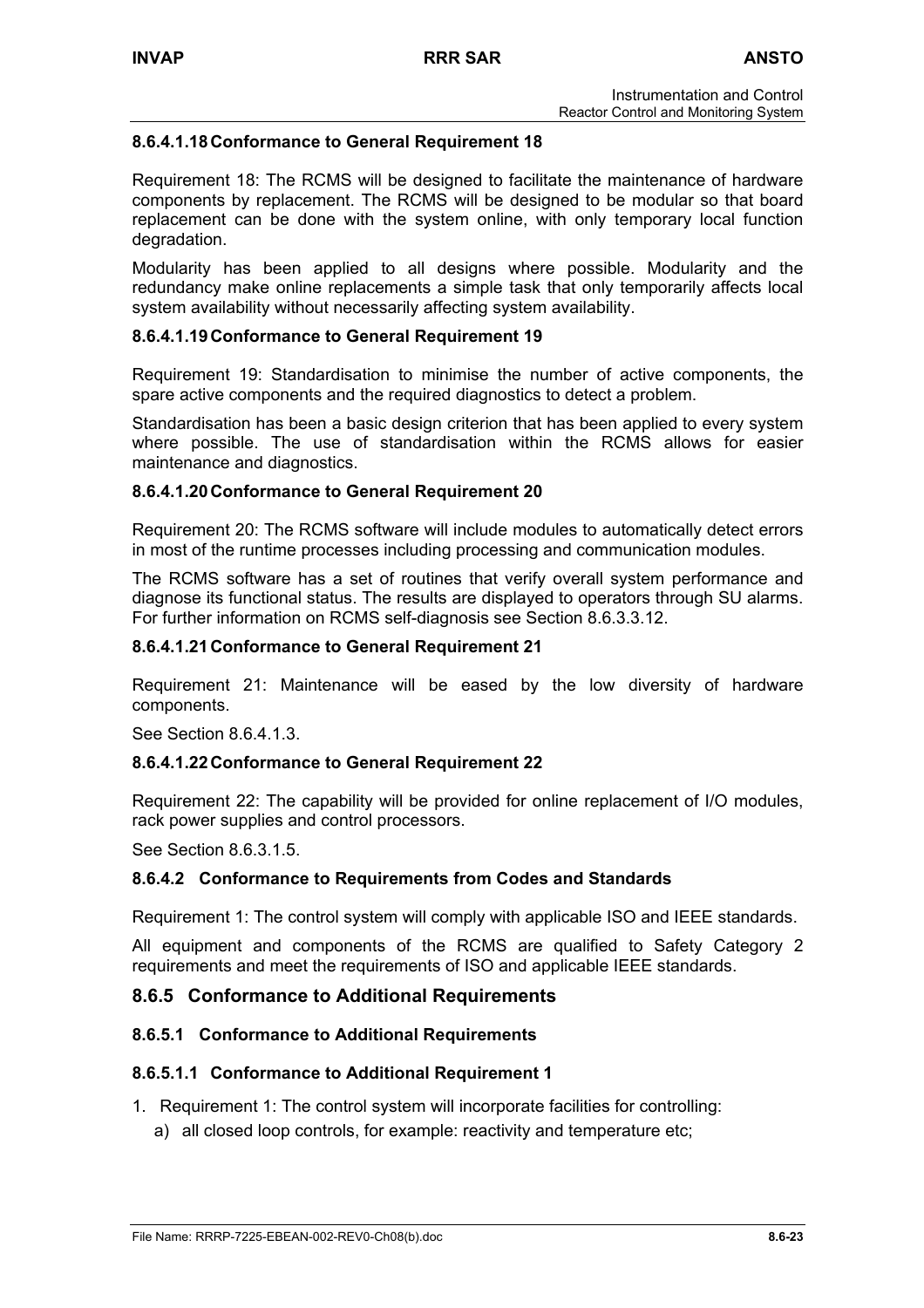## **8.6.4.1.18 Conformance to General Requirement 18**

Requirement 18: The RCMS will be designed to facilitate the maintenance of hardware components by replacement. The RCMS will be designed to be modular so that board replacement can be done with the system online, with only temporary local function degradation.

Modularity has been applied to all designs where possible. Modularity and the redundancy make online replacements a simple task that only temporarily affects local system availability without necessarily affecting system availability.

## **8.6.4.1.19 Conformance to General Requirement 19**

Requirement 19: Standardisation to minimise the number of active components, the spare active components and the required diagnostics to detect a problem.

Standardisation has been a basic design criterion that has been applied to every system where possible. The use of standardisation within the RCMS allows for easier maintenance and diagnostics.

### **8.6.4.1.20 Conformance to General Requirement 20**

Requirement 20: The RCMS software will include modules to automatically detect errors in most of the runtime processes including processing and communication modules.

The RCMS software has a set of routines that verify overall system performance and diagnose its functional status. The results are displayed to operators through SU alarms. For further information on RCMS self-diagnosis see Section 8.6.3.3.12.

### **8.6.4.1.21 Conformance to General Requirement 21**

Requirement 21: Maintenance will be eased by the low diversity of hardware components.

See Section 8.6.4.1.3.

### **8.6.4.1.22 Conformance to General Requirement 22**

Requirement 22: The capability will be provided for online replacement of I/O modules, rack power supplies and control processors.

See Section 8.6.3.1.5.

### **8.6.4.2 Conformance to Requirements from Codes and Standards**

Requirement 1: The control system will comply with applicable ISO and IEEE standards.

All equipment and components of the RCMS are qualified to Safety Category 2 requirements and meet the requirements of ISO and applicable IEEE standards.

### **8.6.5 Conformance to Additional Requirements**

### **8.6.5.1 Conformance to Additional Requirements**

### **8.6.5.1.1 Conformance to Additional Requirement 1**

- 1. Requirement 1: The control system will incorporate facilities for controlling:
	- a) all closed loop controls, for example: reactivity and temperature etc;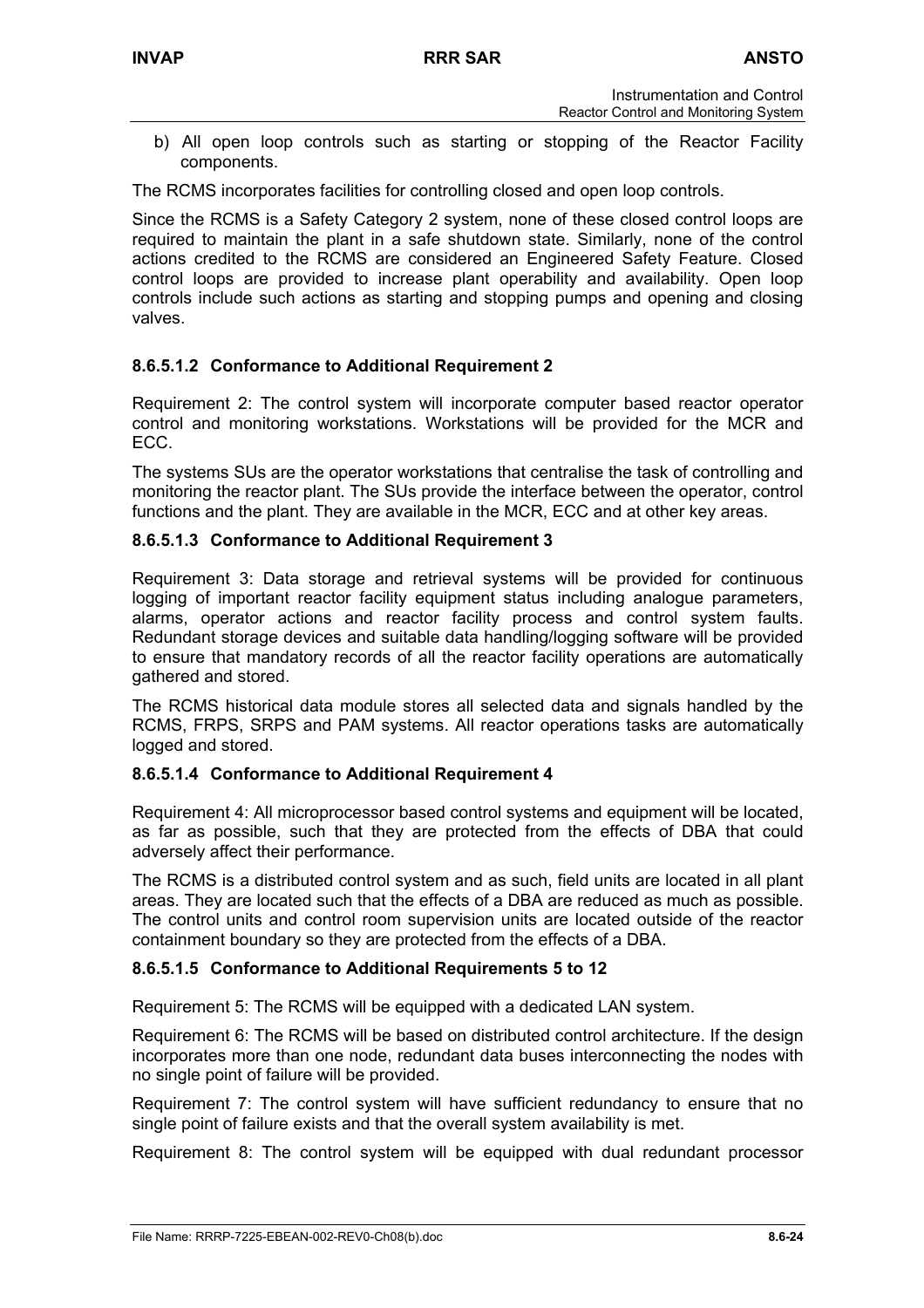b) All open loop controls such as starting or stopping of the Reactor Facility components.

The RCMS incorporates facilities for controlling closed and open loop controls.

Since the RCMS is a Safety Category 2 system, none of these closed control loops are required to maintain the plant in a safe shutdown state. Similarly, none of the control actions credited to the RCMS are considered an Engineered Safety Feature. Closed control loops are provided to increase plant operability and availability. Open loop controls include such actions as starting and stopping pumps and opening and closing valves.

## **8.6.5.1.2 Conformance to Additional Requirement 2**

Requirement 2: The control system will incorporate computer based reactor operator control and monitoring workstations. Workstations will be provided for the MCR and ECC.

The systems SUs are the operator workstations that centralise the task of controlling and monitoring the reactor plant. The SUs provide the interface between the operator, control functions and the plant. They are available in the MCR, ECC and at other key areas.

## **8.6.5.1.3 Conformance to Additional Requirement 3**

Requirement 3: Data storage and retrieval systems will be provided for continuous logging of important reactor facility equipment status including analogue parameters, alarms, operator actions and reactor facility process and control system faults. Redundant storage devices and suitable data handling/logging software will be provided to ensure that mandatory records of all the reactor facility operations are automatically gathered and stored.

The RCMS historical data module stores all selected data and signals handled by the RCMS, FRPS, SRPS and PAM systems. All reactor operations tasks are automatically logged and stored.

### **8.6.5.1.4 Conformance to Additional Requirement 4**

Requirement 4: All microprocessor based control systems and equipment will be located, as far as possible, such that they are protected from the effects of DBA that could adversely affect their performance.

The RCMS is a distributed control system and as such, field units are located in all plant areas. They are located such that the effects of a DBA are reduced as much as possible. The control units and control room supervision units are located outside of the reactor containment boundary so they are protected from the effects of a DBA.

## **8.6.5.1.5 Conformance to Additional Requirements 5 to 12**

Requirement 5: The RCMS will be equipped with a dedicated LAN system.

Requirement 6: The RCMS will be based on distributed control architecture. If the design incorporates more than one node, redundant data buses interconnecting the nodes with no single point of failure will be provided.

Requirement 7: The control system will have sufficient redundancy to ensure that no single point of failure exists and that the overall system availability is met.

Requirement 8: The control system will be equipped with dual redundant processor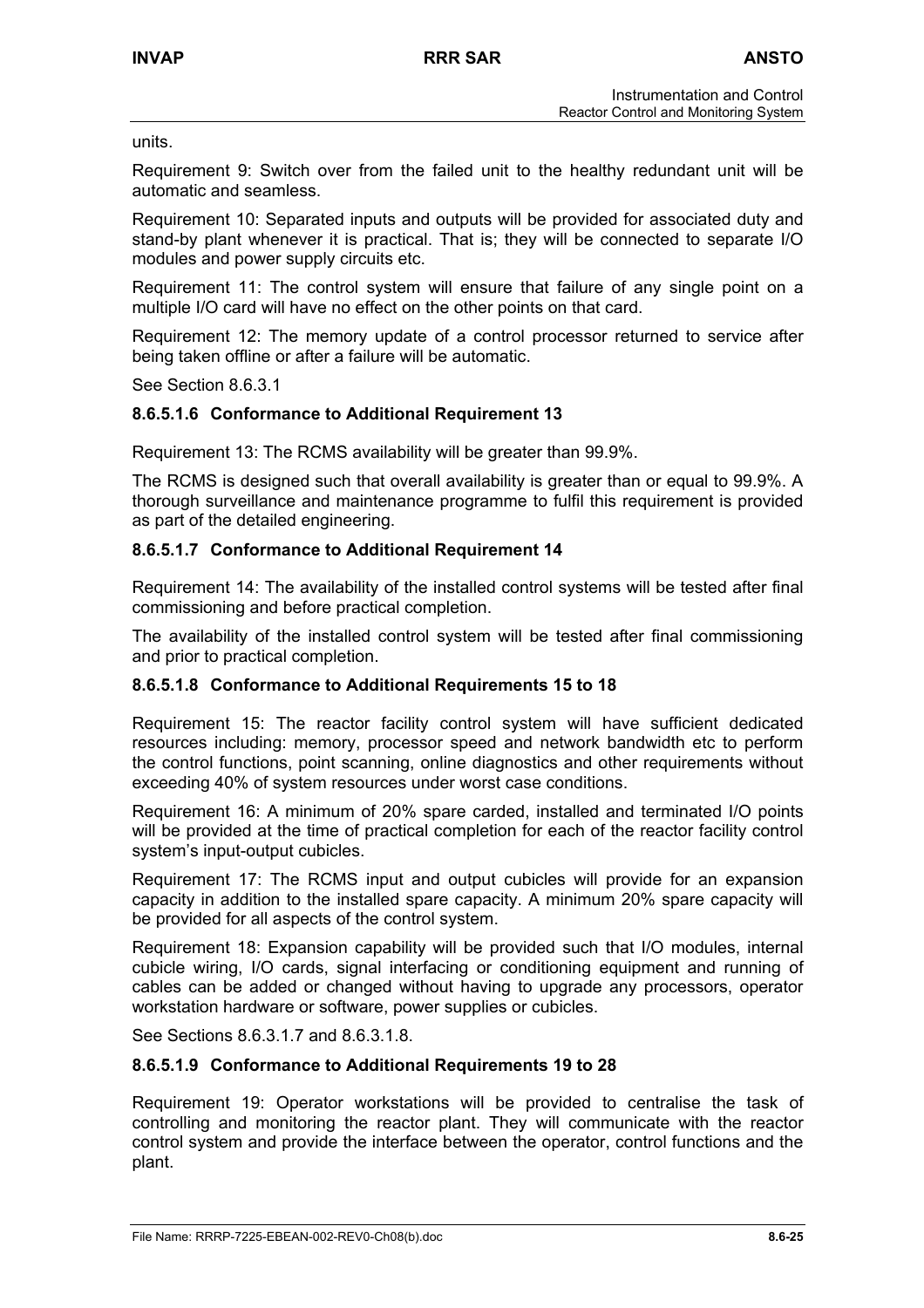units.

Requirement 9: Switch over from the failed unit to the healthy redundant unit will be automatic and seamless.

Requirement 10: Separated inputs and outputs will be provided for associated duty and stand-by plant whenever it is practical. That is; they will be connected to separate I/O modules and power supply circuits etc.

Requirement 11: The control system will ensure that failure of any single point on a multiple I/O card will have no effect on the other points on that card.

Requirement 12: The memory update of a control processor returned to service after being taken offline or after a failure will be automatic.

See Section 8.6.3.1

### **8.6.5.1.6 Conformance to Additional Requirement 13**

Requirement 13: The RCMS availability will be greater than 99.9%.

The RCMS is designed such that overall availability is greater than or equal to 99.9%. A thorough surveillance and maintenance programme to fulfil this requirement is provided as part of the detailed engineering.

### **8.6.5.1.7 Conformance to Additional Requirement 14**

Requirement 14: The availability of the installed control systems will be tested after final commissioning and before practical completion.

The availability of the installed control system will be tested after final commissioning and prior to practical completion.

### **8.6.5.1.8 Conformance to Additional Requirements 15 to 18**

Requirement 15: The reactor facility control system will have sufficient dedicated resources including: memory, processor speed and network bandwidth etc to perform the control functions, point scanning, online diagnostics and other requirements without exceeding 40% of system resources under worst case conditions.

Requirement 16: A minimum of 20% spare carded, installed and terminated I/O points will be provided at the time of practical completion for each of the reactor facility control system's input-output cubicles.

Requirement 17: The RCMS input and output cubicles will provide for an expansion capacity in addition to the installed spare capacity. A minimum 20% spare capacity will be provided for all aspects of the control system.

Requirement 18: Expansion capability will be provided such that I/O modules, internal cubicle wiring, I/O cards, signal interfacing or conditioning equipment and running of cables can be added or changed without having to upgrade any processors, operator workstation hardware or software, power supplies or cubicles.

See Sections 8.6.3.1.7 and 8.6.3.1.8.

### **8.6.5.1.9 Conformance to Additional Requirements 19 to 28**

Requirement 19: Operator workstations will be provided to centralise the task of controlling and monitoring the reactor plant. They will communicate with the reactor control system and provide the interface between the operator, control functions and the plant.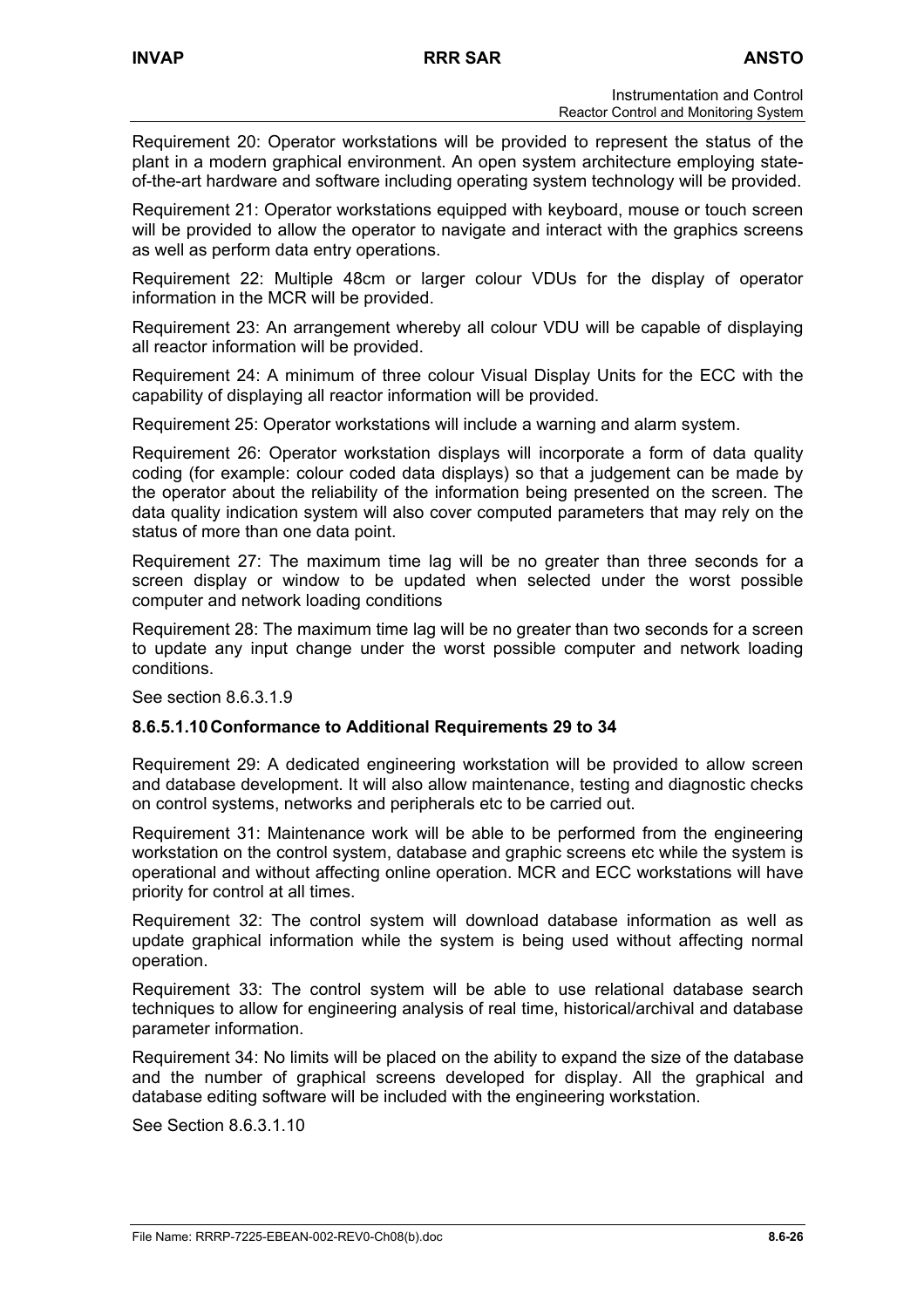Requirement 20: Operator workstations will be provided to represent the status of the plant in a modern graphical environment. An open system architecture employing stateof-the-art hardware and software including operating system technology will be provided.

Requirement 21: Operator workstations equipped with keyboard, mouse or touch screen will be provided to allow the operator to navigate and interact with the graphics screens as well as perform data entry operations.

Requirement 22: Multiple 48cm or larger colour VDUs for the display of operator information in the MCR will be provided.

Requirement 23: An arrangement whereby all colour VDU will be capable of displaying all reactor information will be provided.

Requirement 24: A minimum of three colour Visual Display Units for the ECC with the capability of displaying all reactor information will be provided.

Requirement 25: Operator workstations will include a warning and alarm system.

Requirement 26: Operator workstation displays will incorporate a form of data quality coding (for example: colour coded data displays) so that a judgement can be made by the operator about the reliability of the information being presented on the screen. The data quality indication system will also cover computed parameters that may rely on the status of more than one data point.

Requirement 27: The maximum time lag will be no greater than three seconds for a screen display or window to be updated when selected under the worst possible computer and network loading conditions

Requirement 28: The maximum time lag will be no greater than two seconds for a screen to update any input change under the worst possible computer and network loading conditions.

See section 8.6.3.1.9

### **8.6.5.1.10 Conformance to Additional Requirements 29 to 34**

Requirement 29: A dedicated engineering workstation will be provided to allow screen and database development. It will also allow maintenance, testing and diagnostic checks on control systems, networks and peripherals etc to be carried out.

Requirement 31: Maintenance work will be able to be performed from the engineering workstation on the control system, database and graphic screens etc while the system is operational and without affecting online operation. MCR and ECC workstations will have priority for control at all times.

Requirement 32: The control system will download database information as well as update graphical information while the system is being used without affecting normal operation.

Requirement 33: The control system will be able to use relational database search techniques to allow for engineering analysis of real time, historical/archival and database parameter information.

Requirement 34: No limits will be placed on the ability to expand the size of the database and the number of graphical screens developed for display. All the graphical and database editing software will be included with the engineering workstation.

See Section 8.6.3.1.10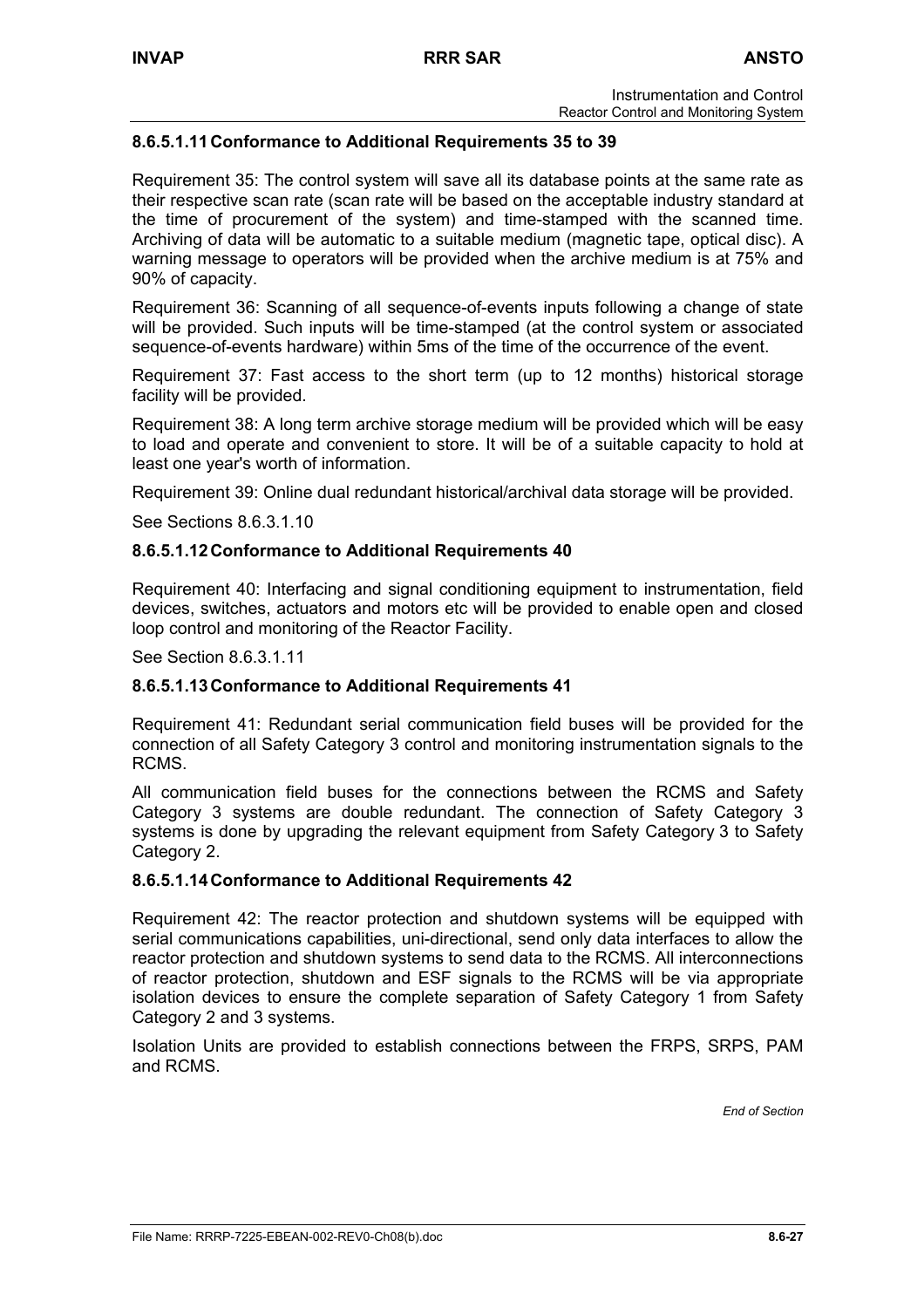## **8.6.5.1.11 Conformance to Additional Requirements 35 to 39**

Requirement 35: The control system will save all its database points at the same rate as their respective scan rate (scan rate will be based on the acceptable industry standard at the time of procurement of the system) and time-stamped with the scanned time. Archiving of data will be automatic to a suitable medium (magnetic tape, optical disc). A warning message to operators will be provided when the archive medium is at 75% and 90% of capacity.

Requirement 36: Scanning of all sequence-of-events inputs following a change of state will be provided. Such inputs will be time-stamped (at the control system or associated sequence-of-events hardware) within 5ms of the time of the occurrence of the event.

Requirement 37: Fast access to the short term (up to 12 months) historical storage facility will be provided.

Requirement 38: A long term archive storage medium will be provided which will be easy to load and operate and convenient to store. It will be of a suitable capacity to hold at least one year's worth of information.

Requirement 39: Online dual redundant historical/archival data storage will be provided.

See Sections 8.6.3.1.10

### **8.6.5.1.12 Conformance to Additional Requirements 40**

Requirement 40: Interfacing and signal conditioning equipment to instrumentation, field devices, switches, actuators and motors etc will be provided to enable open and closed loop control and monitoring of the Reactor Facility.

See Section 8.6.3.1.11

#### **8.6.5.1.13 Conformance to Additional Requirements 41**

Requirement 41: Redundant serial communication field buses will be provided for the connection of all Safety Category 3 control and monitoring instrumentation signals to the RCMS.

All communication field buses for the connections between the RCMS and Safety Category 3 systems are double redundant. The connection of Safety Category 3 systems is done by upgrading the relevant equipment from Safety Category 3 to Safety Category 2.

#### **8.6.5.1.14 Conformance to Additional Requirements 42**

Requirement 42: The reactor protection and shutdown systems will be equipped with serial communications capabilities, uni-directional, send only data interfaces to allow the reactor protection and shutdown systems to send data to the RCMS. All interconnections of reactor protection, shutdown and ESF signals to the RCMS will be via appropriate isolation devices to ensure the complete separation of Safety Category 1 from Safety Category 2 and 3 systems.

Isolation Units are provided to establish connections between the FRPS, SRPS, PAM and RCMS.

*End of Section*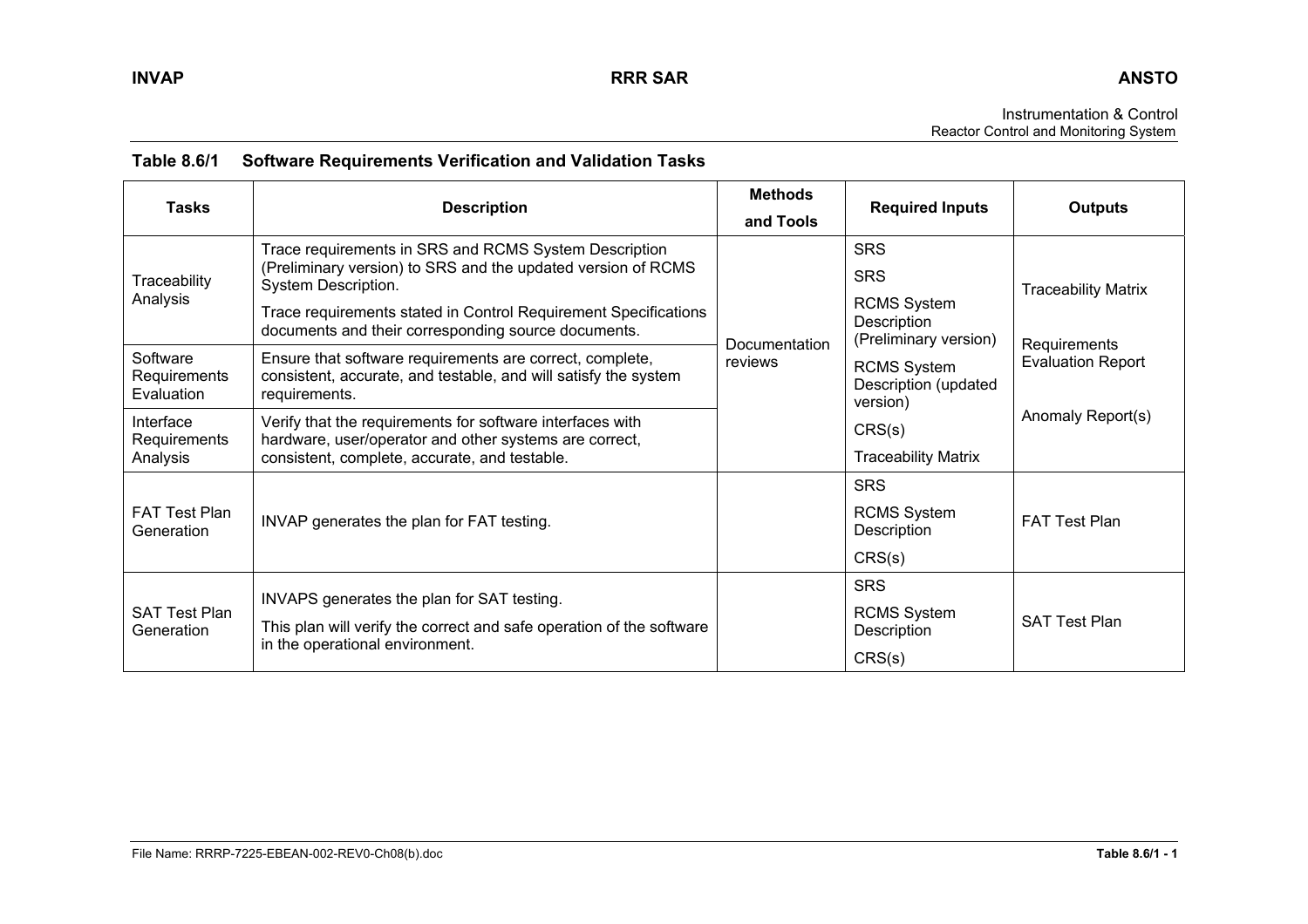Instrumentation & Control Reactor Control and Monitoring System

| Table 8.6/1  Software Requirements Verification and Validation Tasks |
|----------------------------------------------------------------------|
|                                                                      |

| <b>Tasks</b>                           | <b>Description</b>                                                                                                                                                                                                                                                     | <b>Methods</b><br>and Tools | <b>Required Inputs</b>                                                          | <b>Outputs</b>                                                |
|----------------------------------------|------------------------------------------------------------------------------------------------------------------------------------------------------------------------------------------------------------------------------------------------------------------------|-----------------------------|---------------------------------------------------------------------------------|---------------------------------------------------------------|
| Traceability<br>Analysis               | Trace requirements in SRS and RCMS System Description<br>(Preliminary version) to SRS and the updated version of RCMS<br>System Description.<br>Trace requirements stated in Control Requirement Specifications<br>documents and their corresponding source documents. |                             | <b>SRS</b><br><b>SRS</b><br><b>RCMS System</b><br>Description                   | <b>Traceability Matrix</b>                                    |
| Software<br>Requirements<br>Evaluation | Ensure that software requirements are correct, complete,<br>consistent, accurate, and testable, and will satisfy the system<br>requirements.                                                                                                                           | Documentation<br>reviews    | (Preliminary version)<br><b>RCMS System</b><br>Description (updated<br>version) | Requirements<br><b>Evaluation Report</b><br>Anomaly Report(s) |
| Interface<br>Requirements<br>Analysis  | Verify that the requirements for software interfaces with<br>hardware, user/operator and other systems are correct,<br>consistent, complete, accurate, and testable.                                                                                                   |                             | CRS(s)<br><b>Traceability Matrix</b>                                            |                                                               |
| <b>FAT Test Plan</b><br>Generation     | INVAP generates the plan for FAT testing.                                                                                                                                                                                                                              |                             | <b>SRS</b><br><b>RCMS System</b><br>Description<br>CRS(s)                       | <b>FAT Test Plan</b>                                          |
| <b>SAT Test Plan</b><br>Generation     | INVAPS generates the plan for SAT testing.<br>This plan will verify the correct and safe operation of the software<br>in the operational environment.                                                                                                                  |                             | <b>SRS</b><br><b>RCMS System</b><br>Description<br>CRS(s)                       | <b>SAT Test Plan</b>                                          |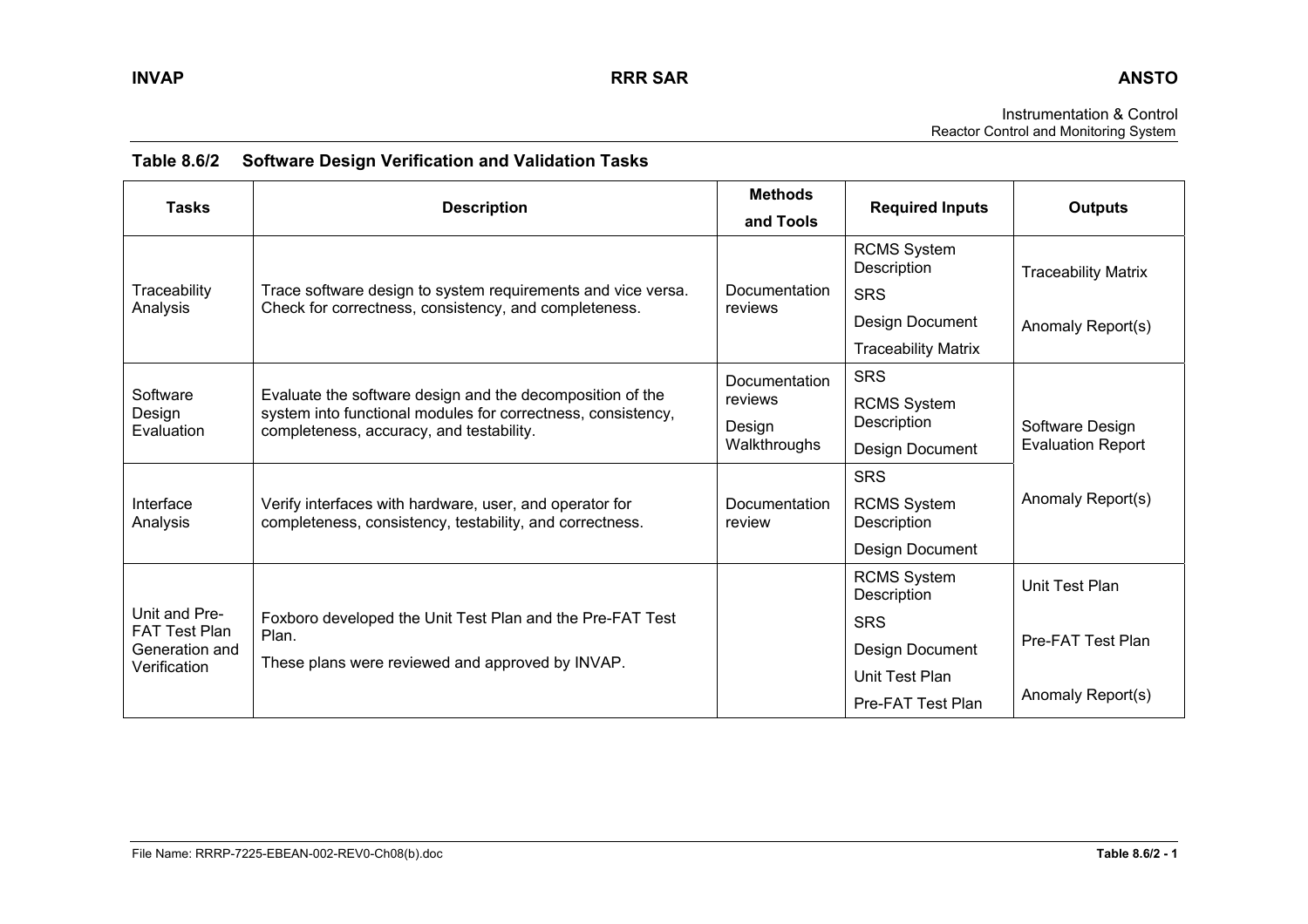Instrumentation & Control Reactor Control and Monitoring System

| <b>Tasks</b>                          | <b>Description</b>                                                                                                                                                    | <b>Methods</b><br>and Tools | <b>Required Inputs</b>            | <b>Outputs</b>                              |
|---------------------------------------|-----------------------------------------------------------------------------------------------------------------------------------------------------------------------|-----------------------------|-----------------------------------|---------------------------------------------|
|                                       |                                                                                                                                                                       |                             | <b>RCMS System</b><br>Description | <b>Traceability Matrix</b>                  |
| Traceability<br>Analysis              | Trace software design to system requirements and vice versa.<br>Check for correctness, consistency, and completeness.                                                 | Documentation<br>reviews    | <b>SRS</b>                        |                                             |
|                                       |                                                                                                                                                                       |                             | Design Document                   | Anomaly Report(s)                           |
|                                       |                                                                                                                                                                       |                             | <b>Traceability Matrix</b>        |                                             |
|                                       |                                                                                                                                                                       | Documentation               | <b>SRS</b>                        |                                             |
| Software<br>Design                    | Evaluate the software design and the decomposition of the<br>system into functional modules for correctness, consistency,<br>completeness, accuracy, and testability. | reviews                     | <b>RCMS System</b>                |                                             |
| Evaluation                            |                                                                                                                                                                       | Design<br>Walkthroughs      | Description                       | Software Design<br><b>Evaluation Report</b> |
|                                       |                                                                                                                                                                       |                             | Design Document                   |                                             |
|                                       |                                                                                                                                                                       |                             | <b>SRS</b>                        | Anomaly Report(s)                           |
| Interface<br>Analysis                 | Verify interfaces with hardware, user, and operator for<br>completeness, consistency, testability, and correctness.                                                   | Documentation<br>review     | <b>RCMS System</b><br>Description |                                             |
|                                       |                                                                                                                                                                       |                             | Design Document                   |                                             |
|                                       |                                                                                                                                                                       |                             | <b>RCMS System</b><br>Description | Unit Test Plan                              |
| Unit and Pre-<br><b>FAT Test Plan</b> | Foxboro developed the Unit Test Plan and the Pre-FAT Test                                                                                                             |                             | <b>SRS</b>                        |                                             |
| Generation and<br>Verification        | Plan.<br>These plans were reviewed and approved by INVAP.                                                                                                             |                             | Design Document                   | Pre-FAT Test Plan                           |
|                                       |                                                                                                                                                                       |                             | Unit Test Plan                    |                                             |
|                                       |                                                                                                                                                                       |                             | Pre-FAT Test Plan                 | Anomaly Report(s)                           |

# **Table 8.6/2 Software Design Verification and Validation Tasks**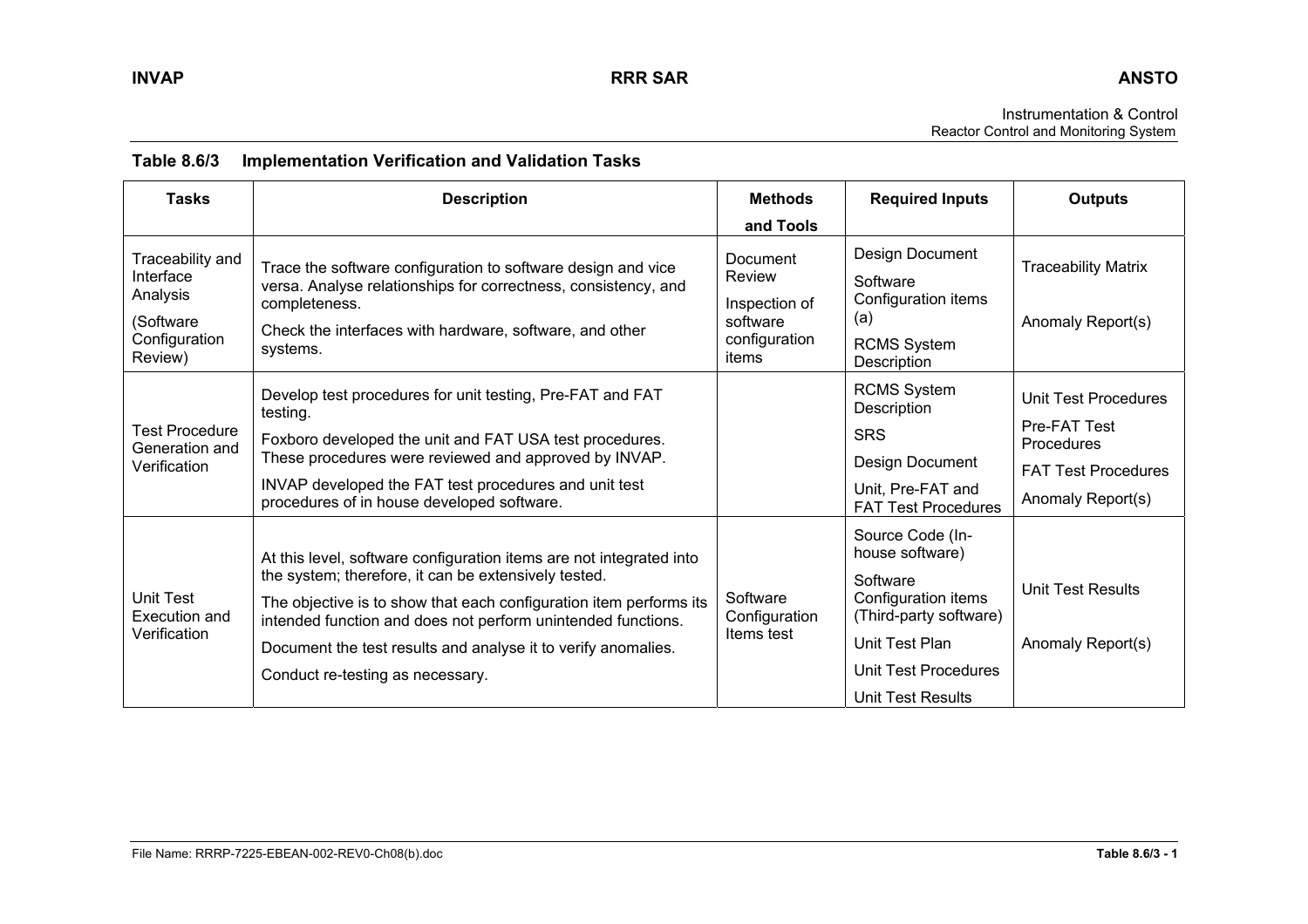| <b>Tasks</b>                                                                       | <b>Description</b>                                                                                                                                                                                                                                                                                                                                                     | <b>Methods</b><br>and Tools                                               | <b>Required Inputs</b>                                                                                                                                                 | <b>Outputs</b>                                                                                        |
|------------------------------------------------------------------------------------|------------------------------------------------------------------------------------------------------------------------------------------------------------------------------------------------------------------------------------------------------------------------------------------------------------------------------------------------------------------------|---------------------------------------------------------------------------|------------------------------------------------------------------------------------------------------------------------------------------------------------------------|-------------------------------------------------------------------------------------------------------|
| Traceability and<br>Interface<br>Analysis<br>(Software<br>Configuration<br>Review) | Trace the software configuration to software design and vice<br>versa. Analyse relationships for correctness, consistency, and<br>completeness.<br>Check the interfaces with hardware, software, and other<br>systems.                                                                                                                                                 | Document<br>Review<br>Inspection of<br>software<br>configuration<br>items | Design Document<br>Software<br>Configuration items<br>(a)<br><b>RCMS System</b><br>Description                                                                         | <b>Traceability Matrix</b><br>Anomaly Report(s)                                                       |
| Test Procedure<br>Generation and<br>Verification                                   | Develop test procedures for unit testing, Pre-FAT and FAT<br>testing.<br>Foxboro developed the unit and FAT USA test procedures.<br>These procedures were reviewed and approved by INVAP.<br>INVAP developed the FAT test procedures and unit test<br>procedures of in house developed software.                                                                       |                                                                           | <b>RCMS System</b><br>Description<br><b>SRS</b><br>Design Document<br>Unit, Pre-FAT and<br><b>FAT Test Procedures</b>                                                  | Unit Test Procedures<br>Pre-FAT Test<br>Procedures<br><b>FAT Test Procedures</b><br>Anomaly Report(s) |
| <b>Unit Test</b><br>Execution and<br>Verification                                  | At this level, software configuration items are not integrated into<br>the system; therefore, it can be extensively tested.<br>The objective is to show that each configuration item performs its<br>intended function and does not perform unintended functions.<br>Document the test results and analyse it to verify anomalies.<br>Conduct re-testing as necessary. | Software<br>Configuration<br>Items test                                   | Source Code (In-<br>house software)<br>Software<br>Configuration items<br>(Third-party software)<br>Unit Test Plan<br>Unit Test Procedures<br><b>Unit Test Results</b> | <b>Unit Test Results</b><br>Anomaly Report(s)                                                         |

## **Table 8.6/3 Implementation Verification and Validation Tasks**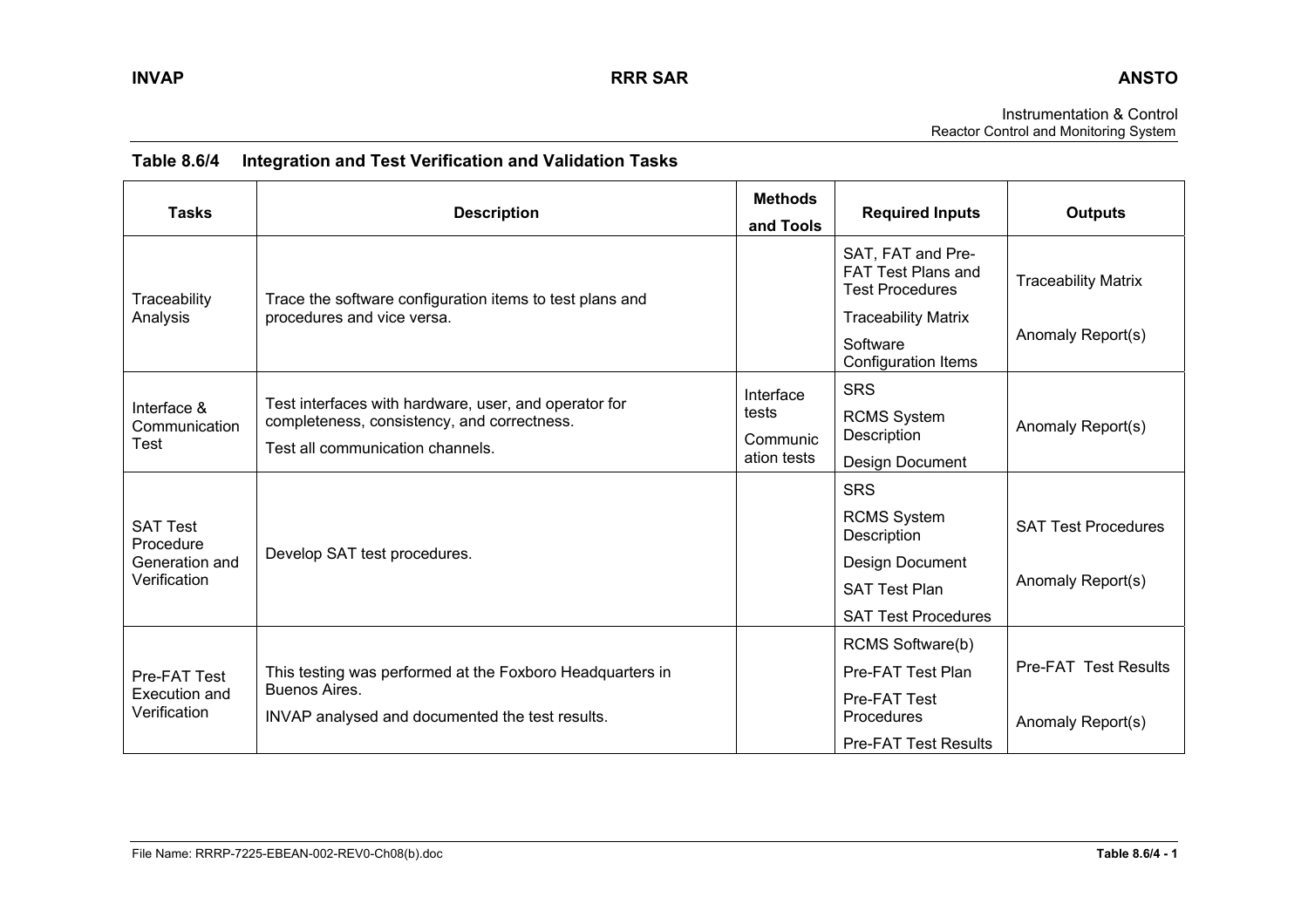Instrumentation & Control Reactor Control and Monitoring System

| <b>Tasks</b>                                  | <b>Description</b>                                                                                                                       | <b>Methods</b><br>and Tools | <b>Required Inputs</b>                                                   | <b>Outputs</b>              |
|-----------------------------------------------|------------------------------------------------------------------------------------------------------------------------------------------|-----------------------------|--------------------------------------------------------------------------|-----------------------------|
| Traceability                                  | Trace the software configuration items to test plans and                                                                                 |                             | SAT, FAT and Pre-<br><b>FAT Test Plans and</b><br><b>Test Procedures</b> | <b>Traceability Matrix</b>  |
| Analysis                                      | procedures and vice versa.                                                                                                               |                             | <b>Traceability Matrix</b>                                               |                             |
|                                               |                                                                                                                                          |                             | Software<br>Configuration Items                                          | Anomaly Report(s)           |
|                                               |                                                                                                                                          | Interface                   | <b>SRS</b>                                                               |                             |
| Interface &<br>Communication                  | Test interfaces with hardware, user, and operator for<br>completeness, consistency, and correctness.<br>Test all communication channels. | tests                       | <b>RCMS System</b>                                                       | Anomaly Report(s)           |
| Test                                          |                                                                                                                                          | Communic<br>ation tests     | Description<br>Design Document                                           |                             |
|                                               |                                                                                                                                          |                             | <b>SRS</b>                                                               |                             |
| <b>SAT Test</b><br>Procedure                  |                                                                                                                                          |                             | <b>RCMS System</b><br>Description                                        | <b>SAT Test Procedures</b>  |
| Generation and                                | Develop SAT test procedures.                                                                                                             |                             | Design Document                                                          |                             |
| Verification                                  |                                                                                                                                          |                             | <b>SAT Test Plan</b>                                                     | Anomaly Report(s)           |
|                                               |                                                                                                                                          |                             | <b>SAT Test Procedures</b>                                               |                             |
|                                               |                                                                                                                                          |                             | RCMS Software(b)                                                         |                             |
| Pre-FAT Test<br>Execution and<br>Verification | This testing was performed at the Foxboro Headquarters in                                                                                |                             | Pre-FAT Test Plan                                                        | <b>Pre-FAT Test Results</b> |
|                                               | Buenos Aires.<br>INVAP analysed and documented the test results.                                                                         |                             | Pre-FAT Test<br>Procedures                                               | Anomaly Report(s)           |
|                                               |                                                                                                                                          |                             | <b>Pre-FAT Test Results</b>                                              |                             |

# **Table 8.6/4 Integration and Test Verification and Validation Tasks**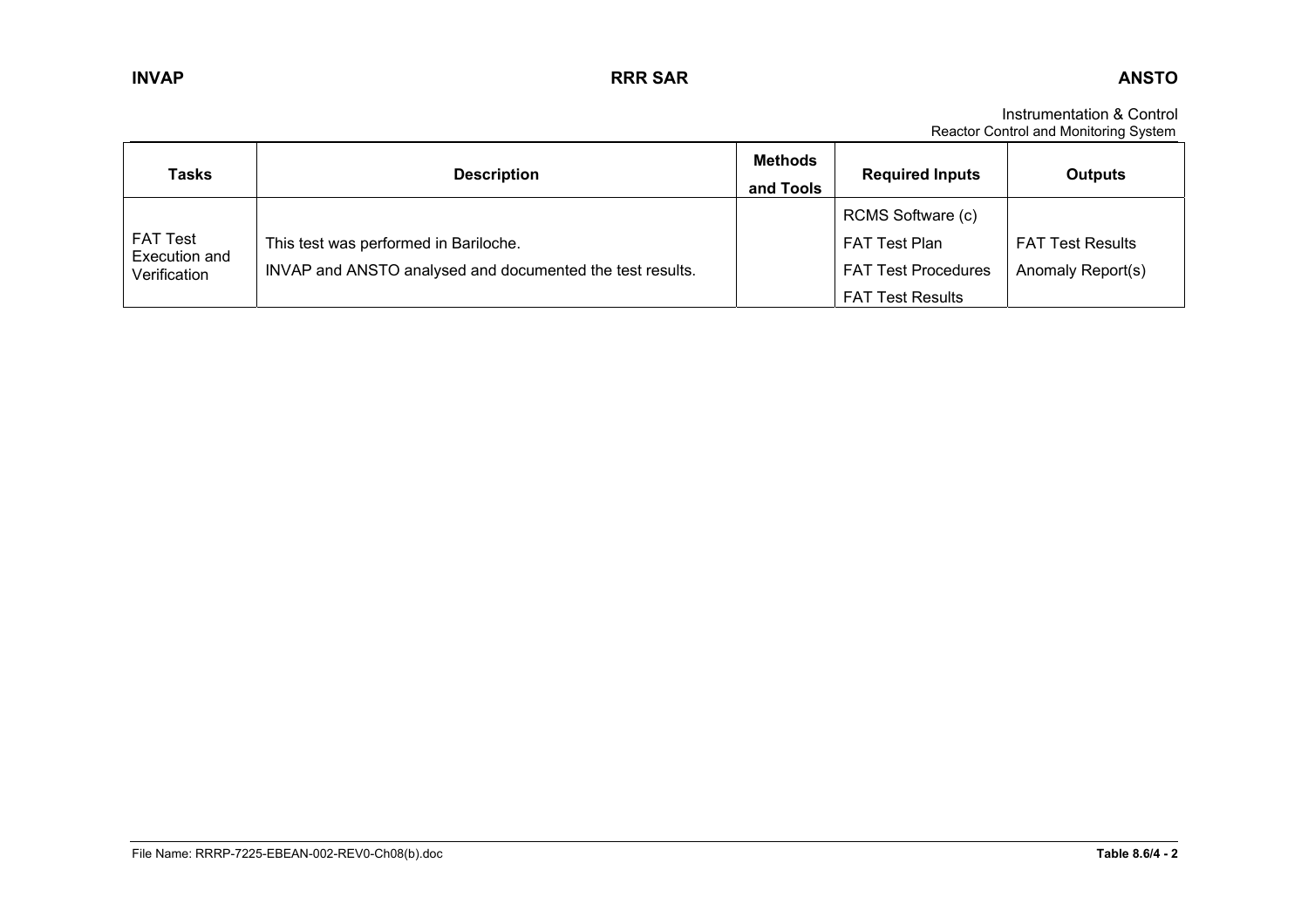Instrumentation & Control Reactor Control and Monitoring System

| <b>Tasks</b>                     | <b>Description</b>                                        | <b>Methods</b><br>and Tools | <b>Required Inputs</b>     | <b>Outputs</b>          |
|----------------------------------|-----------------------------------------------------------|-----------------------------|----------------------------|-------------------------|
|                                  |                                                           |                             | RCMS Software (c)          |                         |
| <b>FAT Test</b><br>Execution and | This test was performed in Bariloche.                     |                             | <b>FAT Test Plan</b>       | <b>FAT Test Results</b> |
| Verification                     | INVAP and ANSTO analysed and documented the test results. |                             | <b>FAT Test Procedures</b> | Anomaly Report(s)       |
|                                  |                                                           |                             | <b>FAT Test Results</b>    |                         |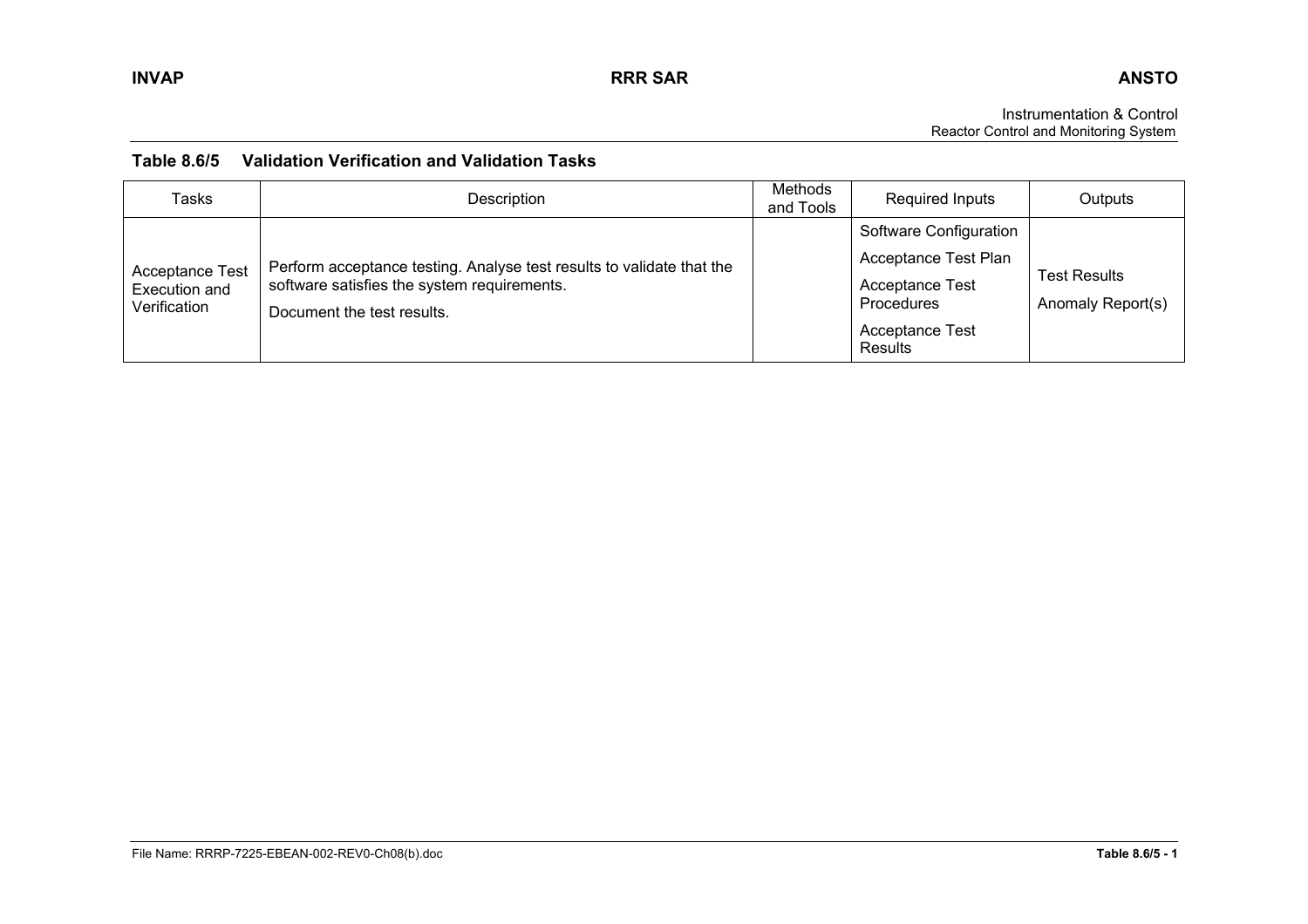Instrumentation & Control Reactor Control and Monitoring System

## **Table 8.6/5 Validation Verification and Validation Tasks**

| <b>Tasks</b>                                            | Description                                                                                                                                        | Methods<br>and Tools | Required Inputs                                                                                                                    | Outputs                                  |
|---------------------------------------------------------|----------------------------------------------------------------------------------------------------------------------------------------------------|----------------------|------------------------------------------------------------------------------------------------------------------------------------|------------------------------------------|
| <b>Acceptance Test</b><br>Execution and<br>Verification | Perform acceptance testing. Analyse test results to validate that the<br>software satisfies the system requirements.<br>Document the test results. |                      | Software Configuration<br><b>Acceptance Test Plan</b><br><b>Acceptance Test</b><br>Procedures<br><b>Acceptance Test</b><br>Results | <b>Test Results</b><br>Anomaly Report(s) |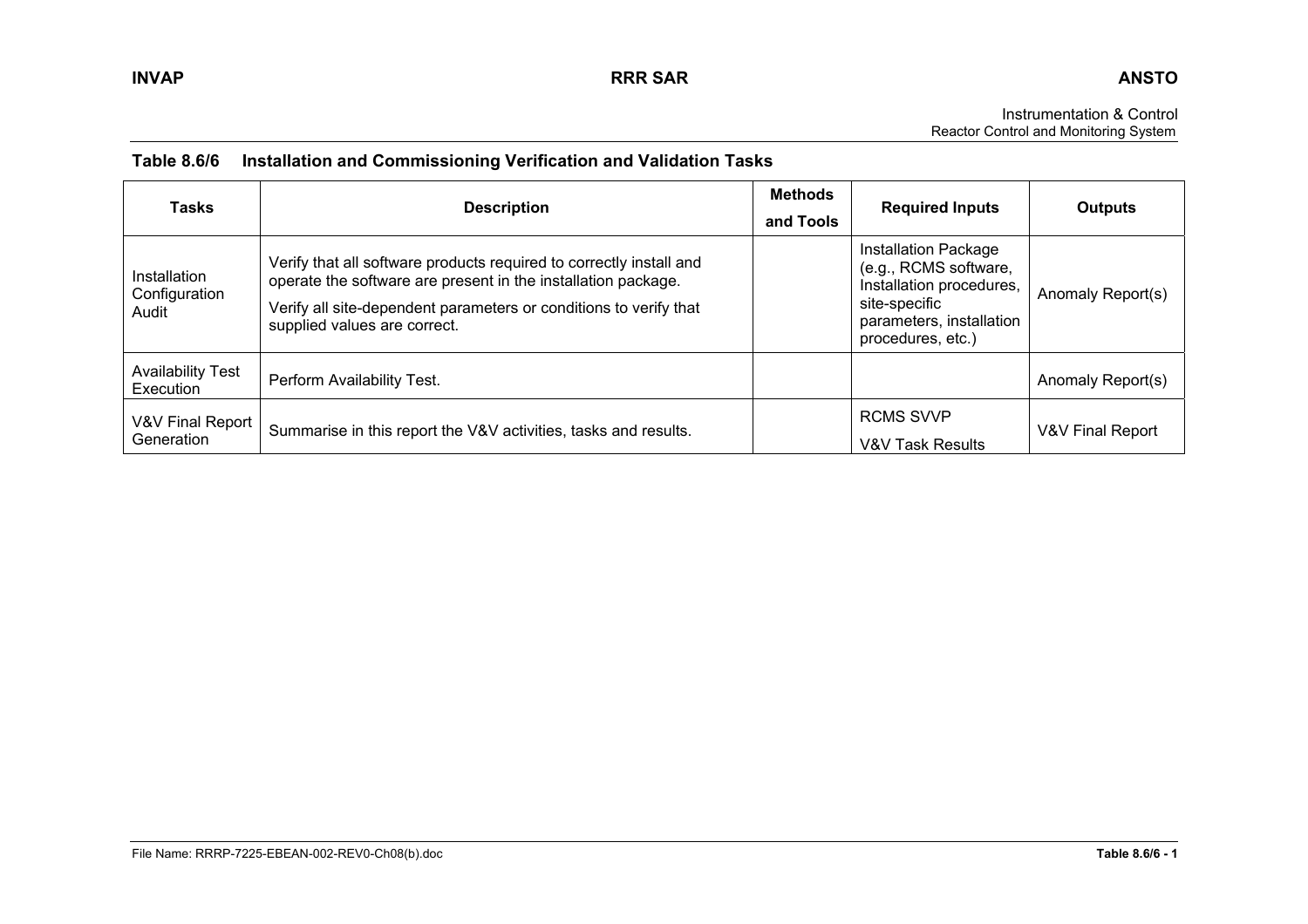Instrumentation & Control Reactor Control and Monitoring System

| <b>Tasks</b>                           | <b>Description</b>                                                                                                                                                                                                                        | <b>Methods</b><br>and Tools | <b>Required Inputs</b>                                                                                                                             | <b>Outputs</b>    |
|----------------------------------------|-------------------------------------------------------------------------------------------------------------------------------------------------------------------------------------------------------------------------------------------|-----------------------------|----------------------------------------------------------------------------------------------------------------------------------------------------|-------------------|
| Installation<br>Configuration<br>Audit | Verify that all software products required to correctly install and<br>operate the software are present in the installation package.<br>Verify all site-dependent parameters or conditions to verify that<br>supplied values are correct. |                             | <b>Installation Package</b><br>(e.g., RCMS software,<br>Installation procedures,<br>site-specific<br>parameters, installation<br>procedures, etc.) | Anomaly Report(s) |
| <b>Availability Test</b><br>Execution  | Perform Availability Test.                                                                                                                                                                                                                |                             |                                                                                                                                                    | Anomaly Report(s) |
| V&V Final Report<br>Generation         | Summarise in this report the V&V activities, tasks and results.                                                                                                                                                                           |                             | <b>RCMS SVVP</b><br>V&V Task Results                                                                                                               | V&V Final Report  |

# **Table 8.6/6 Installation and Commissioning Verification and Validation Tasks**